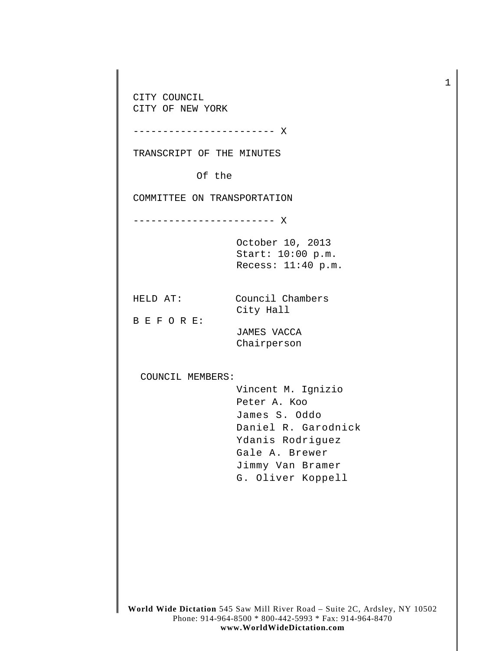**World Wide Dictation** 545 Saw Mill River Road – Suite 2C, Ardsley, NY 10502 Phone: 914-964-8500 \* 800-442-5993 \* Fax: 914-964-8470 CITY COUNCIL CITY OF NEW YORK ------------------------ X TRANSCRIPT OF THE MINUTES Of the COMMITTEE ON TRANSPORTATION ------------------------ X October 10, 2013 Start: 10:00 p.m. Recess: 11:40 p.m. HELD AT: Council Chambers City Hall B E F O R E: JAMES VACCA Chairperson COUNCIL MEMBERS: Vincent M. Ignizio Peter A. Koo James S. Oddo Daniel R. Garodnick Ydanis Rodriguez Gale A. Brewer Jimmy Van Bramer G. Oliver Koppell

1

**www.WorldWideDictation.com**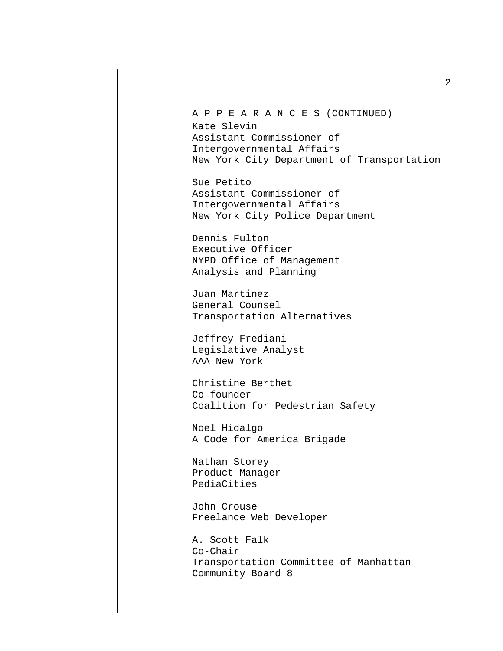A P P E A R A N C E S (CONTINUED) Kate Slevin Assistant Commissioner of Intergovernmental Affairs New York City Department of Transportation

Sue Petito Assistant Commissioner of Intergovernmental Affairs New York City Police Department

Dennis Fulton Executive Officer NYPD Office of Management Analysis and Planning

Juan Martinez General Counsel Transportation Alternatives

Jeffrey Frediani Legislative Analyst AAA New York

Christine Berthet Co-founder Coalition for Pedestrian Safety

Noel Hidalgo A Code for America Brigade

Nathan Storey Product Manager PediaCities

John Crouse Freelance Web Developer

A. Scott Falk Co-Chair Transportation Committee of Manhattan Community Board 8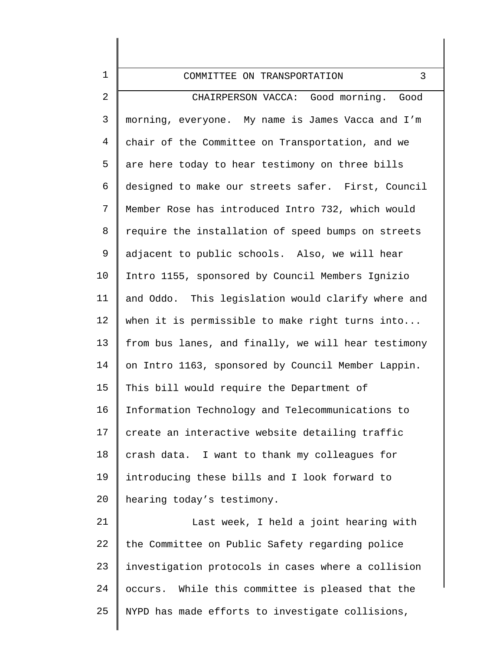| $\mathbf 1$    | 3<br>COMMITTEE ON TRANSPORTATION                    |
|----------------|-----------------------------------------------------|
| $\overline{2}$ | CHAIRPERSON VACCA: Good morning. Good               |
| $\mathfrak{Z}$ | morning, everyone. My name is James Vacca and I'm   |
| $\overline{4}$ | chair of the Committee on Transportation, and we    |
| 5              | are here today to hear testimony on three bills     |
| 6              | designed to make our streets safer. First, Council  |
| $7\phantom{.}$ | Member Rose has introduced Intro 732, which would   |
| 8              | require the installation of speed bumps on streets  |
| 9              | adjacent to public schools. Also, we will hear      |
| 10             | Intro 1155, sponsored by Council Members Ignizio    |
| 11             | and Oddo. This legislation would clarify where and  |
| 12             | when it is permissible to make right turns into     |
| 13             | from bus lanes, and finally, we will hear testimony |
| 14             | on Intro 1163, sponsored by Council Member Lappin.  |
| 15             | This bill would require the Department of           |
| 16             | Information Technology and Telecommunications to    |
| 17             | create an interactive website detailing traffic     |
| 18             | I want to thank my colleagues for<br>crash data.    |
| 19             | introducing these bills and I look forward to       |
| 20             | hearing today's testimony.                          |
| 21             | Last week, I held a joint hearing with              |
| 22             | the Committee on Public Safety regarding police     |
| 23             | investigation protocols in cases where a collision  |
| 24             | While this committee is pleased that the<br>occurs. |
| 25             | NYPD has made efforts to investigate collisions,    |
|                |                                                     |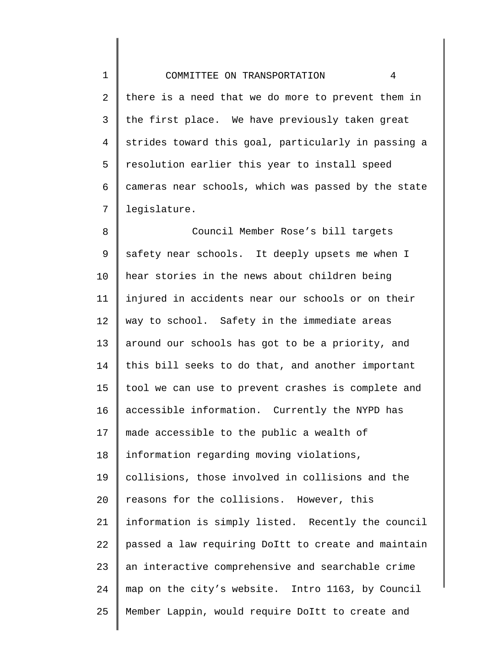1 2 3 4 5 6 7 COMMITTEE ON TRANSPORTATION 4 there is a need that we do more to prevent them in the first place. We have previously taken great strides toward this goal, particularly in passing a resolution earlier this year to install speed cameras near schools, which was passed by the state legislature.

8 9 10 11 12 13 14 15 16 17 18 19 20 21 22 23 24 25 Council Member Rose's bill targets safety near schools. It deeply upsets me when I hear stories in the news about children being injured in accidents near our schools or on their way to school. Safety in the immediate areas around our schools has got to be a priority, and this bill seeks to do that, and another important tool we can use to prevent crashes is complete and accessible information. Currently the NYPD has made accessible to the public a wealth of information regarding moving violations, collisions, those involved in collisions and the reasons for the collisions. However, this information is simply listed. Recently the council passed a law requiring DoItt to create and maintain an interactive comprehensive and searchable crime map on the city's website. Intro 1163, by Council Member Lappin, would require DoItt to create and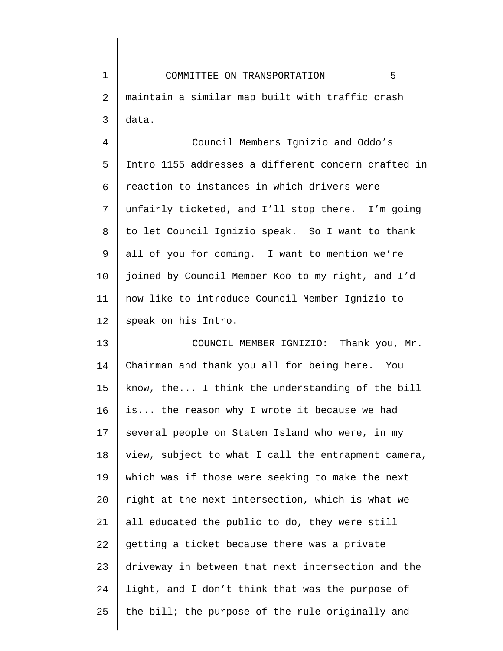1 2 3 4 5 6 7 COMMITTEE ON TRANSPORTATION 5 maintain a similar map built with traffic crash data. Council Members Ignizio and Oddo's Intro 1155 addresses a different concern crafted in reaction to instances in which drivers were unfairly ticketed, and I'll stop there. I'm going

8 9 10 11 12 to let Council Ignizio speak. So I want to thank all of you for coming. I want to mention we're joined by Council Member Koo to my right, and I'd now like to introduce Council Member Ignizio to speak on his Intro.

13 14 15 16 17 18 19 20 21 22 23 24 25 COUNCIL MEMBER IGNIZIO: Thank you, Mr. Chairman and thank you all for being here. You know, the... I think the understanding of the bill is... the reason why I wrote it because we had several people on Staten Island who were, in my view, subject to what I call the entrapment camera, which was if those were seeking to make the next right at the next intersection, which is what we all educated the public to do, they were still getting a ticket because there was a private driveway in between that next intersection and the light, and I don't think that was the purpose of the bill; the purpose of the rule originally and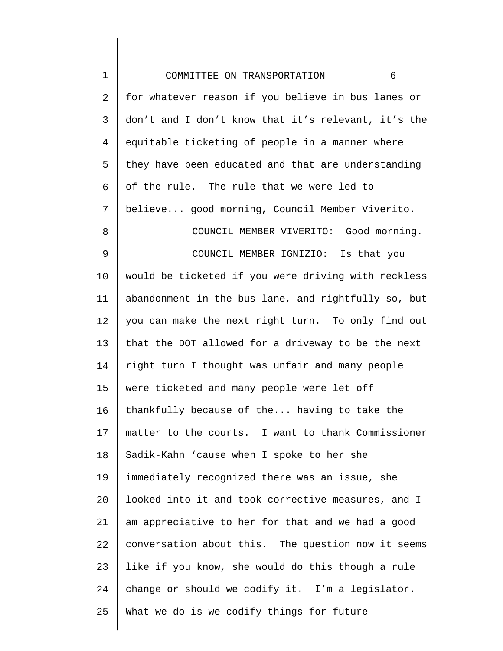| $\mathbf 1$    | 6<br>COMMITTEE ON TRANSPORTATION                    |
|----------------|-----------------------------------------------------|
| 2              | for whatever reason if you believe in bus lanes or  |
| 3              | don't and I don't know that it's relevant, it's the |
| $\overline{4}$ | equitable ticketing of people in a manner where     |
| 5              | they have been educated and that are understanding  |
| 6              | of the rule. The rule that we were led to           |
| 7              | believe good morning, Council Member Viverito.      |
| 8              | COUNCIL MEMBER VIVERITO: Good morning.              |
| 9              | COUNCIL MEMBER IGNIZIO: Is that you                 |
| 10             | would be ticketed if you were driving with reckless |
| 11             | abandonment in the bus lane, and rightfully so, but |
| 12             | you can make the next right turn. To only find out  |
| 13             | that the DOT allowed for a driveway to be the next  |
| 14             | right turn I thought was unfair and many people     |
| 15             | were ticketed and many people were let off          |
| 16             | thankfully because of the having to take the        |
| 17             | matter to the courts. I want to thank Commissioner  |
| 18             | Sadik-Kahn 'cause when I spoke to her she           |
| 19             | immediately recognized there was an issue, she      |
| 20             | looked into it and took corrective measures, and I  |
| 21             | am appreciative to her for that and we had a good   |
| 22             | conversation about this. The question now it seems  |
| 23             | like if you know, she would do this though a rule   |
| 24             | change or should we codify it. I'm a legislator.    |
| 25             | What we do is we codify things for future           |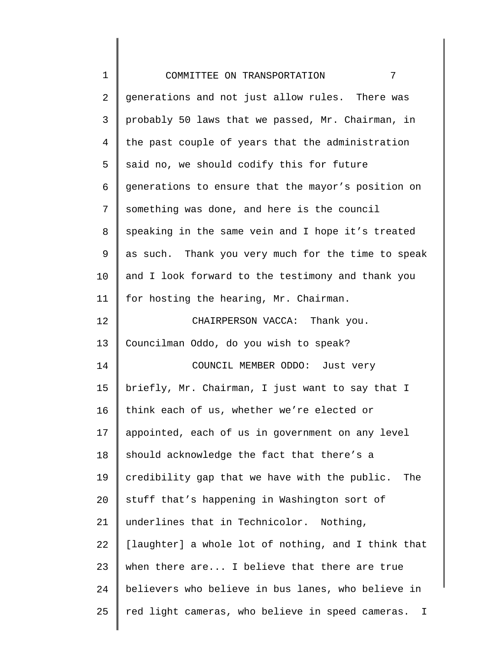| $\mathbf 1$ | 7<br>COMMITTEE ON TRANSPORTATION                    |
|-------------|-----------------------------------------------------|
| 2           | generations and not just allow rules. There was     |
| 3           | probably 50 laws that we passed, Mr. Chairman, in   |
| 4           | the past couple of years that the administration    |
| 5           | said no, we should codify this for future           |
| 6           | generations to ensure that the mayor's position on  |
| 7           | something was done, and here is the council         |
| 8           | speaking in the same vein and I hope it's treated   |
| 9           | as such. Thank you very much for the time to speak  |
| $10 \,$     | and I look forward to the testimony and thank you   |
| 11          | for hosting the hearing, Mr. Chairman.              |
| 12          | CHAIRPERSON VACCA: Thank you.                       |
| 13          | Councilman Oddo, do you wish to speak?              |
| 14          | COUNCIL MEMBER ODDO: Just very                      |
| 15          | briefly, Mr. Chairman, I just want to say that I    |
| 16          | think each of us, whether we're elected or          |
| $17 \,$     | appointed, each of us in government on any level    |
| 18          | should acknowledge the fact that there's a          |
| 19          | credibility gap that we have with the public. The   |
| 20          | stuff that's happening in Washington sort of        |
| 21          | underlines that in Technicolor. Nothing,            |
| 22          | [laughter] a whole lot of nothing, and I think that |
| 23          | when there are I believe that there are true        |
| 24          | believers who believe in bus lanes, who believe in  |
| 25          | red light cameras, who believe in speed cameras. I  |
|             |                                                     |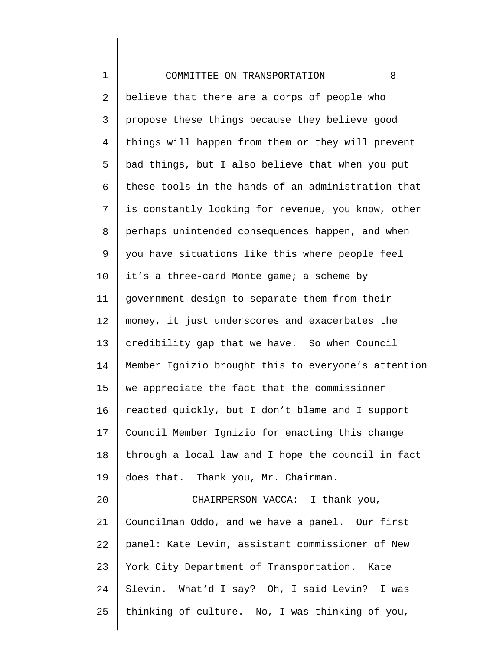| $\mathbf 1$ | 8<br>COMMITTEE ON TRANSPORTATION                    |
|-------------|-----------------------------------------------------|
| 2           | believe that there are a corps of people who        |
| 3           | propose these things because they believe good      |
| 4           | things will happen from them or they will prevent   |
| 5           | bad things, but I also believe that when you put    |
| 6           | these tools in the hands of an administration that  |
| 7           | is constantly looking for revenue, you know, other  |
| 8           | perhaps unintended consequences happen, and when    |
| 9           | you have situations like this where people feel     |
| 10          | it's a three-card Monte game; a scheme by           |
| 11          | government design to separate them from their       |
| 12          | money, it just underscores and exacerbates the      |
| 13          | credibility gap that we have. So when Council       |
| 14          | Member Ignizio brought this to everyone's attention |
| 15          | we appreciate the fact that the commissioner        |
| 16          | reacted quickly, but I don't blame and I support    |
| 17          | Council Member Ignizio for enacting this change     |
| 18          | through a local law and I hope the council in fact  |
| 19          | does that. Thank you, Mr. Chairman.                 |
| 20          | CHAIRPERSON VACCA: I thank you,                     |
| 21          | Councilman Oddo, and we have a panel. Our first     |
| 22          | panel: Kate Levin, assistant commissioner of New    |
| 23          | York City Department of Transportation. Kate        |
| 24          | Slevin. What'd I say? Oh, I said Levin? I was       |
| 25          | thinking of culture. No, I was thinking of you,     |
|             |                                                     |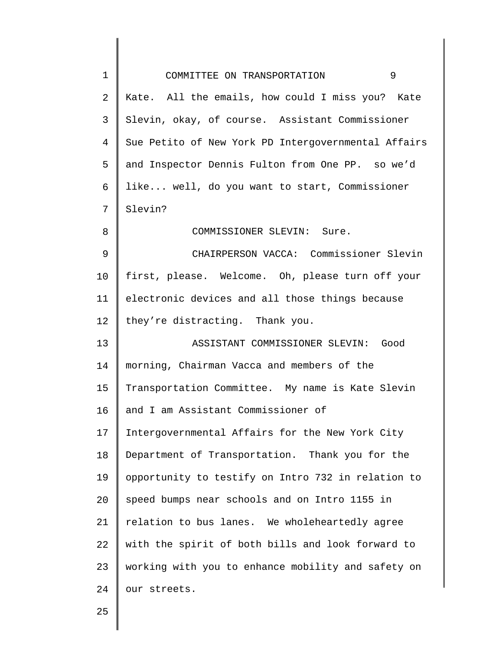| $\mathbf 1$ | 9<br>COMMITTEE ON TRANSPORTATION                    |
|-------------|-----------------------------------------------------|
| 2           | Kate. All the emails, how could I miss you? Kate    |
| 3           | Slevin, okay, of course. Assistant Commissioner     |
| 4           | Sue Petito of New York PD Intergovernmental Affairs |
| 5           | and Inspector Dennis Fulton from One PP. so we'd    |
| 6           | like well, do you want to start, Commissioner       |
| 7           | Slevin?                                             |
| 8           | COMMISSIONER SLEVIN: Sure.                          |
| 9           | CHAIRPERSON VACCA: Commissioner Slevin              |
| 10          | first, please. Welcome. Oh, please turn off your    |
| 11          | electronic devices and all those things because     |
| 12          | they're distracting. Thank you.                     |
| 13          | ASSISTANT COMMISSIONER SLEVIN: Good                 |
| 14          | morning, Chairman Vacca and members of the          |
| 15          | Transportation Committee. My name is Kate Slevin    |
| 16          | and I am Assistant Commissioner of                  |
| 17          | Intergovernmental Affairs for the New York City     |
| 18          | Department of Transportation. Thank you for the     |
| 19          | opportunity to testify on Intro 732 in relation to  |
| 20          | speed bumps near schools and on Intro 1155 in       |
| 21          | relation to bus lanes. We wholeheartedly agree      |
| 22          | with the spirit of both bills and look forward to   |
| 23          | working with you to enhance mobility and safety on  |
| 24          | our streets.                                        |
|             |                                                     |

25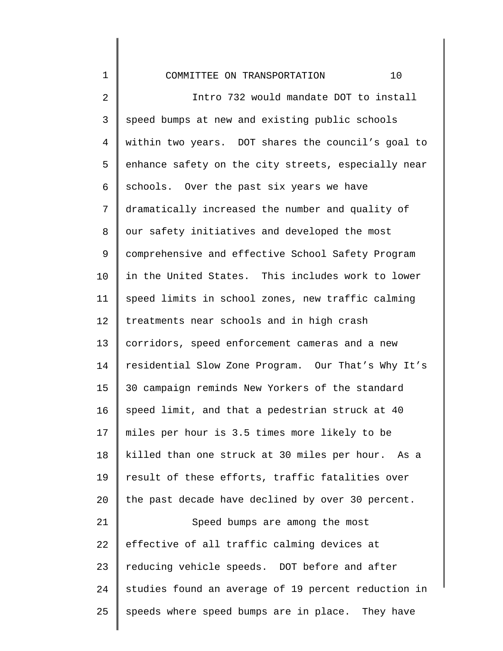COMMITTEE ON TRANSPORTATION 10

1

2 3 4 5 6 7 8 9 10 11 12 13 14 15 16 17 18 19 20 21 22 23 24 25 Intro 732 would mandate DOT to install speed bumps at new and existing public schools within two years. DOT shares the council's goal to enhance safety on the city streets, especially near schools. Over the past six years we have dramatically increased the number and quality of our safety initiatives and developed the most comprehensive and effective School Safety Program in the United States. This includes work to lower speed limits in school zones, new traffic calming treatments near schools and in high crash corridors, speed enforcement cameras and a new residential Slow Zone Program. Our That's Why It's 30 campaign reminds New Yorkers of the standard speed limit, and that a pedestrian struck at 40 miles per hour is 3.5 times more likely to be killed than one struck at 30 miles per hour. As a result of these efforts, traffic fatalities over the past decade have declined by over 30 percent. Speed bumps are among the most effective of all traffic calming devices at reducing vehicle speeds. DOT before and after studies found an average of 19 percent reduction in speeds where speed bumps are in place. They have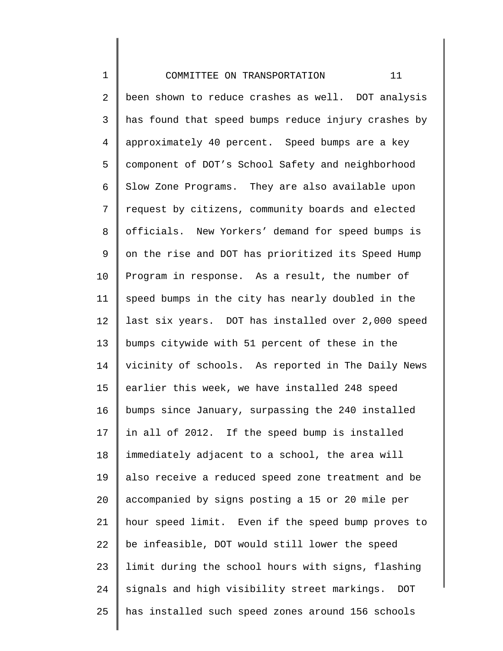1 2 3 4 5 6 7 8 9 10 11 12 13 14 15 16 17 18 19 20 21 22 23 24 25 COMMITTEE ON TRANSPORTATION 11 been shown to reduce crashes as well. DOT analysis has found that speed bumps reduce injury crashes by approximately 40 percent. Speed bumps are a key component of DOT's School Safety and neighborhood Slow Zone Programs. They are also available upon request by citizens, community boards and elected officials. New Yorkers' demand for speed bumps is on the rise and DOT has prioritized its Speed Hump Program in response. As a result, the number of speed bumps in the city has nearly doubled in the last six years. DOT has installed over 2,000 speed bumps citywide with 51 percent of these in the vicinity of schools. As reported in The Daily News earlier this week, we have installed 248 speed bumps since January, surpassing the 240 installed in all of 2012. If the speed bump is installed immediately adjacent to a school, the area will also receive a reduced speed zone treatment and be accompanied by signs posting a 15 or 20 mile per hour speed limit. Even if the speed bump proves to be infeasible, DOT would still lower the speed limit during the school hours with signs, flashing signals and high visibility street markings. DOT has installed such speed zones around 156 schools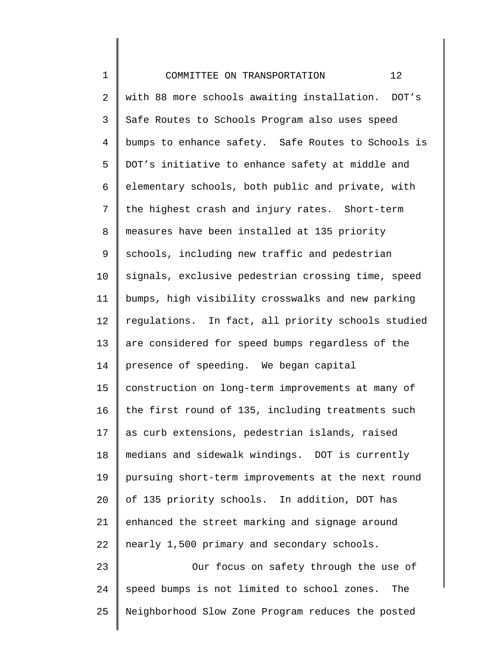| $\mathbf 1$    | 12<br>COMMITTEE ON TRANSPORTATION                  |
|----------------|----------------------------------------------------|
| 2              | with 88 more schools awaiting installation. DOT's  |
| $\mathsf 3$    | Safe Routes to Schools Program also uses speed     |
| $\overline{4}$ | bumps to enhance safety. Safe Routes to Schools is |
| 5              | DOT's initiative to enhance safety at middle and   |
| 6              | elementary schools, both public and private, with  |
| 7              | the highest crash and injury rates. Short-term     |
| 8              | measures have been installed at 135 priority       |
| 9              | schools, including new traffic and pedestrian      |
| 10             | signals, exclusive pedestrian crossing time, speed |
| 11             | bumps, high visibility crosswalks and new parking  |
| 12             | regulations. In fact, all priority schools studied |
| 13             | are considered for speed bumps regardless of the   |
| 14             | presence of speeding. We began capital             |
| 15             | construction on long-term improvements at many of  |
| 16             | the first round of 135, including treatments such  |
| 17             | as curb extensions, pedestrian islands, raised     |
| 18             | medians and sidewalk windings. DOT is currently    |
| 19             | pursuing short-term improvements at the next round |
| 20             | of 135 priority schools. In addition, DOT has      |
| 21             | enhanced the street marking and signage around     |
| 22             | nearly 1,500 primary and secondary schools.        |
| 23             | Our focus on safety through the use of             |
| 24             | speed bumps is not limited to school zones.<br>The |
| 25             | Neighborhood Slow Zone Program reduces the posted  |
|                |                                                    |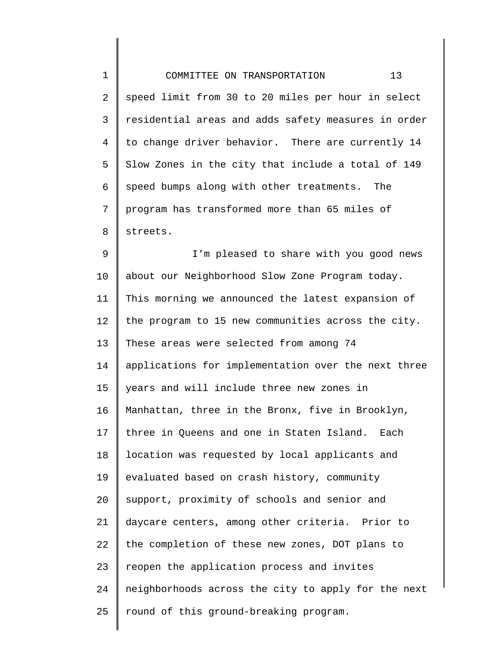| $\mathbf 1$ | 13<br>COMMITTEE ON TRANSPORTATION                   |
|-------------|-----------------------------------------------------|
| 2           | speed limit from 30 to 20 miles per hour in select  |
| 3           | residential areas and adds safety measures in order |
| 4           | to change driver behavior. There are currently 14   |
| 5           | Slow Zones in the city that include a total of 149  |
| 6           | speed bumps along with other treatments. The        |
| 7           | program has transformed more than 65 miles of       |
| 8           | streets.                                            |
| 9           | I'm pleased to share with you good news             |
| $10 \,$     | about our Neighborhood Slow Zone Program today.     |
| 11          | This morning we announced the latest expansion of   |
| 12          | the program to 15 new communities across the city.  |
| 13          | These areas were selected from among 74             |
| 14          | applications for implementation over the next three |
| 15          | years and will include three new zones in           |
| 16          | Manhattan, three in the Bronx, five in Brooklyn,    |
| 17          | three in Queens and one in Staten Island. Each      |
| 18          | location was requested by local applicants and      |
| 19          | evaluated based on crash history, community         |
| 20          | support, proximity of schools and senior and        |
| 21          | daycare centers, among other criteria. Prior to     |
| 22          | the completion of these new zones, DOT plans to     |
| 23          | reopen the application process and invites          |
| 24          | neighborhoods across the city to apply for the next |
| 25          | round of this ground-breaking program.              |
|             |                                                     |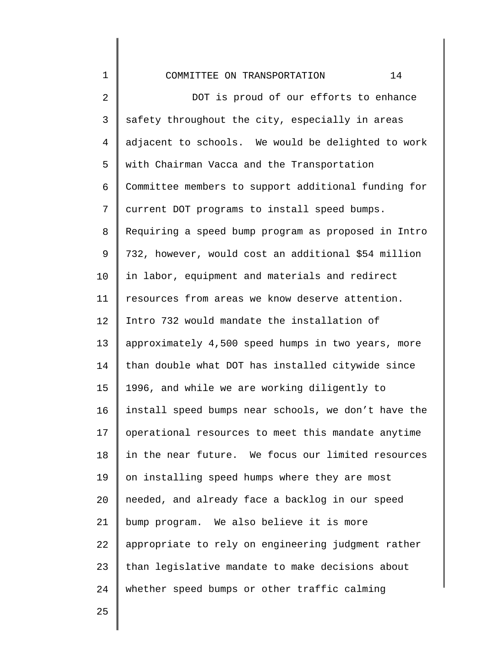1 2 3 4 5 6 7 8 9 10 11 12 13 14 15 16 17 18 19 20 21 22 23 24 COMMITTEE ON TRANSPORTATION 14 DOT is proud of our efforts to enhance safety throughout the city, especially in areas adjacent to schools. We would be delighted to work with Chairman Vacca and the Transportation Committee members to support additional funding for current DOT programs to install speed bumps. Requiring a speed bump program as proposed in Intro 732, however, would cost an additional \$54 million in labor, equipment and materials and redirect resources from areas we know deserve attention. Intro 732 would mandate the installation of approximately 4,500 speed humps in two years, more than double what DOT has installed citywide since 1996, and while we are working diligently to install speed bumps near schools, we don't have the operational resources to meet this mandate anytime in the near future. We focus our limited resources on installing speed humps where they are most needed, and already face a backlog in our speed bump program. We also believe it is more appropriate to rely on engineering judgment rather than legislative mandate to make decisions about whether speed bumps or other traffic calming

25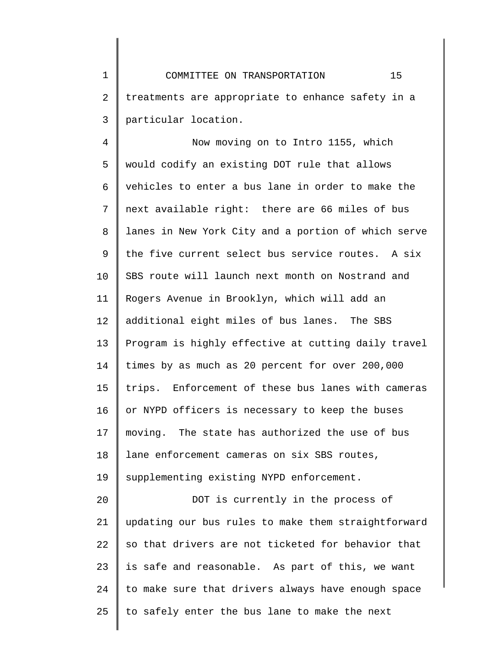1 2 3 COMMITTEE ON TRANSPORTATION 15 treatments are appropriate to enhance safety in a particular location.

4 5 6 7 8 9 10 11 12 13 14 15 16 17 18 19 20 21 22 23 Now moving on to Intro 1155, which would codify an existing DOT rule that allows vehicles to enter a bus lane in order to make the next available right: there are 66 miles of bus lanes in New York City and a portion of which serve the five current select bus service routes. A six SBS route will launch next month on Nostrand and Rogers Avenue in Brooklyn, which will add an additional eight miles of bus lanes. The SBS Program is highly effective at cutting daily travel times by as much as 20 percent for over 200,000 trips. Enforcement of these bus lanes with cameras or NYPD officers is necessary to keep the buses moving. The state has authorized the use of bus lane enforcement cameras on six SBS routes, supplementing existing NYPD enforcement. DOT is currently in the process of updating our bus rules to make them straightforward so that drivers are not ticketed for behavior that is safe and reasonable. As part of this, we want

25 to safely enter the bus lane to make the next

to make sure that drivers always have enough space

24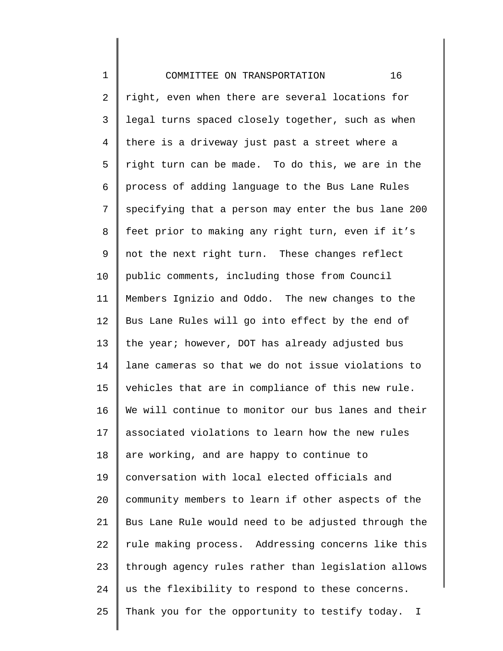1 2 3 4 5 6 7 8 9 10 11 12 13 14 15 16 17 18 19 20 21 22 23 24 25 COMMITTEE ON TRANSPORTATION 16 right, even when there are several locations for legal turns spaced closely together, such as when there is a driveway just past a street where a right turn can be made. To do this, we are in the process of adding language to the Bus Lane Rules specifying that a person may enter the bus lane 200 feet prior to making any right turn, even if it's not the next right turn. These changes reflect public comments, including those from Council Members Ignizio and Oddo. The new changes to the Bus Lane Rules will go into effect by the end of the year; however, DOT has already adjusted bus lane cameras so that we do not issue violations to vehicles that are in compliance of this new rule. We will continue to monitor our bus lanes and their associated violations to learn how the new rules are working, and are happy to continue to conversation with local elected officials and community members to learn if other aspects of the Bus Lane Rule would need to be adjusted through the rule making process. Addressing concerns like this through agency rules rather than legislation allows us the flexibility to respond to these concerns. Thank you for the opportunity to testify today. I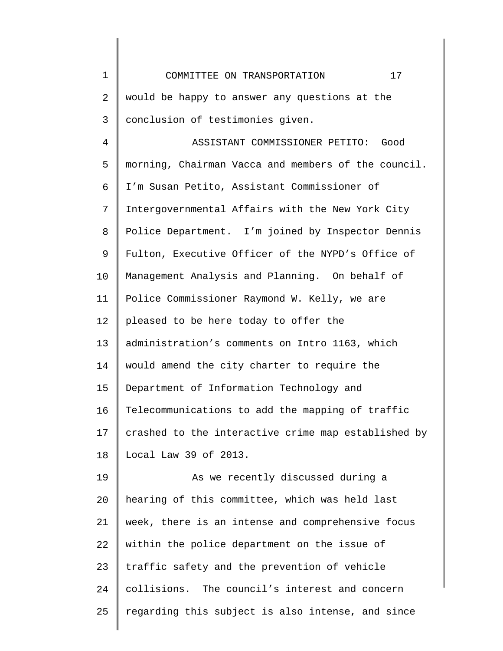1 2 3 4 5 6 7 8 9 10 11 12 13 14 15 16 17 18 19 20 21 22 23 24 25 COMMITTEE ON TRANSPORTATION 17 would be happy to answer any questions at the conclusion of testimonies given. ASSISTANT COMMISSIONER PETITO: Good morning, Chairman Vacca and members of the council. I'm Susan Petito, Assistant Commissioner of Intergovernmental Affairs with the New York City Police Department. I'm joined by Inspector Dennis Fulton, Executive Officer of the NYPD's Office of Management Analysis and Planning. On behalf of Police Commissioner Raymond W. Kelly, we are pleased to be here today to offer the administration's comments on Intro 1163, which would amend the city charter to require the Department of Information Technology and Telecommunications to add the mapping of traffic crashed to the interactive crime map established by Local Law 39 of 2013. As we recently discussed during a hearing of this committee, which was held last week, there is an intense and comprehensive focus within the police department on the issue of traffic safety and the prevention of vehicle collisions. The council's interest and concern regarding this subject is also intense, and since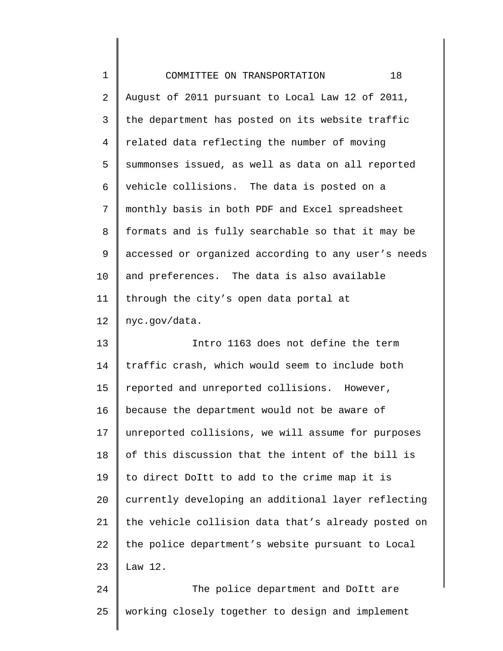| $\mathbf 1$     | 18<br>COMMITTEE ON TRANSPORTATION                   |
|-----------------|-----------------------------------------------------|
| 2               | August of 2011 pursuant to Local Law 12 of 2011,    |
| $\mathsf{3}$    | the department has posted on its website traffic    |
| 4               | related data reflecting the number of moving        |
| 5               | summonses issued, as well as data on all reported   |
| 6               | vehicle collisions. The data is posted on a         |
| 7               | monthly basis in both PDF and Excel spreadsheet     |
| 8               | formats and is fully searchable so that it may be   |
| 9               | accessed or organized according to any user's needs |
| 10 <sub>1</sub> | and preferences. The data is also available         |
| 11              | through the city's open data portal at              |
| 12              | nyc.gov/data.                                       |
| 13              | Intro 1163 does not define the term                 |
| 14              | traffic crash, which would seem to include both     |
| 15              | reported and unreported collisions. However,        |
| 16              | because the department would not be aware of        |
| 17              | unreported collisions, we will assume for purposes  |
| 18              | of this discussion that the intent of the bill is   |
| 19              | to direct DoItt to add to the crime map it is       |
| 20              | currently developing an additional layer reflecting |
| 21              | the vehicle collision data that's already posted on |
| 22              | the police department's website pursuant to Local   |
| 23              | Law $12.$                                           |
| 24              | The police department and DoItt are                 |
| 25              | working closely together to design and implement    |

 $\parallel$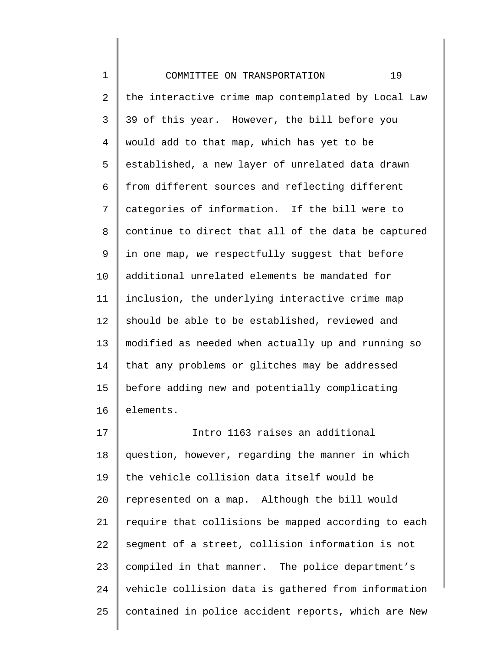1 2 3 4 5 6 7 8 9 10 11 12 13 14 15 16 17 18 19 20 21 22 23 24 25 COMMITTEE ON TRANSPORTATION 19 the interactive crime map contemplated by Local Law 39 of this year. However, the bill before you would add to that map, which has yet to be established, a new layer of unrelated data drawn from different sources and reflecting different categories of information. If the bill were to continue to direct that all of the data be captured in one map, we respectfully suggest that before additional unrelated elements be mandated for inclusion, the underlying interactive crime map should be able to be established, reviewed and modified as needed when actually up and running so that any problems or glitches may be addressed before adding new and potentially complicating elements. Intro 1163 raises an additional question, however, regarding the manner in which the vehicle collision data itself would be represented on a map. Although the bill would require that collisions be mapped according to each segment of a street, collision information is not compiled in that manner. The police department's vehicle collision data is gathered from information contained in police accident reports, which are New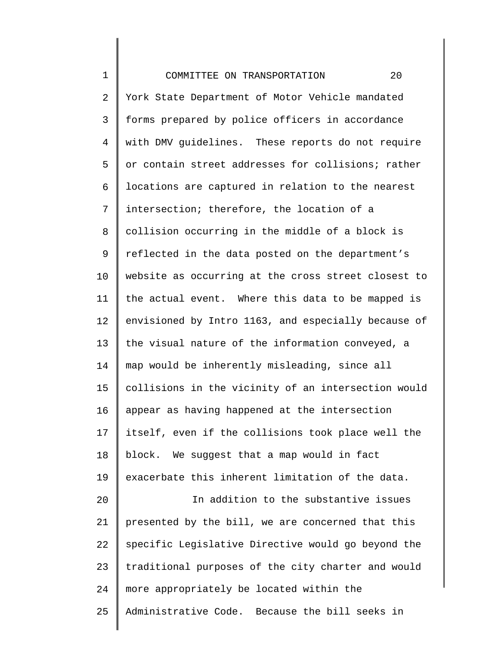1 2 3 4 5 6 7 8 9 10 11 12 13 14 15 16 17 18 19 20 21 22 23 24 25 COMMITTEE ON TRANSPORTATION 20 York State Department of Motor Vehicle mandated forms prepared by police officers in accordance with DMV guidelines. These reports do not require or contain street addresses for collisions; rather locations are captured in relation to the nearest intersection; therefore, the location of a collision occurring in the middle of a block is reflected in the data posted on the department's website as occurring at the cross street closest to the actual event. Where this data to be mapped is envisioned by Intro 1163, and especially because of the visual nature of the information conveyed, a map would be inherently misleading, since all collisions in the vicinity of an intersection would appear as having happened at the intersection itself, even if the collisions took place well the block. We suggest that a map would in fact exacerbate this inherent limitation of the data. In addition to the substantive issues presented by the bill, we are concerned that this specific Legislative Directive would go beyond the traditional purposes of the city charter and would more appropriately be located within the Administrative Code. Because the bill seeks in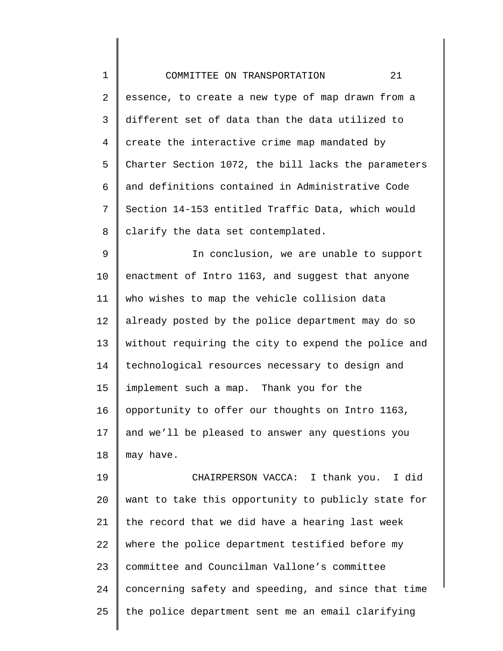| $\mathbf 1$  | 21<br>COMMITTEE ON TRANSPORTATION                   |
|--------------|-----------------------------------------------------|
| 2            | essence, to create a new type of map drawn from a   |
| $\mathsf{3}$ | different set of data than the data utilized to     |
| 4            | create the interactive crime map mandated by        |
| 5            | Charter Section 1072, the bill lacks the parameters |
| 6            | and definitions contained in Administrative Code    |
| 7            | Section 14-153 entitled Traffic Data, which would   |
| 8            | clarify the data set contemplated.                  |
| 9            | In conclusion, we are unable to support             |
| 10           | enactment of Intro 1163, and suggest that anyone    |
| 11           | who wishes to map the vehicle collision data        |
| 12           | already posted by the police department may do so   |
| 13           | without requiring the city to expend the police and |
| 14           | technological resources necessary to design and     |
| 15           | implement such a map. Thank you for the             |
| 16           | opportunity to offer our thoughts on Intro 1163,    |
| 17           | and we'll be pleased to answer any questions you    |
| 18           | may have.                                           |
| 19           | CHAIRPERSON VACCA: I thank you. I did               |
| 20           | want to take this opportunity to publicly state for |
| 21           | the record that we did have a hearing last week     |
| 22           | where the police department testified before my     |
| 23           | committee and Councilman Vallone's committee        |
| 24           | concerning safety and speeding, and since that time |
| 25           | the police department sent me an email clarifying   |

 $\mathsf I$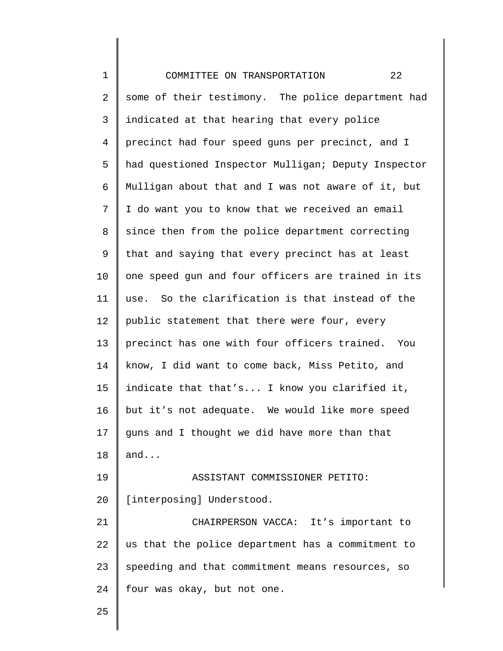1 2 3 4 5 6 7 8 9 10 11 12 13 14 15 16 17 18 19 20 21 22 23 24 25 COMMITTEE ON TRANSPORTATION 22 some of their testimony. The police department had indicated at that hearing that every police precinct had four speed guns per precinct, and I had questioned Inspector Mulligan; Deputy Inspector Mulligan about that and I was not aware of it, but I do want you to know that we received an email since then from the police department correcting that and saying that every precinct has at least one speed gun and four officers are trained in its use. So the clarification is that instead of the public statement that there were four, every precinct has one with four officers trained. You know, I did want to come back, Miss Petito, and indicate that that's... I know you clarified it, but it's not adequate. We would like more speed guns and I thought we did have more than that and... ASSISTANT COMMISSIONER PETITO: [interposing] Understood. CHAIRPERSON VACCA: It's important to us that the police department has a commitment to speeding and that commitment means resources, so four was okay, but not one.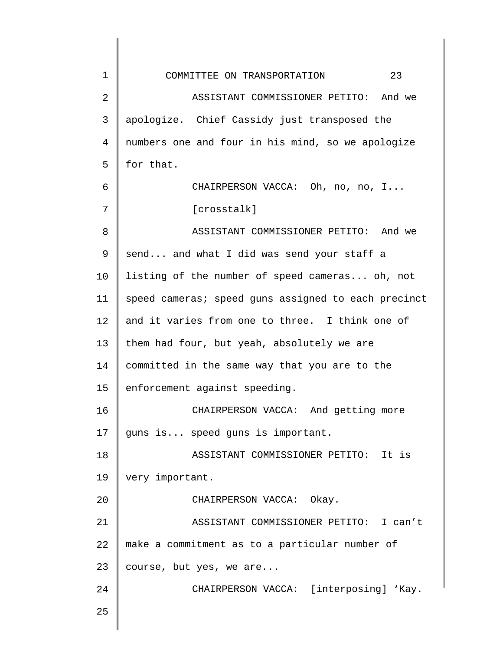| $\mathbf 1$ | 23<br>COMMITTEE ON TRANSPORTATION                   |
|-------------|-----------------------------------------------------|
| 2           | ASSISTANT COMMISSIONER PETITO: And we               |
| 3           | apologize. Chief Cassidy just transposed the        |
| 4           | numbers one and four in his mind, so we apologize   |
| 5           | for that.                                           |
| 6           | CHAIRPERSON VACCA: Oh, no, no, I                    |
| 7           | [crosstalk]                                         |
| 8           | ASSISTANT COMMISSIONER PETITO: And we               |
| 9           | send and what I did was send your staff a           |
| 10          | listing of the number of speed cameras oh, not      |
| 11          | speed cameras; speed guns assigned to each precinct |
| 12          | and it varies from one to three. I think one of     |
| 13          | them had four, but yeah, absolutely we are          |
| 14          | committed in the same way that you are to the       |
| 15          | enforcement against speeding.                       |
| 16          | CHAIRPERSON VACCA: And getting more                 |
| 17          | guns is speed guns is important.                    |
| 18          | ASSISTANT COMMISSIONER PETITO: It is                |
| 19          | very important.                                     |
| 20          | CHAIRPERSON VACCA: Okay.                            |
| 21          | ASSISTANT COMMISSIONER PETITO: I can't              |
| 22          | make a commitment as to a particular number of      |
| 23          | course, but yes, we are                             |
| 24          | CHAIRPERSON VACCA: [interposing] 'Kay.              |
| 25          |                                                     |
|             |                                                     |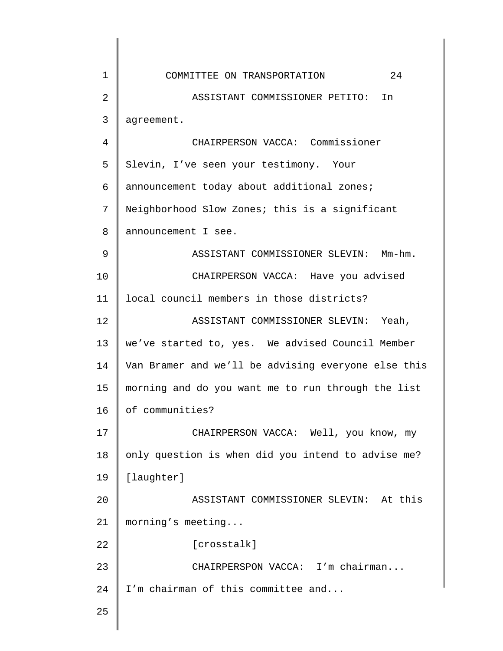| $\mathbf 1$    | 24<br>COMMITTEE ON TRANSPORTATION                   |
|----------------|-----------------------------------------------------|
| $\overline{2}$ | ASSISTANT COMMISSIONER PETITO: In                   |
| 3              | agreement.                                          |
| 4              | CHAIRPERSON VACCA: Commissioner                     |
| 5              | Slevin, I've seen your testimony. Your              |
| 6              | announcement today about additional zones;          |
| 7              | Neighborhood Slow Zones; this is a significant      |
| 8              | announcement I see.                                 |
| 9              | ASSISTANT COMMISSIONER SLEVIN: Mm-hm.               |
| 10             | CHAIRPERSON VACCA: Have you advised                 |
| 11             | local council members in those districts?           |
| 12             | ASSISTANT COMMISSIONER SLEVIN: Yeah,                |
| 13             | we've started to, yes. We advised Council Member    |
| 14             | Van Bramer and we'll be advising everyone else this |
| 15             | morning and do you want me to run through the list  |
| 16             | of communities?                                     |
| 17             | CHAIRPERSON VACCA: Well, you know, my               |
| 18             | only question is when did you intend to advise me?  |
| 19             | [laughter]                                          |
| 20             | ASSISTANT COMMISSIONER SLEVIN: At this              |
| 21             | morning's meeting                                   |
| 22             | [crosstalk]                                         |
| 23             | CHAIRPERSPON VACCA: I'm chairman                    |
| 24             | I'm chairman of this committee and                  |
| 25             |                                                     |
|                |                                                     |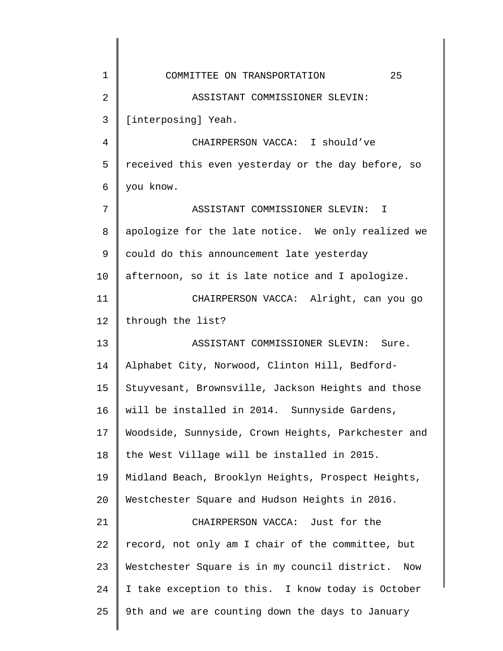| 1  | 25<br>COMMITTEE ON TRANSPORTATION                    |
|----|------------------------------------------------------|
| 2  | ASSISTANT COMMISSIONER SLEVIN:                       |
| 3  | [interposing] Yeah.                                  |
| 4  | CHAIRPERSON VACCA: I should've                       |
| 5  | received this even yesterday or the day before, so   |
| 6  | you know.                                            |
| 7  | ASSISTANT COMMISSIONER SLEVIN: I                     |
| 8  | apologize for the late notice. We only realized we   |
| 9  | could do this announcement late yesterday            |
| 10 | afternoon, so it is late notice and I apologize.     |
| 11 | CHAIRPERSON VACCA: Alright, can you go               |
| 12 | through the list?                                    |
| 13 | ASSISTANT COMMISSIONER SLEVIN: Sure.                 |
| 14 | Alphabet City, Norwood, Clinton Hill, Bedford-       |
| 15 | Stuyvesant, Brownsville, Jackson Heights and those   |
| 16 | will be installed in 2014. Sunnyside Gardens,        |
| 17 | Woodside, Sunnyside, Crown Heights, Parkchester and  |
| 18 | the West Village will be installed in 2015.          |
| 19 | Midland Beach, Brooklyn Heights, Prospect Heights,   |
| 20 | Westchester Square and Hudson Heights in 2016.       |
| 21 | CHAIRPERSON VACCA: Just for the                      |
| 22 | record, not only am I chair of the committee, but    |
| 23 | Westchester Square is in my council district.<br>Now |
| 24 | I take exception to this. I know today is October    |
| 25 | 9th and we are counting down the days to January     |
|    |                                                      |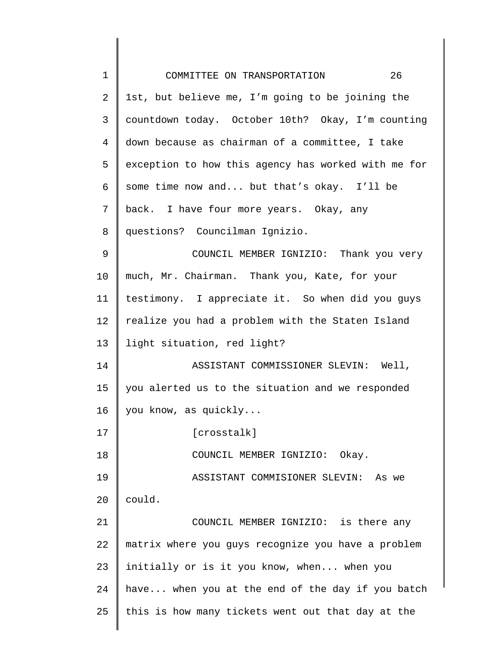| $\mathbf 1$ | 26<br>COMMITTEE ON TRANSPORTATION                   |
|-------------|-----------------------------------------------------|
| 2           | 1st, but believe me, I'm going to be joining the    |
| 3           | countdown today. October 10th? Okay, I'm counting   |
| 4           | down because as chairman of a committee, I take     |
| 5           | exception to how this agency has worked with me for |
| 6           | some time now and but that's okay. I'll be          |
| 7           | back. I have four more years. Okay, any             |
| 8           | questions? Councilman Ignizio.                      |
| 9           | COUNCIL MEMBER IGNIZIO: Thank you very              |
| 10          | much, Mr. Chairman. Thank you, Kate, for your       |
| 11          | testimony. I appreciate it. So when did you guys    |
| 12          | realize you had a problem with the Staten Island    |
| 13          | light situation, red light?                         |
| 14          | ASSISTANT COMMISSIONER SLEVIN: Well,                |
| 15          | you alerted us to the situation and we responded    |
| 16          | you know, as quickly                                |
| 17          | [crosstalk]                                         |
| 18          | COUNCIL MEMBER IGNIZIO: Okay.                       |
| 19          | ASSISTANT COMMISIONER SLEVIN:<br>As we              |
| 20          | could.                                              |
| 21          | COUNCIL MEMBER IGNIZIO: is there any                |
| 22          | matrix where you guys recognize you have a problem  |
| 23          | initially or is it you know, when when you          |
| 24          | have when you at the end of the day if you batch    |
| 25          | this is how many tickets went out that day at the   |
|             |                                                     |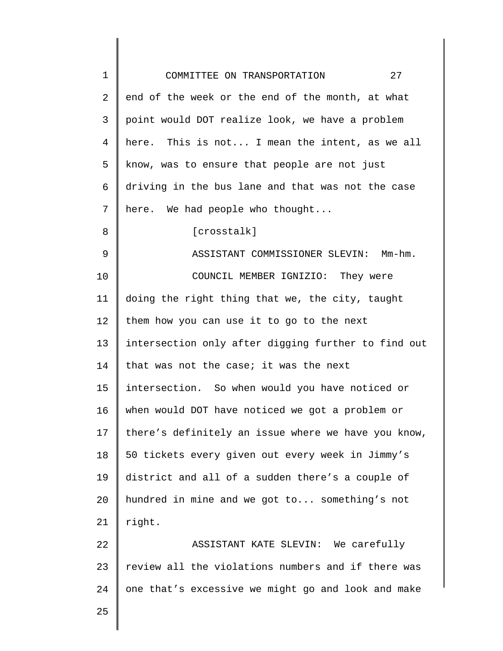| $\mathbf 1$ | 27<br>COMMITTEE ON TRANSPORTATION                   |
|-------------|-----------------------------------------------------|
| 2           | end of the week or the end of the month, at what    |
| 3           | point would DOT realize look, we have a problem     |
| 4           | here. This is not I mean the intent, as we all      |
| 5           | know, was to ensure that people are not just        |
| 6           | driving in the bus lane and that was not the case   |
| 7           | here. We had people who thought                     |
| 8           | [crosstalk]                                         |
| 9           | ASSISTANT COMMISSIONER SLEVIN: Mm-hm.               |
| 10          | COUNCIL MEMBER IGNIZIO: They were                   |
| 11          | doing the right thing that we, the city, taught     |
| 12          | them how you can use it to go to the next           |
| 13          | intersection only after digging further to find out |
| 14          | that was not the case; it was the next              |
| 15          | intersection. So when would you have noticed or     |
| 16          | when would DOT have noticed we got a problem or     |
| 17          | there's definitely an issue where we have you know, |
| 18          | 50 tickets every given out every week in Jimmy's    |
| 19          | district and all of a sudden there's a couple of    |
| 20          | hundred in mine and we got to something's not       |
| 21          | right.                                              |
| 22          | ASSISTANT KATE SLEVIN: We carefully                 |
| 23          | review all the violations numbers and if there was  |
| 24          | one that's excessive we might go and look and make  |
| 25          |                                                     |
|             |                                                     |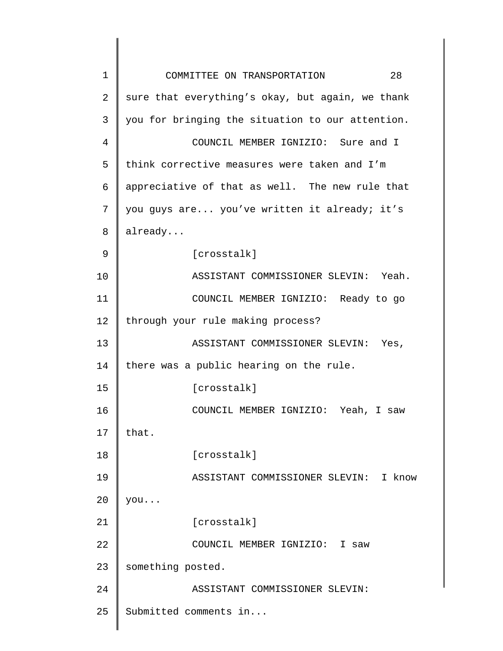| 1  | 28<br>COMMITTEE ON TRANSPORTATION                |
|----|--------------------------------------------------|
| 2  | sure that everything's okay, but again, we thank |
| 3  | you for bringing the situation to our attention. |
| 4  | COUNCIL MEMBER IGNIZIO: Sure and I               |
| 5  | think corrective measures were taken and I'm     |
| 6  | appreciative of that as well. The new rule that  |
| 7  | you guys are you've written it already; it's     |
| 8  | already                                          |
| 9  | [crosstalk]                                      |
| 10 | ASSISTANT COMMISSIONER SLEVIN: Yeah.             |
| 11 | COUNCIL MEMBER IGNIZIO: Ready to go              |
| 12 | through your rule making process?                |
| 13 | ASSISTANT COMMISSIONER SLEVIN:<br>Yes,           |
| 14 | there was a public hearing on the rule.          |
| 15 | [crosstalk]                                      |
| 16 | COUNCIL MEMBER IGNIZIO: Yeah, I saw              |
| 17 | that.                                            |
| 18 | [crosstalk]                                      |
| 19 | ASSISTANT COMMISSIONER SLEVIN:<br>I know         |
| 20 | you                                              |
| 21 | [crosstalk]                                      |
| 22 | COUNCIL MEMBER IGNIZIO: I saw                    |
| 23 | something posted.                                |
| 24 | ASSISTANT COMMISSIONER SLEVIN:                   |
| 25 | Submitted comments in                            |
|    |                                                  |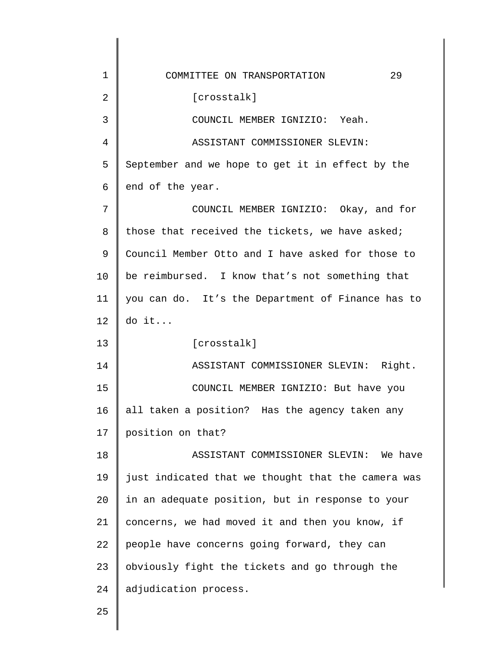| 1              | 29<br>COMMITTEE ON TRANSPORTATION                  |
|----------------|----------------------------------------------------|
| $\overline{2}$ | [crosstalk]                                        |
| 3              | COUNCIL MEMBER IGNIZIO: Yeah.                      |
| $\overline{4}$ | ASSISTANT COMMISSIONER SLEVIN:                     |
| 5              | September and we hope to get it in effect by the   |
| 6              | end of the year.                                   |
| 7              | COUNCIL MEMBER IGNIZIO: Okay, and for              |
| 8              | those that received the tickets, we have asked;    |
| 9              | Council Member Otto and I have asked for those to  |
| 10             | be reimbursed. I know that's not something that    |
| 11             | you can do. It's the Department of Finance has to  |
| 12             | do it                                              |
| 13             | [crosstalk]                                        |
| 14             | ASSISTANT COMMISSIONER SLEVIN: Right.              |
| 15             | COUNCIL MEMBER IGNIZIO: But have you               |
| 16             | all taken a position? Has the agency taken any     |
| 17             | position on that?                                  |
| 18             | ASSISTANT COMMISSIONER SLEVIN: We have             |
| 19             | just indicated that we thought that the camera was |
| 20             | in an adequate position, but in response to your   |
| 21             | concerns, we had moved it and then you know, if    |
| 22             | people have concerns going forward, they can       |
| 23             | obviously fight the tickets and go through the     |
| 24             | adjudication process.                              |
| 25             |                                                    |

25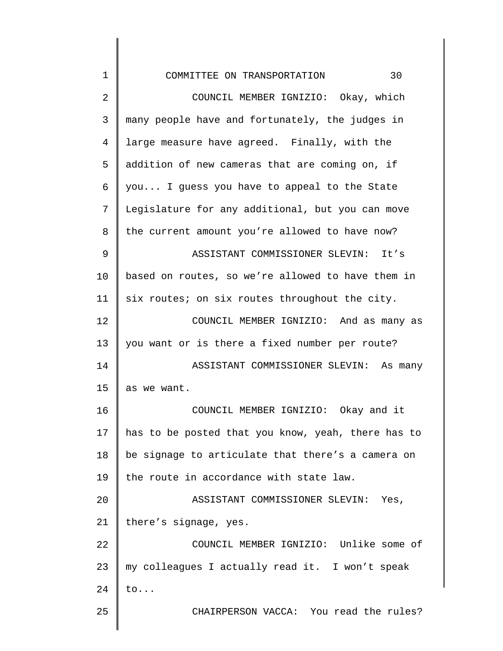| 1  | 30<br>COMMITTEE ON TRANSPORTATION                  |
|----|----------------------------------------------------|
| 2  | COUNCIL MEMBER IGNIZIO: Okay, which                |
| 3  | many people have and fortunately, the judges in    |
| 4  | large measure have agreed. Finally, with the       |
| 5  | addition of new cameras that are coming on, if     |
| 6  | you I guess you have to appeal to the State        |
| 7  | Legislature for any additional, but you can move   |
| 8  | the current amount you're allowed to have now?     |
| 9  | ASSISTANT COMMISSIONER SLEVIN: It's                |
| 10 | based on routes, so we're allowed to have them in  |
| 11 | six routes; on six routes throughout the city.     |
| 12 | COUNCIL MEMBER IGNIZIO: And as many as             |
| 13 | you want or is there a fixed number per route?     |
| 14 | ASSISTANT COMMISSIONER SLEVIN: As many             |
| 15 | as we want.                                        |
| 16 | COUNCIL MEMBER IGNIZIO: Okay and it                |
| 17 | has to be posted that you know, yeah, there has to |
| 18 | be signage to articulate that there's a camera on  |
| 19 | the route in accordance with state law.            |
| 20 | ASSISTANT COMMISSIONER SLEVIN: Yes,                |
| 21 | there's signage, yes.                              |
| 22 | COUNCIL MEMBER IGNIZIO: Unlike some of             |
| 23 | my colleagues I actually read it. I won't speak    |
| 24 | $to \ldots$                                        |
| 25 | CHAIRPERSON VACCA: You read the rules?             |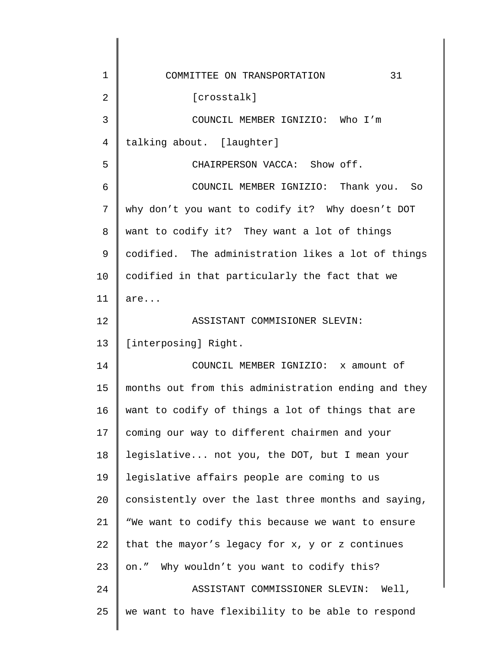| $\mathbf 1$ | 31<br>COMMITTEE ON TRANSPORTATION                   |
|-------------|-----------------------------------------------------|
| 2           | [crosstalk]                                         |
| 3           | COUNCIL MEMBER IGNIZIO: Who I'm                     |
| 4           | talking about. [laughter]                           |
| 5           | CHAIRPERSON VACCA: Show off.                        |
| 6           | COUNCIL MEMBER IGNIZIO: Thank you. So               |
| 7           | why don't you want to codify it? Why doesn't DOT    |
| 8           | want to codify it? They want a lot of things        |
| 9           | codified. The administration likes a lot of things  |
| 10          | codified in that particularly the fact that we      |
| 11          | are                                                 |
| 12          | ASSISTANT COMMISIONER SLEVIN:                       |
| 13          | [interposing] Right.                                |
| 14          | COUNCIL MEMBER IGNIZIO: x amount of                 |
| 15          | months out from this administration ending and they |
| 16          | want to codify of things a lot of things that are   |
| 17          | coming our way to different chairmen and your       |
| 18          | legislative not you, the DOT, but I mean your       |
| 19          | legislative affairs people are coming to us         |
| 20          | consistently over the last three months and saying, |
| 21          | "We want to codify this because we want to ensure   |
| 22          | that the mayor's legacy for x, y or z continues     |
| 23          | Why wouldn't you want to codify this?<br>on."       |
| 24          | ASSISTANT COMMISSIONER SLEVIN: Well,                |
| 25          | we want to have flexibility to be able to respond   |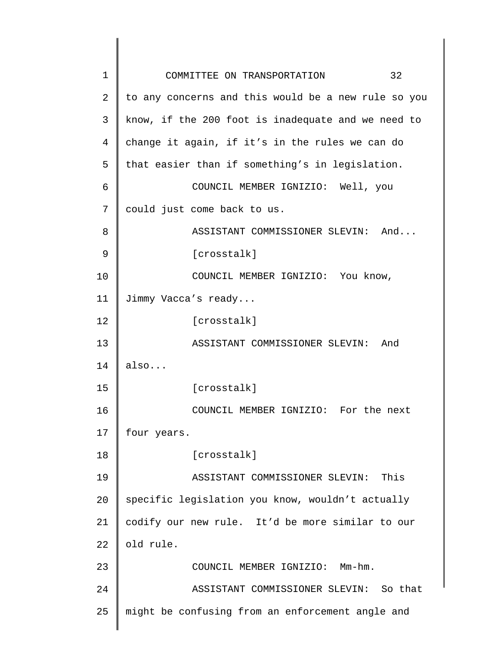| $\mathbf 1$ | 32<br>COMMITTEE ON TRANSPORTATION                   |
|-------------|-----------------------------------------------------|
| 2           | to any concerns and this would be a new rule so you |
| 3           | know, if the 200 foot is inadequate and we need to  |
| 4           | change it again, if it's in the rules we can do     |
| 5           | that easier than if something's in legislation.     |
| 6           | COUNCIL MEMBER IGNIZIO: Well, you                   |
| 7           | could just come back to us.                         |
| 8           | ASSISTANT COMMISSIONER SLEVIN: And                  |
| 9           | [crosstalk]                                         |
| 10          | COUNCIL MEMBER IGNIZIO: You know,                   |
| 11          | Jimmy Vacca's ready                                 |
| 12          | [crosstalk]                                         |
| 13          | ASSISTANT COMMISSIONER SLEVIN: And                  |
| 14          | also                                                |
| 15          | [crosstalk]                                         |
| 16          | COUNCIL MEMBER IGNIZIO: For the next                |
| 17          | four years.                                         |
| 18          | [crosstalk]                                         |
| 19          | ASSISTANT COMMISSIONER SLEVIN:<br>This              |
| 20          | specific legislation you know, wouldn't actually    |
| 21          | codify our new rule. It'd be more similar to our    |
| 22          | old rule.                                           |
| 23          | COUNCIL MEMBER IGNIZIO:<br>$Mm-hm$ .                |
| 24          | ASSISTANT COMMISSIONER SLEVIN: So that              |
| 25          | might be confusing from an enforcement angle and    |
|             |                                                     |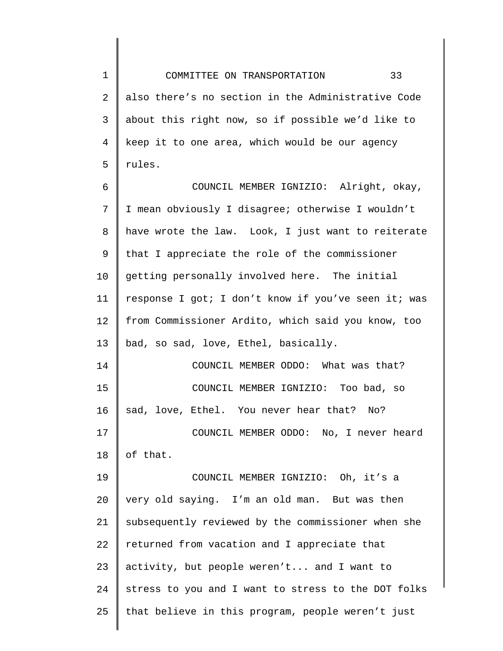1 2 3 4 5 6 7 8 9 10 11 12 13 14 15 16 17 18 19 20 21 22 23 24 25 COMMITTEE ON TRANSPORTATION 33 also there's no section in the Administrative Code about this right now, so if possible we'd like to keep it to one area, which would be our agency rules. COUNCIL MEMBER IGNIZIO: Alright, okay, I mean obviously I disagree; otherwise I wouldn't have wrote the law. Look, I just want to reiterate that I appreciate the role of the commissioner getting personally involved here. The initial response I got; I don't know if you've seen it; was from Commissioner Ardito, which said you know, too bad, so sad, love, Ethel, basically. COUNCIL MEMBER ODDO: What was that? COUNCIL MEMBER IGNIZIO: Too bad, so sad, love, Ethel. You never hear that? No? COUNCIL MEMBER ODDO: No, I never heard of that. COUNCIL MEMBER IGNIZIO: Oh, it's a very old saying. I'm an old man. But was then subsequently reviewed by the commissioner when she returned from vacation and I appreciate that activity, but people weren't... and I want to stress to you and I want to stress to the DOT folks that believe in this program, people weren't just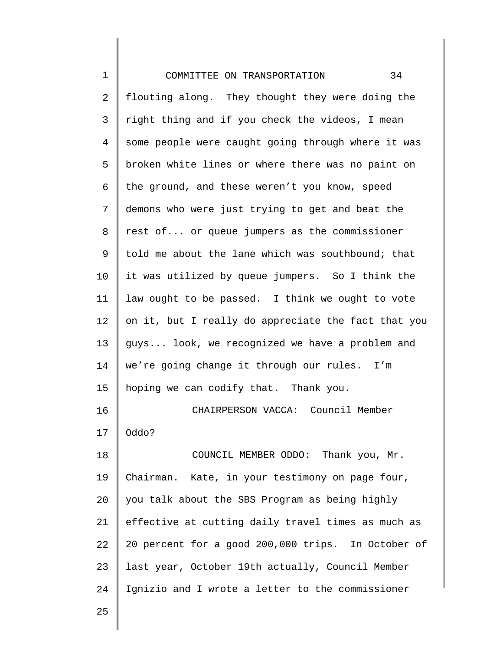| $\mathbf 1$ | 34<br>COMMITTEE ON TRANSPORTATION                   |
|-------------|-----------------------------------------------------|
| 2           | flouting along. They thought they were doing the    |
| 3           | right thing and if you check the videos, I mean     |
| 4           | some people were caught going through where it was  |
|             |                                                     |
| 5           | broken white lines or where there was no paint on   |
| 6           | the ground, and these weren't you know, speed       |
| 7           | demons who were just trying to get and beat the     |
| 8           | rest of or queue jumpers as the commissioner        |
| 9           | told me about the lane which was southbound; that   |
| 10          | it was utilized by queue jumpers. So I think the    |
| 11          | law ought to be passed. I think we ought to vote    |
| 12          | on it, but I really do appreciate the fact that you |
| 13          | guys look, we recognized we have a problem and      |
| 14          | we're going change it through our rules. I'm        |
| 15          | hoping we can codify that. Thank you.               |
| 16          | CHAIRPERSON VACCA: Council Member                   |
| 17          | Oddo?                                               |
| 18          | COUNCIL MEMBER ODDO: Thank you, Mr.                 |
| 19          | Chairman. Kate, in your testimony on page four,     |
| 20          | you talk about the SBS Program as being highly      |
| 21          | effective at cutting daily travel times as much as  |
| 22          | 20 percent for a good 200,000 trips. In October of  |
| 23          | last year, October 19th actually, Council Member    |
| 24          | Ignizio and I wrote a letter to the commissioner    |
| 25          |                                                     |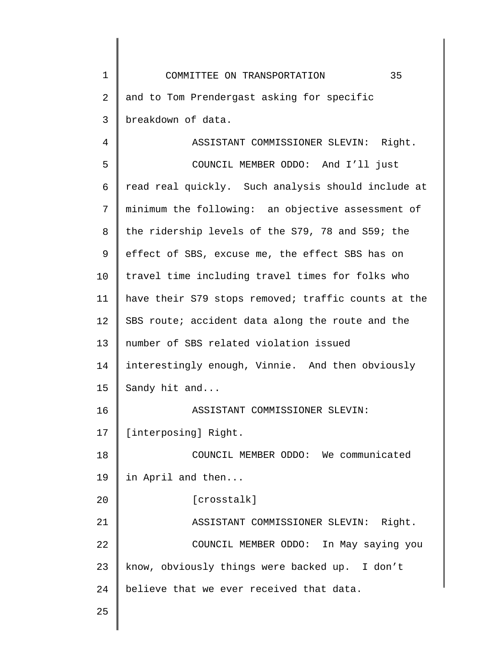1 2 3 4 5 6 7 8 9 10 11 12 13 14 15 16 17 18 19 20 21 22 23 24 25 COMMITTEE ON TRANSPORTATION 35 and to Tom Prendergast asking for specific breakdown of data. ASSISTANT COMMISSIONER SLEVIN: Right. COUNCIL MEMBER ODDO: And I'll just read real quickly. Such analysis should include at minimum the following: an objective assessment of the ridership levels of the S79, 78 and S59; the effect of SBS, excuse me, the effect SBS has on travel time including travel times for folks who have their S79 stops removed; traffic counts at the SBS route; accident data along the route and the number of SBS related violation issued interestingly enough, Vinnie. And then obviously Sandy hit and... ASSISTANT COMMISSIONER SLEVIN: [interposing] Right. COUNCIL MEMBER ODDO: We communicated in April and then... [crosstalk] ASSISTANT COMMISSIONER SLEVIN: Right. COUNCIL MEMBER ODDO: In May saying you know, obviously things were backed up. I don't believe that we ever received that data.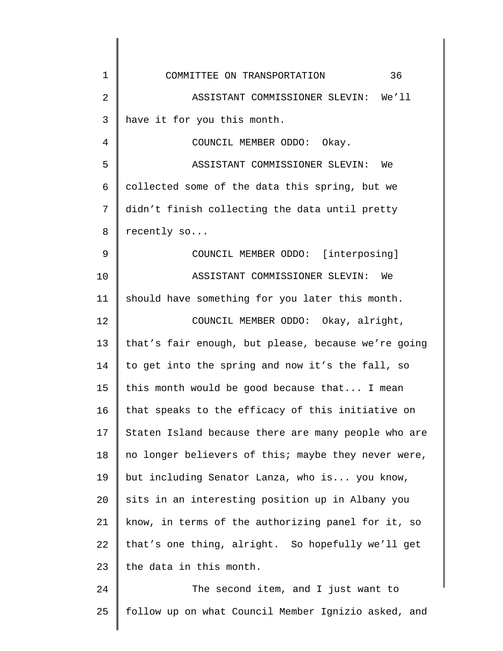| $\mathbf 1$ | 36<br>COMMITTEE ON TRANSPORTATION                   |
|-------------|-----------------------------------------------------|
| 2           | ASSISTANT COMMISSIONER SLEVIN: We'll                |
| 3           | have it for you this month.                         |
| 4           | COUNCIL MEMBER ODDO: Okay.                          |
| 5           | ASSISTANT COMMISSIONER SLEVIN:<br>We                |
| 6           | collected some of the data this spring, but we      |
| 7           | didn't finish collecting the data until pretty      |
| 8           | recently so                                         |
| 9           | COUNCIL MEMBER ODDO: [interposing]                  |
| 10          | ASSISTANT COMMISSIONER SLEVIN: We                   |
| 11          | should have something for you later this month.     |
| 12          | COUNCIL MEMBER ODDO: Okay, alright,                 |
| 13          | that's fair enough, but please, because we're going |
| 14          | to get into the spring and now it's the fall, so    |
| 15          | this month would be good because that I mean        |
| 16          | that speaks to the efficacy of this initiative on   |
| 17          | Staten Island because there are many people who are |
| 18          | no longer believers of this; maybe they never were, |
| 19          | but including Senator Lanza, who is you know,       |
| 20          | sits in an interesting position up in Albany you    |
| 21          | know, in terms of the authorizing panel for it, so  |
| 22          | that's one thing, alright. So hopefully we'll get   |
| 23          | the data in this month.                             |
| 24          | The second item, and I just want to                 |
| 25          | follow up on what Council Member Ignizio asked, and |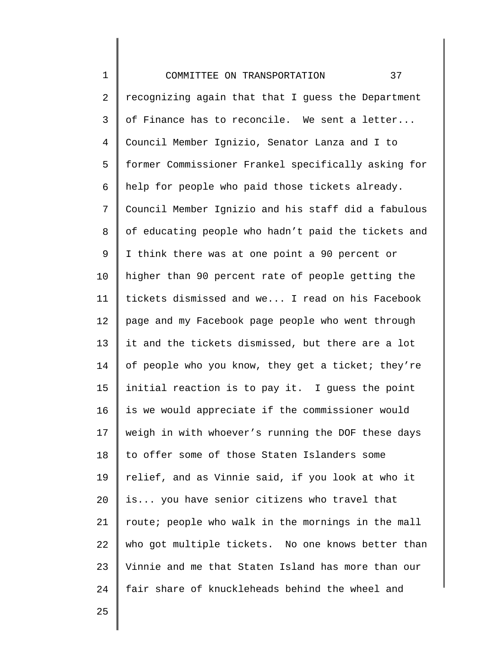1 2 3 4 5 6 7 8 9 10 11 12 13 14 15 16 17 18 19 20 21 22 23 24 COMMITTEE ON TRANSPORTATION 37 recognizing again that that I guess the Department of Finance has to reconcile. We sent a letter... Council Member Ignizio, Senator Lanza and I to former Commissioner Frankel specifically asking for help for people who paid those tickets already. Council Member Ignizio and his staff did a fabulous of educating people who hadn't paid the tickets and I think there was at one point a 90 percent or higher than 90 percent rate of people getting the tickets dismissed and we... I read on his Facebook page and my Facebook page people who went through it and the tickets dismissed, but there are a lot of people who you know, they get a ticket; they're initial reaction is to pay it. I guess the point is we would appreciate if the commissioner would weigh in with whoever's running the DOF these days to offer some of those Staten Islanders some relief, and as Vinnie said, if you look at who it is... you have senior citizens who travel that route; people who walk in the mornings in the mall who got multiple tickets. No one knows better than Vinnie and me that Staten Island has more than our fair share of knuckleheads behind the wheel and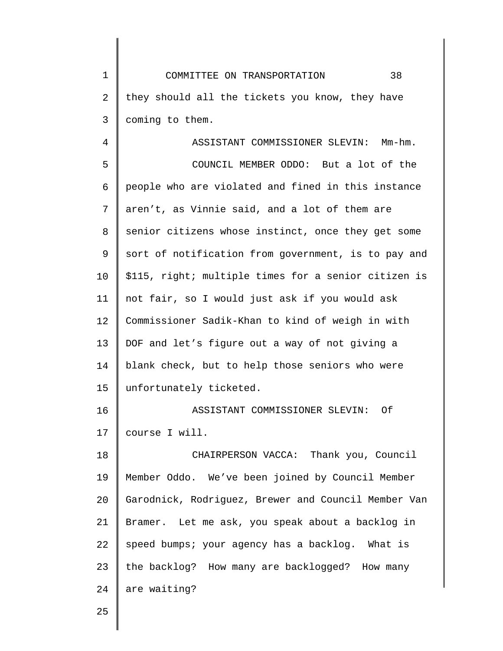1 2 3 COMMITTEE ON TRANSPORTATION 38 they should all the tickets you know, they have coming to them.

4 5 6 7 8 9 10 11 12 13 14 15 16 17 18 19 20 21 22 23 ASSISTANT COMMISSIONER SLEVIN: Mm-hm. COUNCIL MEMBER ODDO: But a lot of the people who are violated and fined in this instance aren't, as Vinnie said, and a lot of them are senior citizens whose instinct, once they get some sort of notification from government, is to pay and \$115, right; multiple times for a senior citizen is not fair, so I would just ask if you would ask Commissioner Sadik-Khan to kind of weigh in with DOF and let's figure out a way of not giving a blank check, but to help those seniors who were unfortunately ticketed. ASSISTANT COMMISSIONER SLEVIN: Of course I will. CHAIRPERSON VACCA: Thank you, Council Member Oddo. We've been joined by Council Member Garodnick, Rodriguez, Brewer and Council Member Van Bramer. Let me ask, you speak about a backlog in speed bumps; your agency has a backlog. What is the backlog? How many are backlogged? How many

25

24

are waiting?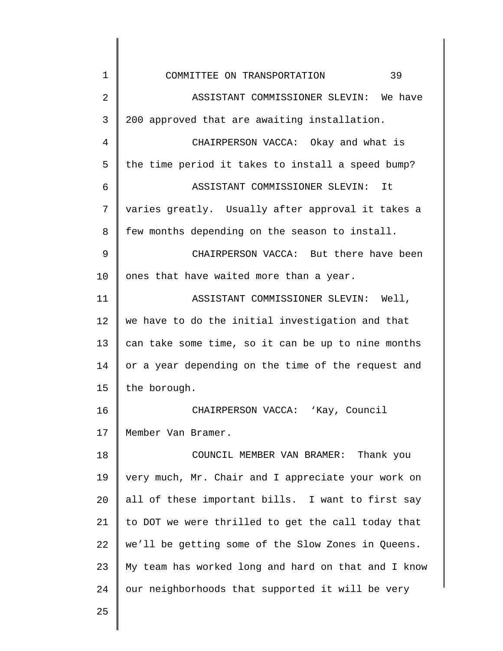| 1              | 39<br>COMMITTEE ON TRANSPORTATION                   |
|----------------|-----------------------------------------------------|
| $\overline{2}$ | ASSISTANT COMMISSIONER SLEVIN: We have              |
| 3              | 200 approved that are awaiting installation.        |
| 4              | CHAIRPERSON VACCA: Okay and what is                 |
| 5              | the time period it takes to install a speed bump?   |
| 6              | ASSISTANT COMMISSIONER SLEVIN: It                   |
| 7              | varies greatly. Usually after approval it takes a   |
| 8              | few months depending on the season to install.      |
| 9              | CHAIRPERSON VACCA: But there have been              |
| 10             | ones that have waited more than a year.             |
| 11             | ASSISTANT COMMISSIONER SLEVIN: Well,                |
| 12             | we have to do the initial investigation and that    |
| 13             | can take some time, so it can be up to nine months  |
| 14             | or a year depending on the time of the request and  |
| 15             | the borough.                                        |
| 16             | CHAIRPERSON VACCA: 'Kay, Council                    |
| 17             | Member Van Bramer.                                  |
| 18             | COUNCIL MEMBER VAN BRAMER: Thank you                |
| 19             | very much, Mr. Chair and I appreciate your work on  |
| 20             | all of these important bills. I want to first say   |
| 21             | to DOT we were thrilled to get the call today that  |
| 22             | we'll be getting some of the Slow Zones in Queens.  |
| 23             | My team has worked long and hard on that and I know |
| 24             | our neighborhoods that supported it will be very    |
| 25             |                                                     |
|                |                                                     |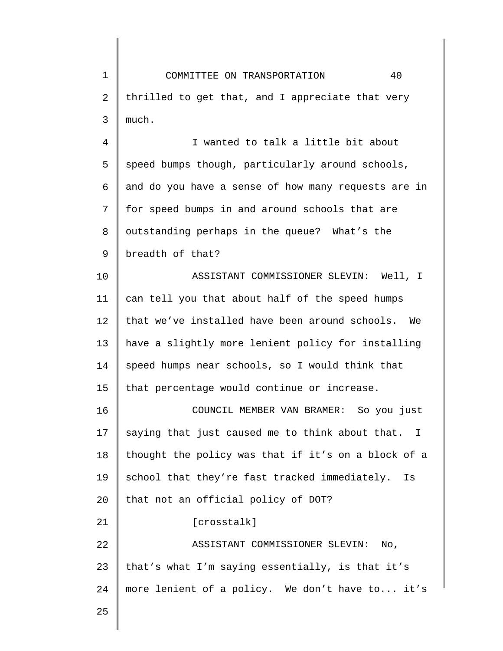1 2 3 COMMITTEE ON TRANSPORTATION 40 thrilled to get that, and I appreciate that very much.

4 5 6 7 8 9 I wanted to talk a little bit about speed bumps though, particularly around schools, and do you have a sense of how many requests are in for speed bumps in and around schools that are outstanding perhaps in the queue? What's the breadth of that?

10 11 12 13 14 15 ASSISTANT COMMISSIONER SLEVIN: Well, I can tell you that about half of the speed humps that we've installed have been around schools. We have a slightly more lenient policy for installing speed humps near schools, so I would think that that percentage would continue or increase.

16 17 18 19 20 21 COUNCIL MEMBER VAN BRAMER: So you just saying that just caused me to think about that. I thought the policy was that if it's on a block of a school that they're fast tracked immediately. Is that not an official policy of DOT? [crosstalk]

22 23 24 ASSISTANT COMMISSIONER SLEVIN: No, that's what I'm saying essentially, is that it's more lenient of a policy. We don't have to... it's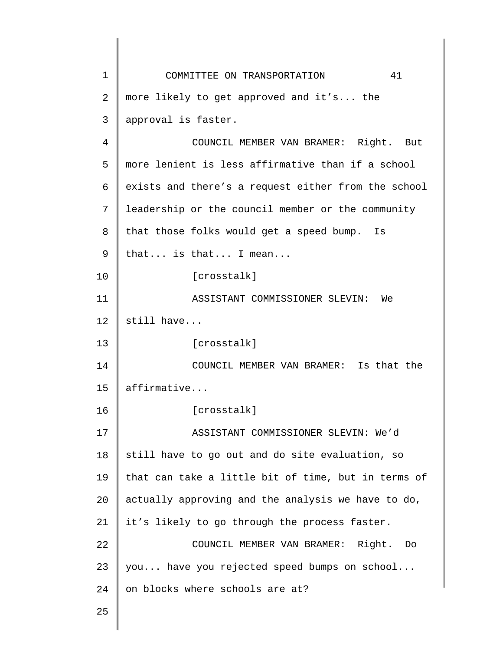1 2 3 4 5 6 7 8 9 10 11 12 13 14 15 16 17 18 19 20 21 22 23 24 25 COMMITTEE ON TRANSPORTATION 41 more likely to get approved and it's... the approval is faster. COUNCIL MEMBER VAN BRAMER: Right. But more lenient is less affirmative than if a school exists and there's a request either from the school leadership or the council member or the community that those folks would get a speed bump. Is that... is that... I mean... [crosstalk] ASSISTANT COMMISSIONER SLEVIN: We still have... [crosstalk] COUNCIL MEMBER VAN BRAMER: Is that the affirmative... [crosstalk] ASSISTANT COMMISSIONER SLEVIN: We'd still have to go out and do site evaluation, so that can take a little bit of time, but in terms of actually approving and the analysis we have to do, it's likely to go through the process faster. COUNCIL MEMBER VAN BRAMER: Right. Do you... have you rejected speed bumps on school... on blocks where schools are at?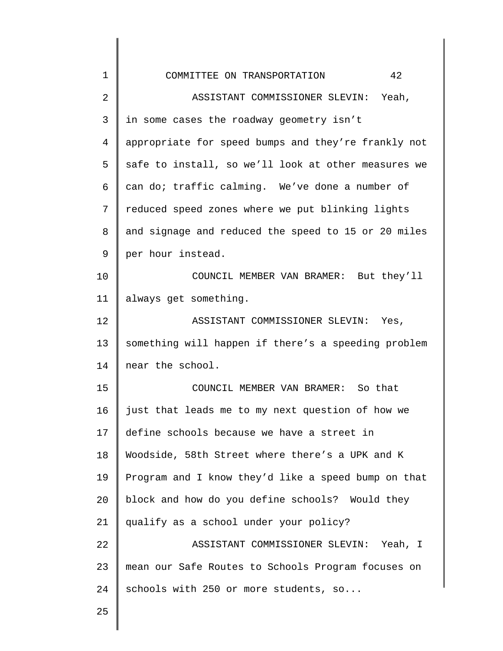| 1  | 42<br>COMMITTEE ON TRANSPORTATION                   |
|----|-----------------------------------------------------|
| 2  | ASSISTANT COMMISSIONER SLEVIN: Yeah,                |
| 3  | in some cases the roadway geometry isn't            |
| 4  | appropriate for speed bumps and they're frankly not |
| 5  | safe to install, so we'll look at other measures we |
| 6  | can do; traffic calming. We've done a number of     |
| 7  | reduced speed zones where we put blinking lights    |
| 8  | and signage and reduced the speed to 15 or 20 miles |
| 9  | per hour instead.                                   |
| 10 | COUNCIL MEMBER VAN BRAMER: But they'll              |
| 11 | always get something.                               |
| 12 | ASSISTANT COMMISSIONER SLEVIN: Yes,                 |
| 13 | something will happen if there's a speeding problem |
| 14 | near the school.                                    |
| 15 | COUNCIL MEMBER VAN BRAMER: So that                  |
| 16 | just that leads me to my next question of how we    |
| 17 | define schools because we have a street in          |
| 18 | Woodside, 58th Street where there's a UPK and K     |
| 19 | Program and I know they'd like a speed bump on that |
| 20 | block and how do you define schools? Would they     |
| 21 | qualify as a school under your policy?              |
| 22 | ASSISTANT COMMISSIONER SLEVIN: Yeah, I              |
| 23 | mean our Safe Routes to Schools Program focuses on  |
| 24 | schools with 250 or more students, so               |
| 25 |                                                     |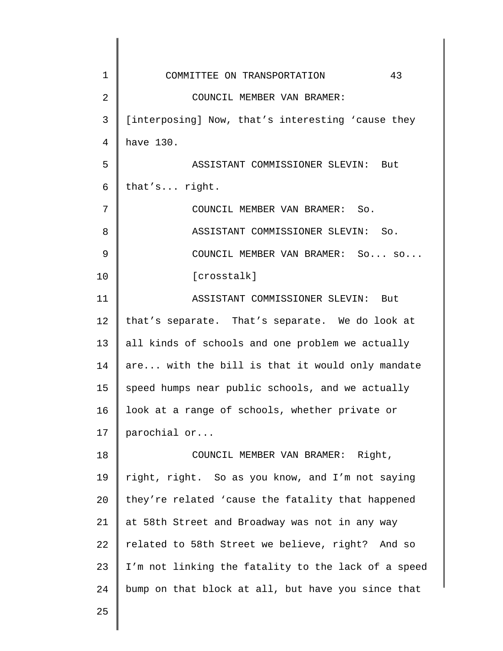| 1              | 43<br>COMMITTEE ON TRANSPORTATION                   |
|----------------|-----------------------------------------------------|
| $\overline{2}$ | COUNCIL MEMBER VAN BRAMER:                          |
| 3              | [interposing] Now, that's interesting 'cause they   |
| 4              | have 130.                                           |
| 5              | ASSISTANT COMMISSIONER SLEVIN: But                  |
| 6              | that's right.                                       |
| 7              | COUNCIL MEMBER VAN BRAMER: So.                      |
| 8              | ASSISTANT COMMISSIONER SLEVIN: So.                  |
| 9              | COUNCIL MEMBER VAN BRAMER: So so                    |
| 10             | [crosstalk]                                         |
| 11             | ASSISTANT COMMISSIONER SLEVIN: But                  |
| 12             | that's separate. That's separate. We do look at     |
| 13             | all kinds of schools and one problem we actually    |
| 14             | are with the bill is that it would only mandate     |
| 15             | speed humps near public schools, and we actually    |
| 16             | look at a range of schools, whether private or      |
| 17             | parochial or                                        |
| 18             | COUNCIL MEMBER VAN BRAMER: Right,                   |
| 19             | right, right. So as you know, and I'm not saying    |
| 20             | they're related 'cause the fatality that happened   |
| 21             | at 58th Street and Broadway was not in any way      |
| 22             | related to 58th Street we believe, right? And so    |
| 23             | I'm not linking the fatality to the lack of a speed |
| 24             | bump on that block at all, but have you since that  |
| 25             |                                                     |

║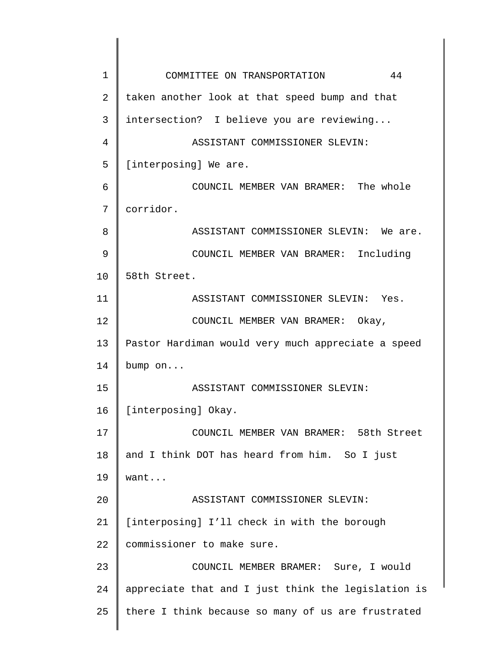1 2 3 4 5 6 7 8 9 10 11 12 13 14 15 16 17 18 19 20 21 22 23 24 25 COMMITTEE ON TRANSPORTATION 44 taken another look at that speed bump and that intersection? I believe you are reviewing... ASSISTANT COMMISSIONER SLEVIN: [interposing] We are. COUNCIL MEMBER VAN BRAMER: The whole corridor. ASSISTANT COMMISSIONER SLEVIN: We are. COUNCIL MEMBER VAN BRAMER: Including 58th Street. ASSISTANT COMMISSIONER SLEVIN: Yes. COUNCIL MEMBER VAN BRAMER: Okay, Pastor Hardiman would very much appreciate a speed bump on... ASSISTANT COMMISSIONER SLEVIN: [interposing] Okay. COUNCIL MEMBER VAN BRAMER: 58th Street and I think DOT has heard from him. So I just want... ASSISTANT COMMISSIONER SLEVIN: [interposing] I'll check in with the borough commissioner to make sure. COUNCIL MEMBER BRAMER: Sure, I would appreciate that and I just think the legislation is there I think because so many of us are frustrated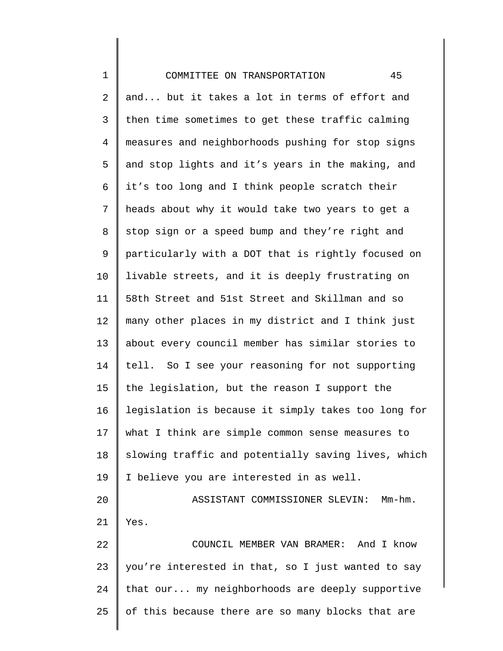| $\mathbf 1$ | 45<br>COMMITTEE ON TRANSPORTATION                   |
|-------------|-----------------------------------------------------|
| 2           | and but it takes a lot in terms of effort and       |
| 3           | then time sometimes to get these traffic calming    |
| 4           | measures and neighborhoods pushing for stop signs   |
| 5           | and stop lights and it's years in the making, and   |
| 6           | it's too long and I think people scratch their      |
| 7           | heads about why it would take two years to get a    |
| 8           | stop sign or a speed bump and they're right and     |
| 9           | particularly with a DOT that is rightly focused on  |
| 10          | livable streets, and it is deeply frustrating on    |
| 11          | 58th Street and 51st Street and Skillman and so     |
| 12          | many other places in my district and I think just   |
| 13          | about every council member has similar stories to   |
| 14          | tell. So I see your reasoning for not supporting    |
| 15          | the legislation, but the reason I support the       |
| 16          | legislation is because it simply takes too long for |
| 17          | what I think are simple common sense measures to    |
| 18          | slowing traffic and potentially saving lives, which |
| 19          | I believe you are interested in as well.            |
| 20          | ASSISTANT COMMISSIONER SLEVIN:<br>Mm-hm.            |
| 21          | Yes.                                                |
| 22          | COUNCIL MEMBER VAN BRAMER: And I know               |
| 23          | you're interested in that, so I just wanted to say  |
| 24          | that our my neighborhoods are deeply supportive     |
| 25          | of this because there are so many blocks that are   |
|             |                                                     |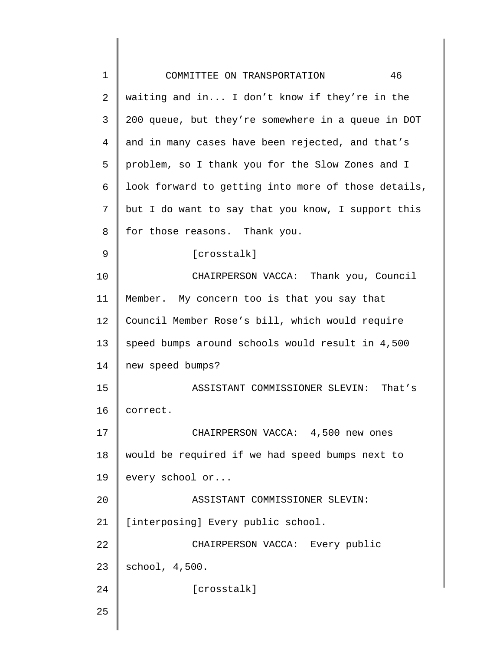| $\mathbf 1$ | 46<br>COMMITTEE ON TRANSPORTATION                   |
|-------------|-----------------------------------------------------|
| 2           | waiting and in I don't know if they're in the       |
| 3           | 200 queue, but they're somewhere in a queue in DOT  |
| 4           | and in many cases have been rejected, and that's    |
| 5           | problem, so I thank you for the Slow Zones and I    |
| 6           | look forward to getting into more of those details, |
| 7           | but I do want to say that you know, I support this  |
| 8           | for those reasons. Thank you.                       |
| 9           | [crosstalk]                                         |
| 10          | CHAIRPERSON VACCA: Thank you, Council               |
| 11          | Member. My concern too is that you say that         |
| 12          | Council Member Rose's bill, which would require     |
| 13          | speed bumps around schools would result in 4,500    |
| 14          | new speed bumps?                                    |
| 15          | ASSISTANT COMMISSIONER SLEVIN:<br>That's            |
| 16          | correct.                                            |
| 17          | CHAIRPERSON VACCA: 4,500 new ones                   |
| 18          | would be required if we had speed bumps next to     |
| 19          | every school or                                     |
| 20          | ASSISTANT COMMISSIONER SLEVIN:                      |
| 21          | [interposing] Every public school.                  |
| 22          | CHAIRPERSON VACCA: Every public                     |
| 23          | school, 4,500.                                      |
| 24          | [crosstalk]                                         |
| 25          |                                                     |
|             |                                                     |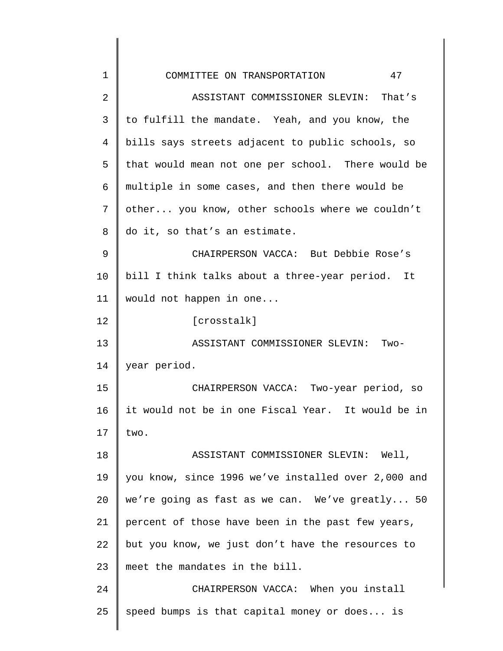| $\mathbf 1$ | 47<br>COMMITTEE ON TRANSPORTATION                   |
|-------------|-----------------------------------------------------|
| 2           | ASSISTANT COMMISSIONER SLEVIN: That's               |
| 3           | to fulfill the mandate. Yeah, and you know, the     |
| 4           | bills says streets adjacent to public schools, so   |
| 5           | that would mean not one per school. There would be  |
| 6           | multiple in some cases, and then there would be     |
| 7           | other you know, other schools where we couldn't     |
| 8           | do it, so that's an estimate.                       |
| 9           | CHAIRPERSON VACCA: But Debbie Rose's                |
| 10          | bill I think talks about a three-year period. It    |
| 11          | would not happen in one                             |
| 12          | [crosstalk]                                         |
| 13          | ASSISTANT COMMISSIONER SLEVIN: Two-                 |
| 14          | year period.                                        |
| 15          | CHAIRPERSON VACCA: Two-year period, so              |
| 16          | it would not be in one Fiscal Year. It would be in  |
| 17          | two.                                                |
| 18          | ASSISTANT COMMISSIONER SLEVIN: Well,                |
| 19          | you know, since 1996 we've installed over 2,000 and |
| 20          | we're going as fast as we can. We've greatly 50     |
| 21          | percent of those have been in the past few years,   |
| 22          | but you know, we just don't have the resources to   |
| 23          | meet the mandates in the bill.                      |
| 24          | CHAIRPERSON VACCA: When you install                 |
| 25          | speed bumps is that capital money or does is        |
|             |                                                     |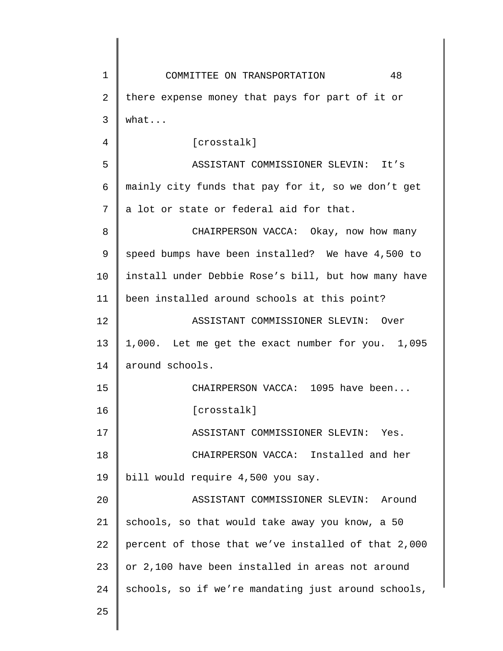1 2 3 4 5 6 7 8 9 10 11 12 13 14 15 16 17 18 19 20 21 22 23 24 25 COMMITTEE ON TRANSPORTATION 48 there expense money that pays for part of it or what... [crosstalk] ASSISTANT COMMISSIONER SLEVIN: It's mainly city funds that pay for it, so we don't get a lot or state or federal aid for that. CHAIRPERSON VACCA: Okay, now how many speed bumps have been installed? We have 4,500 to install under Debbie Rose's bill, but how many have been installed around schools at this point? ASSISTANT COMMISSIONER SLEVIN: Over 1,000. Let me get the exact number for you. 1,095 around schools. CHAIRPERSON VACCA: 1095 have been... [crosstalk] ASSISTANT COMMISSIONER SLEVIN: Yes. CHAIRPERSON VACCA: Installed and her bill would require 4,500 you say. ASSISTANT COMMISSIONER SLEVIN: Around schools, so that would take away you know, a 50 percent of those that we've installed of that 2,000 or 2,100 have been installed in areas not around schools, so if we're mandating just around schools,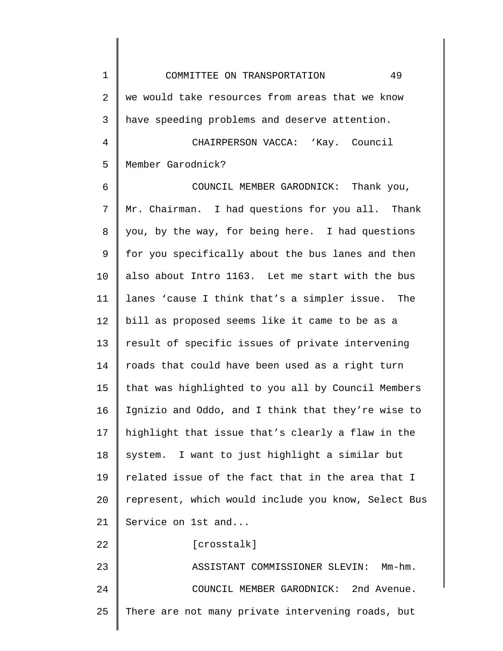1 2 3 4 5 6 7 8 9 10 11 12 13 14 15 16 17 18 19 20 21 22 23 24 25 COMMITTEE ON TRANSPORTATION 49 we would take resources from areas that we know have speeding problems and deserve attention. CHAIRPERSON VACCA: 'Kay. Council Member Garodnick? COUNCIL MEMBER GARODNICK: Thank you, Mr. Chairman. I had questions for you all. Thank you, by the way, for being here. I had questions for you specifically about the bus lanes and then also about Intro 1163. Let me start with the bus lanes 'cause I think that's a simpler issue. The bill as proposed seems like it came to be as a result of specific issues of private intervening roads that could have been used as a right turn that was highlighted to you all by Council Members Ignizio and Oddo, and I think that they're wise to highlight that issue that's clearly a flaw in the system. I want to just highlight a similar but related issue of the fact that in the area that I represent, which would include you know, Select Bus Service on 1st and... [crosstalk] ASSISTANT COMMISSIONER SLEVIN: Mm-hm. COUNCIL MEMBER GARODNICK: 2nd Avenue. There are not many private intervening roads, but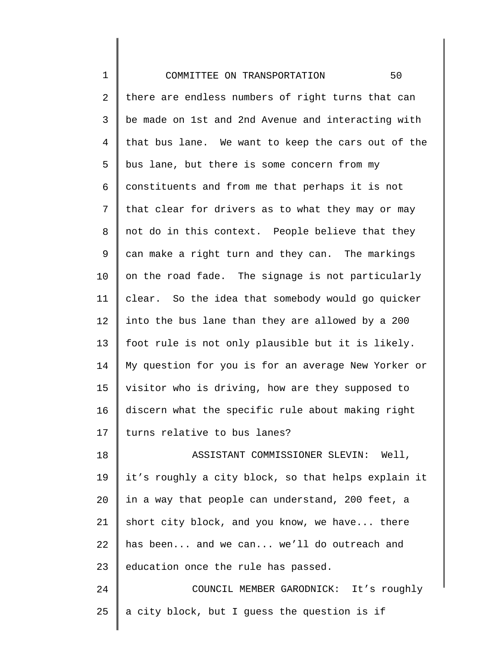1 2 3 4 5 6 7 8 9 10 11 12 13 14 15 16 17 18 19 20 21 22 23 24 25 COMMITTEE ON TRANSPORTATION 50 there are endless numbers of right turns that can be made on 1st and 2nd Avenue and interacting with that bus lane. We want to keep the cars out of the bus lane, but there is some concern from my constituents and from me that perhaps it is not that clear for drivers as to what they may or may not do in this context. People believe that they can make a right turn and they can. The markings on the road fade. The signage is not particularly clear. So the idea that somebody would go quicker into the bus lane than they are allowed by a 200 foot rule is not only plausible but it is likely. My question for you is for an average New Yorker or visitor who is driving, how are they supposed to discern what the specific rule about making right turns relative to bus lanes? ASSISTANT COMMISSIONER SLEVIN: Well, it's roughly a city block, so that helps explain it in a way that people can understand, 200 feet, a short city block, and you know, we have... there has been... and we can... we'll do outreach and education once the rule has passed. COUNCIL MEMBER GARODNICK: It's roughly a city block, but I guess the question is if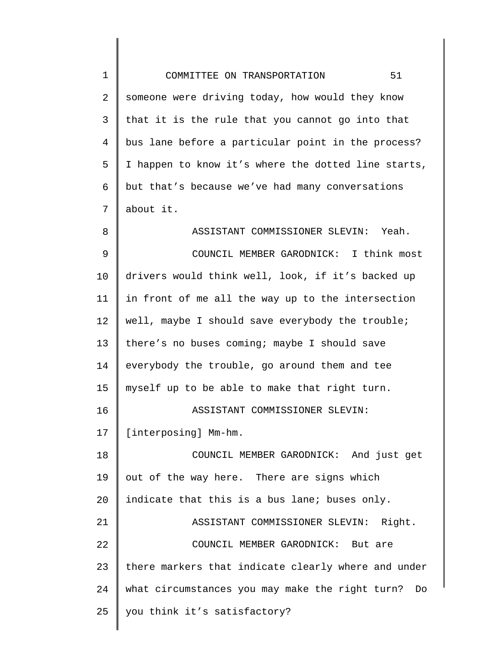| $\mathbf 1$    | 51<br>COMMITTEE ON TRANSPORTATION                   |
|----------------|-----------------------------------------------------|
| $\overline{2}$ | someone were driving today, how would they know     |
| $\mathsf{3}$   | that it is the rule that you cannot go into that    |
| $\overline{4}$ | bus lane before a particular point in the process?  |
| 5              | I happen to know it's where the dotted line starts, |
| 6              | but that's because we've had many conversations     |
| 7              | about it.                                           |
| 8              | ASSISTANT COMMISSIONER SLEVIN: Yeah.                |
| $\mathsf 9$    | COUNCIL MEMBER GARODNICK: I think most              |
| 10             | drivers would think well, look, if it's backed up   |
| 11             | in front of me all the way up to the intersection   |
| 12             | well, maybe I should save everybody the trouble;    |
| 13             | there's no buses coming; maybe I should save        |
| 14             | everybody the trouble, go around them and tee       |
| 15             | myself up to be able to make that right turn.       |
| 16             | ASSISTANT COMMISSIONER SLEVIN:                      |
| 17             | [interposing] Mm-hm.                                |
| 18             | COUNCIL MEMBER GARODNICK: And just get              |
| 19             | out of the way here. There are signs which          |
| 20             | indicate that this is a bus lane; buses only.       |
| 21             | ASSISTANT COMMISSIONER SLEVIN: Right.               |
| 22             | COUNCIL MEMBER GARODNICK: But are                   |
| 23             | there markers that indicate clearly where and under |
| 24             | what circumstances you may make the right turn? Do  |
| 25             | you think it's satisfactory?                        |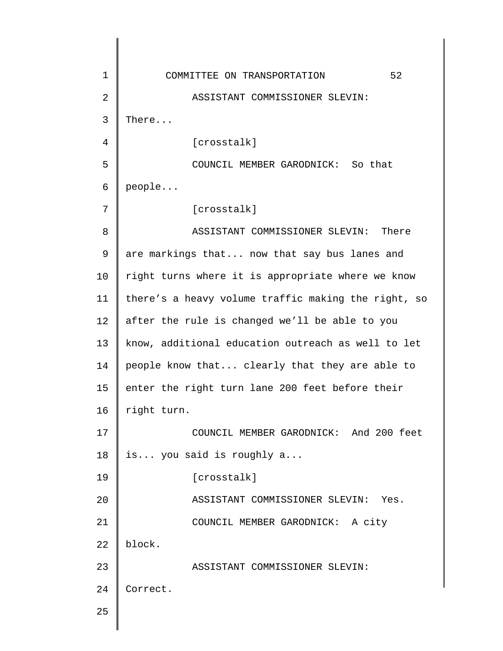1 2 3 4 5 6 7 8 9 10 11 12 13 14 15 16 17 18 19 20 21 22 23 24 25 COMMITTEE ON TRANSPORTATION 52 ASSISTANT COMMISSIONER SLEVIN: There... [crosstalk] COUNCIL MEMBER GARODNICK: So that people... [crosstalk] ASSISTANT COMMISSIONER SLEVIN: There are markings that... now that say bus lanes and right turns where it is appropriate where we know there's a heavy volume traffic making the right, so after the rule is changed we'll be able to you know, additional education outreach as well to let people know that... clearly that they are able to enter the right turn lane 200 feet before their right turn. COUNCIL MEMBER GARODNICK: And 200 feet is... you said is roughly a... [crosstalk] ASSISTANT COMMISSIONER SLEVIN: Yes. COUNCIL MEMBER GARODNICK: A city block. ASSISTANT COMMISSIONER SLEVIN: Correct.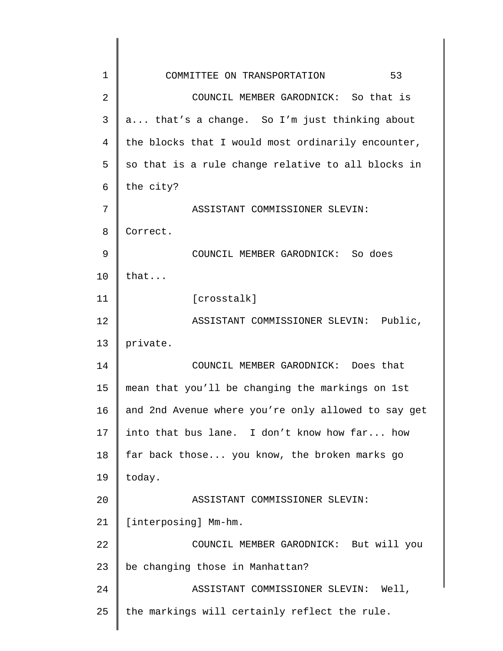| $\mathbf 1$    | 53<br>COMMITTEE ON TRANSPORTATION                   |
|----------------|-----------------------------------------------------|
| $\overline{2}$ | COUNCIL MEMBER GARODNICK: So that is                |
| 3              | a that's a change. So I'm just thinking about       |
| 4              | the blocks that I would most ordinarily encounter,  |
| 5              | so that is a rule change relative to all blocks in  |
| 6              | the city?                                           |
| 7              | ASSISTANT COMMISSIONER SLEVIN:                      |
| 8              | Correct.                                            |
| 9              | COUNCIL MEMBER GARODNICK: So does                   |
| 10             | that                                                |
| 11             | [crosstalk]                                         |
| 12             | ASSISTANT COMMISSIONER SLEVIN: Public,              |
| 13             | private.                                            |
| 14             | COUNCIL MEMBER GARODNICK: Does that                 |
| 15             | mean that you'll be changing the markings on 1st    |
| 16             | and 2nd Avenue where you're only allowed to say get |
| 17             | into that bus lane. I don't know how far how        |
| 18             | far back those you know, the broken marks go        |
| 19             | today.                                              |
| 20             | ASSISTANT COMMISSIONER SLEVIN:                      |
| 21             | [interposing] Mm-hm.                                |
| 22             | COUNCIL MEMBER GARODNICK: But will you              |
| 23             | be changing those in Manhattan?                     |
| 24             | ASSISTANT COMMISSIONER SLEVIN: Well,                |
| 25             | the markings will certainly reflect the rule.       |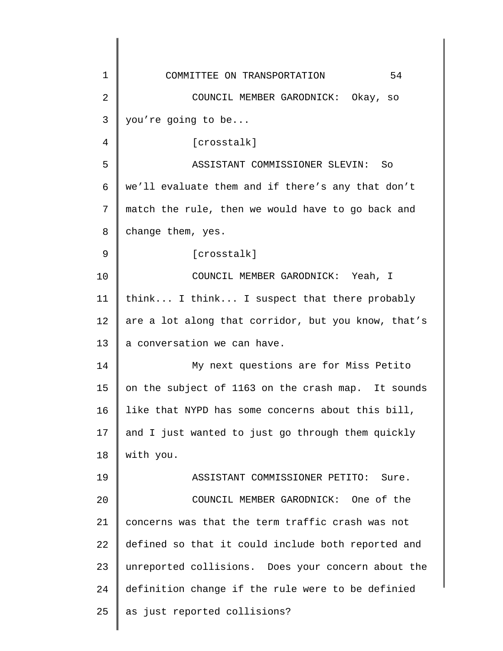| $\mathbf 1$    | 54<br>COMMITTEE ON TRANSPORTATION                   |
|----------------|-----------------------------------------------------|
| $\overline{2}$ | COUNCIL MEMBER GARODNICK: Okay, so                  |
| 3              | you're going to be                                  |
| 4              | [crosstalk]                                         |
| 5              | ASSISTANT COMMISSIONER SLEVIN:<br>So                |
| 6              | we'll evaluate them and if there's any that don't   |
| 7              | match the rule, then we would have to go back and   |
| 8              | change them, yes.                                   |
| 9              | [crosstalk]                                         |
| 10             | COUNCIL MEMBER GARODNICK: Yeah, I                   |
| 11             | think I think I suspect that there probably         |
| 12             | are a lot along that corridor, but you know, that's |
| 13             | a conversation we can have.                         |
| 14             | My next questions are for Miss Petito               |
| 15             | on the subject of 1163 on the crash map. It sounds  |
| 16             | like that NYPD has some concerns about this bill,   |
| 17             | and I just wanted to just go through them quickly   |
| 18             | with you.                                           |
| 19             | ASSISTANT COMMISSIONER PETITO:<br>Sure.             |
| 20             | COUNCIL MEMBER GARODNICK: One of the                |
| 21             | concerns was that the term traffic crash was not    |
| 22             | defined so that it could include both reported and  |
| 23             | unreported collisions. Does your concern about the  |
| 24             | definition change if the rule were to be definied   |
| 25             | as just reported collisions?                        |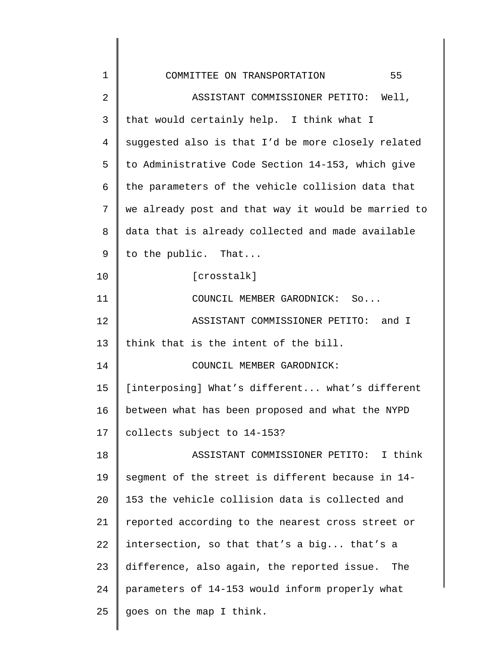| $\mathbf 1$ | 55<br>COMMITTEE ON TRANSPORTATION                   |
|-------------|-----------------------------------------------------|
| 2           | ASSISTANT COMMISSIONER PETITO: Well,                |
| 3           | that would certainly help. I think what I           |
| 4           | suggested also is that I'd be more closely related  |
| 5           | to Administrative Code Section 14-153, which give   |
| 6           | the parameters of the vehicle collision data that   |
| 7           | we already post and that way it would be married to |
| 8           | data that is already collected and made available   |
| 9           | to the public. That                                 |
| 10          | [crosstalk]                                         |
| 11          | COUNCIL MEMBER GARODNICK: So                        |
| 12          | ASSISTANT COMMISSIONER PETITO: and I                |
| 13          | think that is the intent of the bill.               |
| 14          | COUNCIL MEMBER GARODNICK:                           |
| 15          | [interposing] What's different what's different     |
| 16          | between what has been proposed and what the NYPD    |
| 17          | collects subject to 14-153?                         |
| 18          | ASSISTANT COMMISSIONER PETITO: I think              |
| 19          | segment of the street is different because in 14-   |
| 20          | 153 the vehicle collision data is collected and     |
| 21          | reported according to the nearest cross street or   |
| 22          | intersection, so that that's a big that's a         |
| 23          | difference, also again, the reported issue.<br>The  |
| 24          | parameters of 14-153 would inform properly what     |
| 25          | goes on the map I think.                            |
|             |                                                     |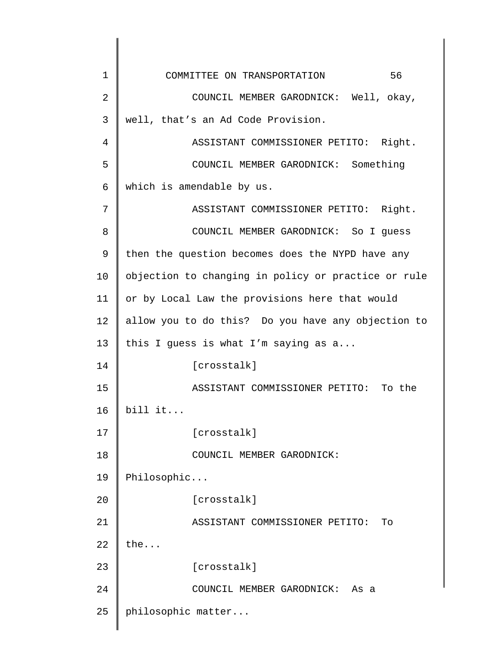| $\mathbf 1$ | 56<br>COMMITTEE ON TRANSPORTATION                   |
|-------------|-----------------------------------------------------|
| 2           | COUNCIL MEMBER GARODNICK: Well, okay,               |
| 3           | well, that's an Ad Code Provision.                  |
| 4           | ASSISTANT COMMISSIONER PETITO: Right.               |
| 5           | COUNCIL MEMBER GARODNICK: Something                 |
| 6           | which is amendable by us.                           |
| 7           | ASSISTANT COMMISSIONER PETITO: Right.               |
| 8           | COUNCIL MEMBER GARODNICK: So I guess                |
| 9           | then the question becomes does the NYPD have any    |
| 10          | objection to changing in policy or practice or rule |
| 11          | or by Local Law the provisions here that would      |
| 12          | allow you to do this? Do you have any objection to  |
| 13          | this I guess is what I'm saying as a                |
| 14          | [crosstalk]                                         |
| 15          | ASSISTANT COMMISSIONER PETITO: To the               |
| 16          | bill it                                             |
| 17          | [crosstalk]                                         |
| 18          | COUNCIL MEMBER GARODNICK:                           |
| 19          | Philosophic                                         |
| 20          | [crosstalk]                                         |
| 21          | ASSISTANT COMMISSIONER PETITO:<br>To                |
| 22          | the                                                 |
| 23          | [crosstalk]                                         |
| 24          | COUNCIL MEMBER GARODNICK: As a                      |
| 25          | philosophic matter                                  |
|             |                                                     |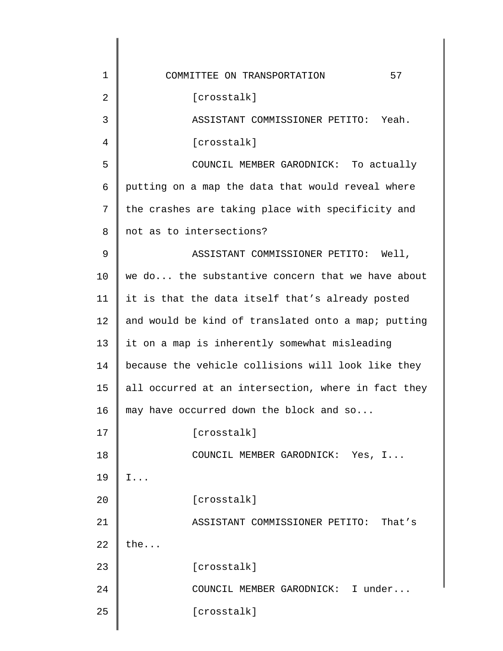| 1  | 57<br>COMMITTEE ON TRANSPORTATION                   |
|----|-----------------------------------------------------|
| 2  | [crosstalk]                                         |
| 3  | ASSISTANT COMMISSIONER PETITO: Yeah.                |
| 4  | [crosstalk]                                         |
| 5  | COUNCIL MEMBER GARODNICK: To actually               |
| 6  | putting on a map the data that would reveal where   |
| 7  | the crashes are taking place with specificity and   |
| 8  | not as to intersections?                            |
| 9  | ASSISTANT COMMISSIONER PETITO: Well,                |
| 10 | we do the substantive concern that we have about    |
| 11 | it is that the data itself that's already posted    |
| 12 | and would be kind of translated onto a map; putting |
| 13 | it on a map is inherently somewhat misleading       |
| 14 | because the vehicle collisions will look like they  |
| 15 | all occurred at an intersection, where in fact they |
| 16 | may have occurred down the block and so             |
| 17 | [crosstalk]                                         |
| 18 | COUNCIL MEMBER GARODNICK: Yes, I                    |
| 19 | $I \ldots$                                          |
| 20 | [crosstalk]                                         |
| 21 | ASSISTANT COMMISSIONER PETITO: That's               |
| 22 | the                                                 |
| 23 | [crosstalk]                                         |
| 24 | COUNCIL MEMBER GARODNICK: I under                   |
| 25 | [crosstalk]                                         |
|    |                                                     |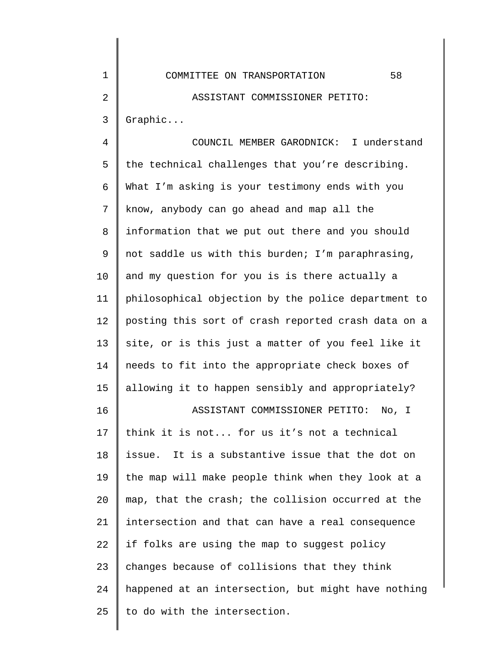| 1              | 58<br>COMMITTEE ON TRANSPORTATION                   |
|----------------|-----------------------------------------------------|
| $\overline{2}$ | ASSISTANT COMMISSIONER PETITO:                      |
| $\mathsf{3}$   | Graphic                                             |
| $\overline{4}$ | COUNCIL MEMBER GARODNICK: I understand              |
| 5              | the technical challenges that you're describing.    |
| 6              | What I'm asking is your testimony ends with you     |
| 7              | know, anybody can go ahead and map all the          |
| 8              | information that we put out there and you should    |
| 9              | not saddle us with this burden; I'm paraphrasing,   |
| 10             | and my question for you is is there actually a      |
| 11             | philosophical objection by the police department to |
| 12             | posting this sort of crash reported crash data on a |
| 13             | site, or is this just a matter of you feel like it  |
| 14             | needs to fit into the appropriate check boxes of    |
| 15             | allowing it to happen sensibly and appropriately?   |
| 16             | ASSISTANT COMMISSIONER PETITO:<br>No, I             |
| 17             | think it is not for us it's not a technical         |
| 18             | issue. It is a substantive issue that the dot on    |
| 19             | the map will make people think when they look at a  |
| 20             | map, that the crash; the collision occurred at the  |
| 21             | intersection and that can have a real consequence   |
|                |                                                     |

23 24 25 if folks are using the map to suggest policy changes because of collisions that they think happened at an intersection, but might have nothing to do with the intersection.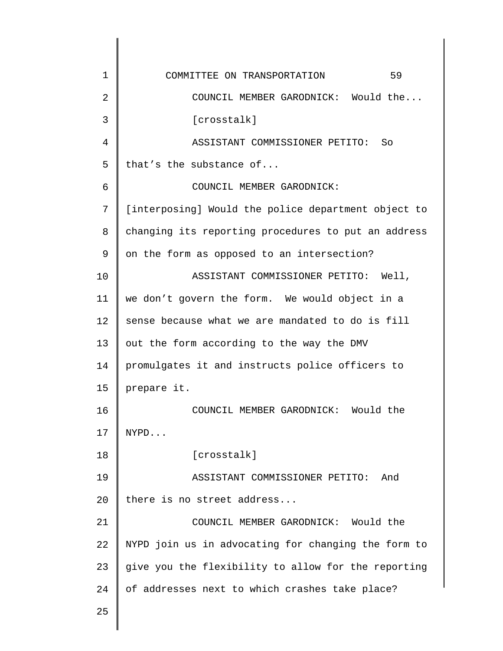| $\mathbf 1$ | 59<br>COMMITTEE ON TRANSPORTATION                   |
|-------------|-----------------------------------------------------|
| 2           | COUNCIL MEMBER GARODNICK: Would the                 |
| 3           | [crosstalk]                                         |
| 4           | ASSISTANT COMMISSIONER PETITO:<br>So                |
| 5           | that's the substance of                             |
| 6           | COUNCIL MEMBER GARODNICK:                           |
| 7           | [interposing] Would the police department object to |
| 8           | changing its reporting procedures to put an address |
| 9           | on the form as opposed to an intersection?          |
| 10          | ASSISTANT COMMISSIONER PETITO:<br>Well,             |
| 11          | we don't govern the form. We would object in a      |
| 12          | sense because what we are mandated to do is fill    |
| 13          | out the form according to the way the DMV           |
| 14          | promulgates it and instructs police officers to     |
| 15          | prepare it.                                         |
| 16          | COUNCIL MEMBER GARODNICK: Would the                 |
| 17          | NYPD                                                |
| 18          | [crosstalk]                                         |
| 19          | ASSISTANT COMMISSIONER PETITO:<br>And               |
| 20          | there is no street address                          |
| 21          | COUNCIL MEMBER GARODNICK: Would the                 |
| 22          | NYPD join us in advocating for changing the form to |
| 23          | give you the flexibility to allow for the reporting |
| 24          | of addresses next to which crashes take place?      |
| 25          |                                                     |
|             |                                                     |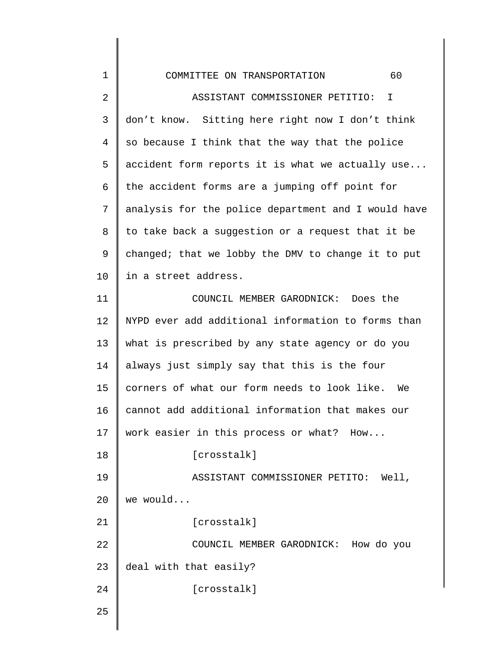| $\mathbf 1$    | 60<br>COMMITTEE ON TRANSPORTATION                   |
|----------------|-----------------------------------------------------|
| $\overline{2}$ | ASSISTANT COMMISSIONER PETITIO:<br>$\mathbf I$      |
| 3              | don't know. Sitting here right now I don't think    |
| 4              | so because I think that the way that the police     |
| 5              | accident form reports it is what we actually use    |
| 6              | the accident forms are a jumping off point for      |
| 7              | analysis for the police department and I would have |
| 8              | to take back a suggestion or a request that it be   |
| 9              | changed; that we lobby the DMV to change it to put  |
| 10             | in a street address.                                |
| 11             | COUNCIL MEMBER GARODNICK: Does the                  |
| 12             | NYPD ever add additional information to forms than  |
| 13             | what is prescribed by any state agency or do you    |
| 14             | always just simply say that this is the four        |
| 15             | corners of what our form needs to look like.<br>We  |
| 16             | cannot add additional information that makes our    |
| 17             | work easier in this process or what? How            |
| 18             | [crosstalk]                                         |
| 19             | ASSISTANT COMMISSIONER PETITO: Well,                |
| 20             | we would                                            |
| 21             | [crosstalk]                                         |
| 22             | COUNCIL MEMBER GARODNICK: How do you                |
| 23             | deal with that easily?                              |
| 24             | [crosstalk]                                         |
| 25             |                                                     |
|                |                                                     |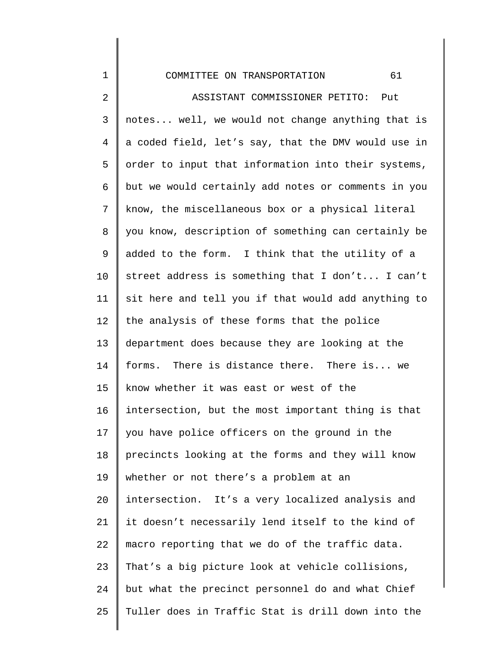## COMMITTEE ON TRANSPORTATION 61

1

2 3 4 5 6 7 8 9 10 11 12 13 14 15 16 17 18 19 20 21 22 23 24 25 ASSISTANT COMMISSIONER PETITO: Put notes... well, we would not change anything that is a coded field, let's say, that the DMV would use in order to input that information into their systems, but we would certainly add notes or comments in you know, the miscellaneous box or a physical literal you know, description of something can certainly be added to the form. I think that the utility of a street address is something that I don't... I can't sit here and tell you if that would add anything to the analysis of these forms that the police department does because they are looking at the forms. There is distance there. There is... we know whether it was east or west of the intersection, but the most important thing is that you have police officers on the ground in the precincts looking at the forms and they will know whether or not there's a problem at an intersection. It's a very localized analysis and it doesn't necessarily lend itself to the kind of macro reporting that we do of the traffic data. That's a big picture look at vehicle collisions, but what the precinct personnel do and what Chief Tuller does in Traffic Stat is drill down into the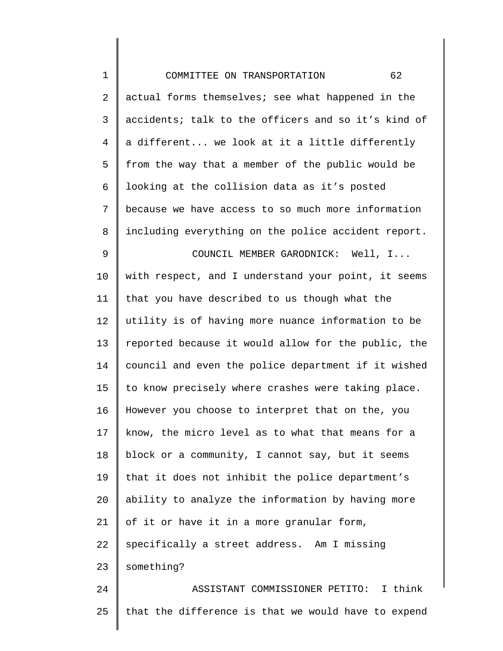| $\mathbf 1$    | 62<br>COMMITTEE ON TRANSPORTATION                   |
|----------------|-----------------------------------------------------|
| $\overline{2}$ | actual forms themselves; see what happened in the   |
| 3              | accidents; talk to the officers and so it's kind of |
| 4              | a different we look at it a little differently      |
| 5              | from the way that a member of the public would be   |
| 6              | looking at the collision data as it's posted        |
| 7              | because we have access to so much more information  |
| 8              | including everything on the police accident report. |
| 9              | COUNCIL MEMBER GARODNICK: Well, I                   |
| 10             | with respect, and I understand your point, it seems |
| 11             | that you have described to us though what the       |
| 12             | utility is of having more nuance information to be  |
| 13             | reported because it would allow for the public, the |
| 14             | council and even the police department if it wished |
| 15             | to know precisely where crashes were taking place.  |
| 16             | However you choose to interpret that on the, you    |
| 17             | know, the micro level as to what that means for a   |
| 18             | block or a community, I cannot say, but it seems    |
| 19             | that it does not inhibit the police department's    |
| 20             | ability to analyze the information by having more   |
| 21             | of it or have it in a more granular form,           |
| 22             | specifically a street address. Am I missing         |
| 23             | something?                                          |
| 24             | ASSISTANT COMMISSIONER PETITO: I think              |
| 25             | that the difference is that we would have to expend |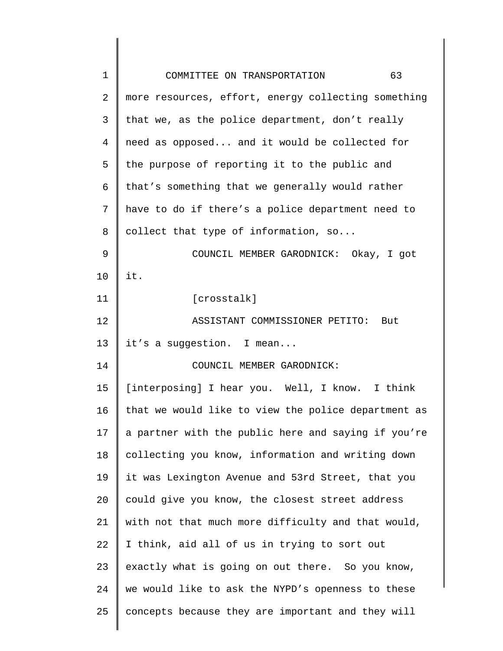| $\mathbf 1$    | 63<br>COMMITTEE ON TRANSPORTATION                   |
|----------------|-----------------------------------------------------|
| $\overline{2}$ | more resources, effort, energy collecting something |
| 3              | that we, as the police department, don't really     |
| 4              | need as opposed and it would be collected for       |
| 5              | the purpose of reporting it to the public and       |
| 6              | that's something that we generally would rather     |
| 7              | have to do if there's a police department need to   |
| 8              | collect that type of information, so                |
| 9              | COUNCIL MEMBER GARODNICK: Okay, I got               |
| 10             | it.                                                 |
| 11             | [crosstalk]                                         |
| 12             | ASSISTANT COMMISSIONER PETITO: But                  |
| 13             | it's a suggestion. I mean                           |
| 14             | COUNCIL MEMBER GARODNICK:                           |
| 15             | [interposing] I hear you. Well, I know. I think     |
| 16             | that we would like to view the police department as |
| 17             | a partner with the public here and saying if you're |
| 18             | collecting you know, information and writing down   |
| 19             | it was Lexington Avenue and 53rd Street, that you   |
| 20             | could give you know, the closest street address     |
| 21             | with not that much more difficulty and that would,  |
| 22             | I think, aid all of us in trying to sort out        |
| 23             | exactly what is going on out there. So you know,    |
| 24             | we would like to ask the NYPD's openness to these   |
| 25             | concepts because they are important and they will   |
|                |                                                     |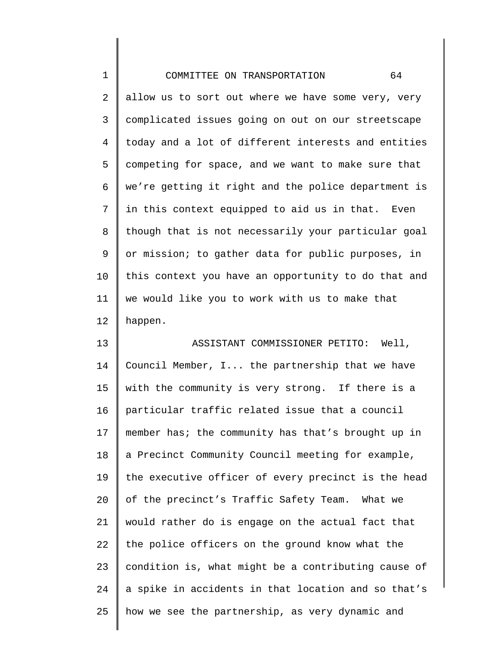| $\mathbf 1$ | 64<br>COMMITTEE ON TRANSPORTATION                   |
|-------------|-----------------------------------------------------|
| $\sqrt{2}$  | allow us to sort out where we have some very, very  |
| 3           | complicated issues going on out on our streetscape  |
| 4           | today and a lot of different interests and entities |
| 5           | competing for space, and we want to make sure that  |
| 6           | we're getting it right and the police department is |
| 7           | in this context equipped to aid us in that. Even    |
| 8           | though that is not necessarily your particular goal |
| 9           | or mission; to gather data for public purposes, in  |
| 10          | this context you have an opportunity to do that and |
| 11          | we would like you to work with us to make that      |
| 12          | happen.                                             |
| 13          | ASSISTANT COMMISSIONER PETITO: Well,                |
| 14          | Council Member, I the partnership that we have      |
| 15          | with the community is very strong. If there is a    |
| 16          | particular traffic related issue that a council     |
| 17          | member has; the community has that's brought up in  |
| 18          | a Precinct Community Council meeting for example,   |
| 19          | the executive officer of every precinct is the head |
| 20          | of the precinct's Traffic Safety Team. What we      |
| 21          | would rather do is engage on the actual fact that   |
| 22          | the police officers on the ground know what the     |
| 23          | condition is, what might be a contributing cause of |
| 24          | a spike in accidents in that location and so that's |
| 25          | how we see the partnership, as very dynamic and     |
|             |                                                     |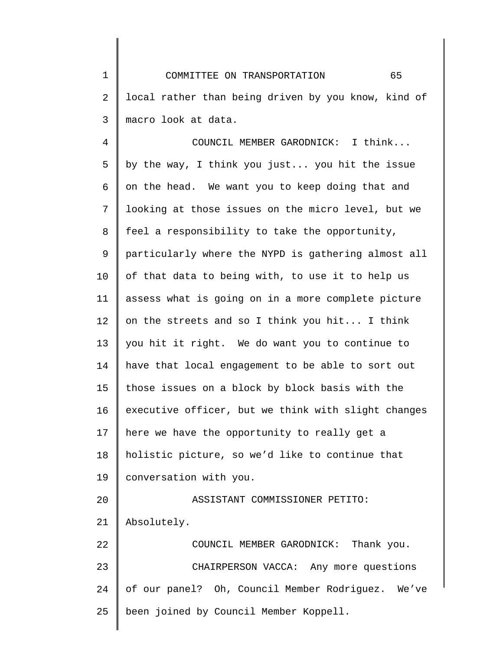1 2 3 COMMITTEE ON TRANSPORTATION 65 local rather than being driven by you know, kind of macro look at data.

4 5 6 7 8 9 10 11 12 13 14 15 16 17 18 19 20 21 22 23 24 25 COUNCIL MEMBER GARODNICK: I think... by the way, I think you just... you hit the issue on the head. We want you to keep doing that and looking at those issues on the micro level, but we feel a responsibility to take the opportunity, particularly where the NYPD is gathering almost all of that data to being with, to use it to help us assess what is going on in a more complete picture on the streets and so I think you hit... I think you hit it right. We do want you to continue to have that local engagement to be able to sort out those issues on a block by block basis with the executive officer, but we think with slight changes here we have the opportunity to really get a holistic picture, so we'd like to continue that conversation with you. ASSISTANT COMMISSIONER PETITO: Absolutely. COUNCIL MEMBER GARODNICK: Thank you. CHAIRPERSON VACCA: Any more questions of our panel? Oh, Council Member Rodriguez. We've been joined by Council Member Koppell.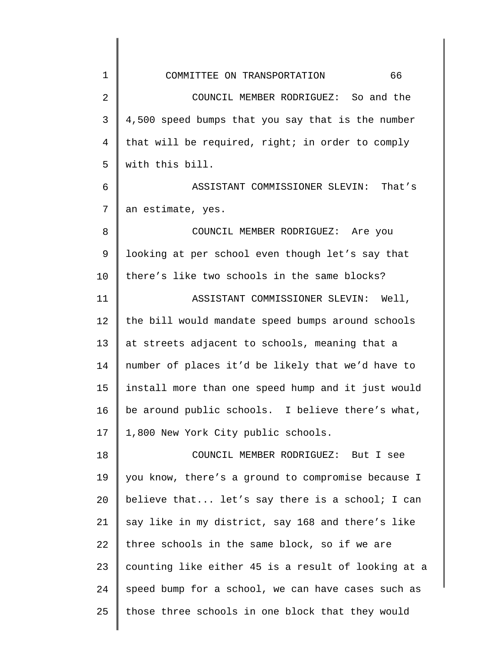| $\mathbf 1$    | 66<br>COMMITTEE ON TRANSPORTATION                   |
|----------------|-----------------------------------------------------|
| $\overline{2}$ | COUNCIL MEMBER RODRIGUEZ: So and the                |
| 3              | 4,500 speed bumps that you say that is the number   |
| 4              | that will be required, right; in order to comply    |
| 5              | with this bill.                                     |
| 6              | ASSISTANT COMMISSIONER SLEVIN: That's               |
| 7              | an estimate, yes.                                   |
| 8              | COUNCIL MEMBER RODRIGUEZ: Are you                   |
| 9              | looking at per school even though let's say that    |
| 10             | there's like two schools in the same blocks?        |
| 11             | ASSISTANT COMMISSIONER SLEVIN: Well,                |
| 12             | the bill would mandate speed bumps around schools   |
| 13             | at streets adjacent to schools, meaning that a      |
| 14             | number of places it'd be likely that we'd have to   |
| 15             | install more than one speed hump and it just would  |
| 16             | be around public schools. I believe there's what,   |
| 17             | 1,800 New York City public schools.                 |
| 18             | COUNCIL MEMBER RODRIGUEZ: But I see                 |
| 19             | you know, there's a ground to compromise because I  |
| 20             | believe that let's say there is a school; I can     |
| 21             | say like in my district, say 168 and there's like   |
| 22             | three schools in the same block, so if we are       |
| 23             | counting like either 45 is a result of looking at a |
| 24             | speed bump for a school, we can have cases such as  |
| 25             | those three schools in one block that they would    |
|                |                                                     |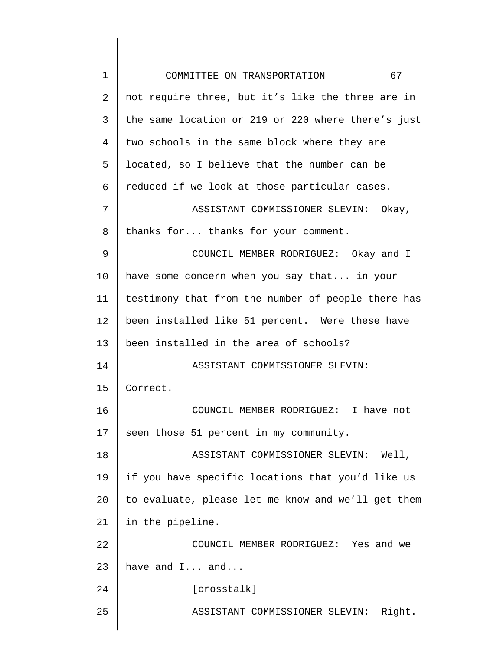| $\mathbf 1$ | 67<br>COMMITTEE ON TRANSPORTATION                  |
|-------------|----------------------------------------------------|
| 2           | not require three, but it's like the three are in  |
| 3           | the same location or 219 or 220 where there's just |
| 4           | two schools in the same block where they are       |
| 5           | located, so I believe that the number can be       |
| 6           | reduced if we look at those particular cases.      |
| 7           | ASSISTANT COMMISSIONER SLEVIN: Okay,               |
| 8           | thanks for thanks for your comment.                |
| 9           | COUNCIL MEMBER RODRIGUEZ: Okay and I               |
| 10          | have some concern when you say that in your        |
| 11          | testimony that from the number of people there has |
| 12          | been installed like 51 percent. Were these have    |
| 13          | been installed in the area of schools?             |
| 14          | ASSISTANT COMMISSIONER SLEVIN:                     |
| 15          | Correct.                                           |
| 16          | COUNCIL MEMBER RODRIGUEZ: I have not               |
| 17          | seen those 51 percent in my community.             |
| 18          | ASSISTANT COMMISSIONER SLEVIN:<br>Well,            |
| 19          | if you have specific locations that you'd like us  |
| 20          | to evaluate, please let me know and we'll get them |
| 21          | in the pipeline.                                   |
| 22          | COUNCIL MEMBER RODRIGUEZ: Yes and we               |
| 23          | have and I and                                     |
| 24          | [crosstalk]                                        |
| 25          | ASSISTANT COMMISSIONER SLEVIN:<br>Right.           |
|             |                                                    |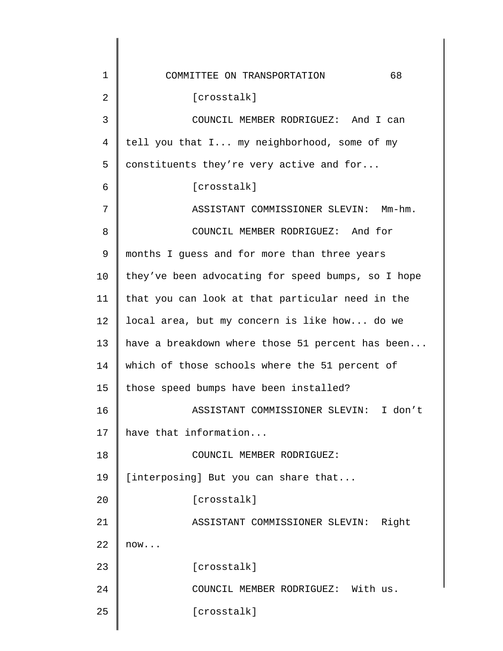| 1  | 68<br>COMMITTEE ON TRANSPORTATION                  |
|----|----------------------------------------------------|
| 2  | [crosstalk]                                        |
| 3  | COUNCIL MEMBER RODRIGUEZ: And I can                |
| 4  | tell you that I my neighborhood, some of my        |
| 5  | constituents they're very active and for           |
| 6  | [crosstalk]                                        |
| 7  | ASSISTANT COMMISSIONER SLEVIN: Mm-hm.              |
| 8  | COUNCIL MEMBER RODRIGUEZ: And for                  |
| 9  | months I guess and for more than three years       |
| 10 | they've been advocating for speed bumps, so I hope |
| 11 | that you can look at that particular need in the   |
| 12 | local area, but my concern is like how do we       |
| 13 | have a breakdown where those 51 percent has been   |
| 14 | which of those schools where the 51 percent of     |
| 15 | those speed bumps have been installed?             |
| 16 | ASSISTANT COMMISSIONER SLEVIN: I don't             |
| 17 | have that information                              |
| 18 | COUNCIL MEMBER RODRIGUEZ:                          |
| 19 | [interposing] But you can share that               |
| 20 | [crosstalk]                                        |
| 21 | ASSISTANT COMMISSIONER SLEVIN:<br>Right            |
| 22 | now                                                |
| 23 | [crosstalk]                                        |
| 24 | COUNCIL MEMBER RODRIGUEZ: With us.                 |
| 25 | [crosstalk]                                        |
|    |                                                    |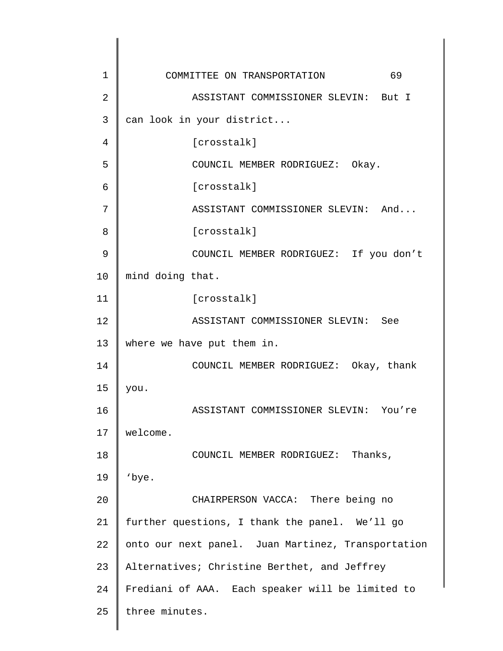| 1  | 69<br>COMMITTEE ON TRANSPORTATION                  |
|----|----------------------------------------------------|
| 2  | ASSISTANT COMMISSIONER SLEVIN: But I               |
| 3  | can look in your district                          |
| 4  | [crosstalk]                                        |
| 5  | COUNCIL MEMBER RODRIGUEZ: Okay.                    |
| 6  | [crosstalk]                                        |
| 7  | ASSISTANT COMMISSIONER SLEVIN: And                 |
| 8  | [crosstalk]                                        |
| 9  | COUNCIL MEMBER RODRIGUEZ: If you don't             |
| 10 | mind doing that.                                   |
| 11 | [crosstalk]                                        |
| 12 | ASSISTANT COMMISSIONER SLEVIN: See                 |
| 13 | where we have put them in.                         |
| 14 | COUNCIL MEMBER RODRIGUEZ: Okay, thank              |
| 15 | you.                                               |
| 16 | ASSISTANT COMMISSIONER SLEVIN: You're              |
| 17 | welcome.                                           |
| 18 | Thanks,<br>COUNCIL MEMBER RODRIGUEZ:               |
| 19 | 'bye.                                              |
| 20 | CHAIRPERSON VACCA: There being no                  |
| 21 | further questions, I thank the panel. We'll go     |
| 22 | onto our next panel. Juan Martinez, Transportation |
| 23 | Alternatives; Christine Berthet, and Jeffrey       |
| 24 | Frediani of AAA. Each speaker will be limited to   |
| 25 | three minutes.                                     |
|    |                                                    |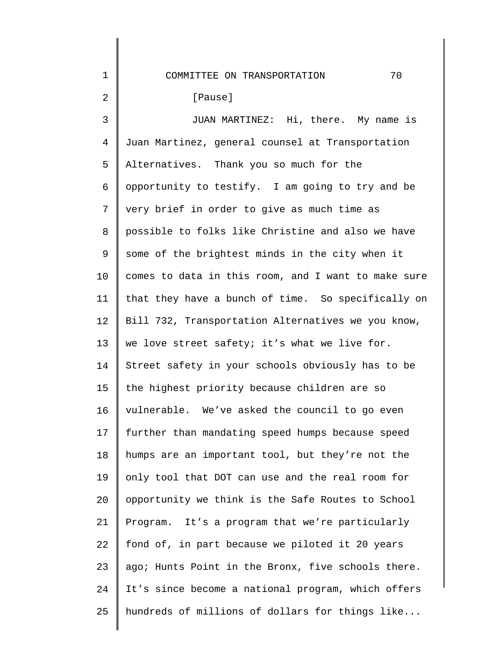## COMMITTEE ON TRANSPORTATION 70

## [Pause]

1

2

3 4 5 6 7 8 9 10 11 12 13 14 15 16 17 18 19 20 21 22 23 24 25 JUAN MARTINEZ: Hi, there. My name is Juan Martinez, general counsel at Transportation Alternatives. Thank you so much for the opportunity to testify. I am going to try and be very brief in order to give as much time as possible to folks like Christine and also we have some of the brightest minds in the city when it comes to data in this room, and I want to make sure that they have a bunch of time. So specifically on Bill 732, Transportation Alternatives we you know, we love street safety; it's what we live for. Street safety in your schools obviously has to be the highest priority because children are so vulnerable. We've asked the council to go even further than mandating speed humps because speed humps are an important tool, but they're not the only tool that DOT can use and the real room for opportunity we think is the Safe Routes to School Program. It's a program that we're particularly fond of, in part because we piloted it 20 years ago; Hunts Point in the Bronx, five schools there. It's since become a national program, which offers hundreds of millions of dollars for things like...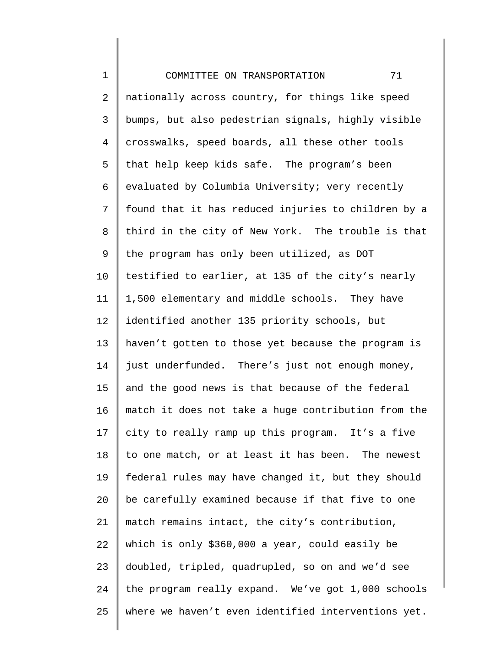1 2 3 4 5 6 7 8 9 10 11 12 13 14 15 16 17 18 19 20 21 22 23 24 25 COMMITTEE ON TRANSPORTATION 71 nationally across country, for things like speed bumps, but also pedestrian signals, highly visible crosswalks, speed boards, all these other tools that help keep kids safe. The program's been evaluated by Columbia University; very recently found that it has reduced injuries to children by a third in the city of New York. The trouble is that the program has only been utilized, as DOT testified to earlier, at 135 of the city's nearly 1,500 elementary and middle schools. They have identified another 135 priority schools, but haven't gotten to those yet because the program is just underfunded. There's just not enough money, and the good news is that because of the federal match it does not take a huge contribution from the city to really ramp up this program. It's a five to one match, or at least it has been. The newest federal rules may have changed it, but they should be carefully examined because if that five to one match remains intact, the city's contribution, which is only \$360,000 a year, could easily be doubled, tripled, quadrupled, so on and we'd see the program really expand. We've got 1,000 schools where we haven't even identified interventions yet.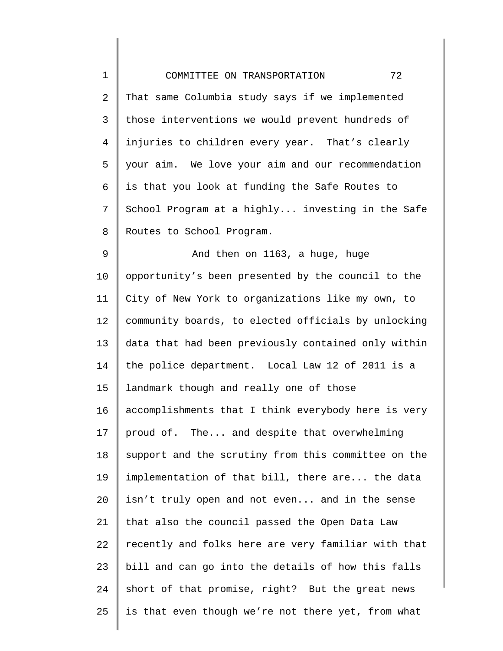| $\mathbf 1$ | 72<br>COMMITTEE ON TRANSPORTATION                   |
|-------------|-----------------------------------------------------|
| 2           | That same Columbia study says if we implemented     |
| 3           | those interventions we would prevent hundreds of    |
| 4           | injuries to children every year. That's clearly     |
| 5           | your aim. We love your aim and our recommendation   |
| 6           | is that you look at funding the Safe Routes to      |
| 7           | School Program at a highly investing in the Safe    |
| 8           | Routes to School Program.                           |
| $\mathsf 9$ | And then on 1163, a huge, huge                      |
| 10          | opportunity's been presented by the council to the  |
| 11          | City of New York to organizations like my own, to   |
| 12          | community boards, to elected officials by unlocking |
| 13          | data that had been previously contained only within |
| 14          | the police department. Local Law 12 of 2011 is a    |
| 15          | landmark though and really one of those             |
| 16          | accomplishments that I think everybody here is very |
| 17          | proud of. The and despite that overwhelming         |
| 18          | support and the scrutiny from this committee on the |
| 19          | implementation of that bill, there are the data     |
| 20          | isn't truly open and not even and in the sense      |
| 21          | that also the council passed the Open Data Law      |
| 22          | recently and folks here are very familiar with that |
| 23          | bill and can go into the details of how this falls  |
| 24          | short of that promise, right? But the great news    |
| 25          | is that even though we're not there yet, from what  |
|             |                                                     |

 $\Big\}$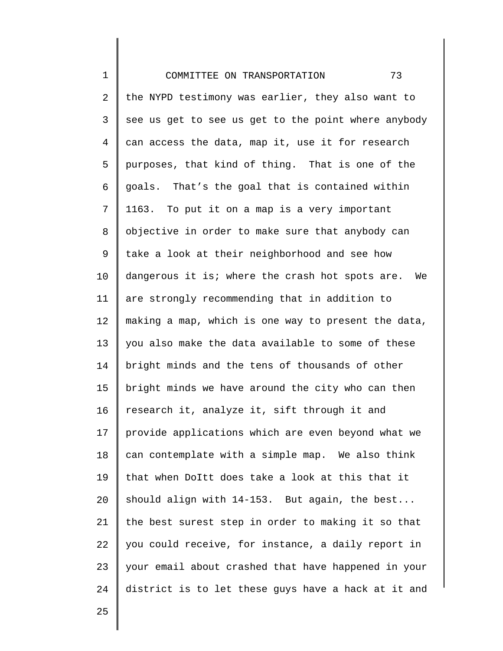| $\mathbf 1$    | 73<br>COMMITTEE ON TRANSPORTATION                   |
|----------------|-----------------------------------------------------|
| 2              | the NYPD testimony was earlier, they also want to   |
| 3              | see us get to see us get to the point where anybody |
| $\overline{4}$ | can access the data, map it, use it for research    |
| 5              | purposes, that kind of thing. That is one of the    |
| 6              | goals. That's the goal that is contained within     |
| 7              | 1163. To put it on a map is a very important        |
| 8              | objective in order to make sure that anybody can    |
| 9              | take a look at their neighborhood and see how       |
| 10             | dangerous it is; where the crash hot spots are. We  |
| 11             | are strongly recommending that in addition to       |
| 12             | making a map, which is one way to present the data, |
| 13             | you also make the data available to some of these   |
| 14             | bright minds and the tens of thousands of other     |
| 15             | bright minds we have around the city who can then   |
| 16             | research it, analyze it, sift through it and        |
| 17             | provide applications which are even beyond what we  |
| 18             | can contemplate with a simple map. We also think    |
| 19             | that when DoItt does take a look at this that it    |
| 20             | should align with 14-153. But again, the best       |
| 21             | the best surest step in order to making it so that  |
| 22             | you could receive, for instance, a daily report in  |
| 23             | your email about crashed that have happened in your |
| 24             | district is to let these guys have a hack at it and |

25

║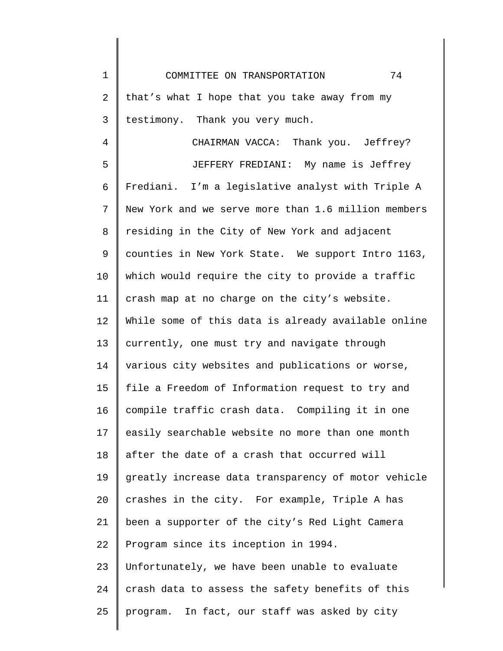COMMITTEE ON TRANSPORTATION 74

1

2 3 that's what I hope that you take away from my testimony. Thank you very much.

4 5 6 7 8 9 10 11 12 13 14 15 16 17 18 19 20 21 22 23 24 25 CHAIRMAN VACCA: Thank you. Jeffrey? JEFFERY FREDIANI: My name is Jeffrey Frediani. I'm a legislative analyst with Triple A New York and we serve more than 1.6 million members residing in the City of New York and adjacent counties in New York State. We support Intro 1163, which would require the city to provide a traffic crash map at no charge on the city's website. While some of this data is already available online currently, one must try and navigate through various city websites and publications or worse, file a Freedom of Information request to try and compile traffic crash data. Compiling it in one easily searchable website no more than one month after the date of a crash that occurred will greatly increase data transparency of motor vehicle crashes in the city. For example, Triple A has been a supporter of the city's Red Light Camera Program since its inception in 1994. Unfortunately, we have been unable to evaluate crash data to assess the safety benefits of this program. In fact, our staff was asked by city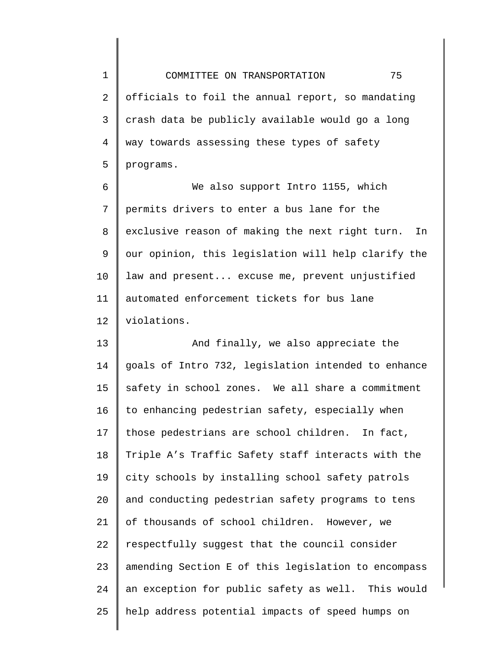1 2 3 4 5 COMMITTEE ON TRANSPORTATION 75 officials to foil the annual report, so mandating crash data be publicly available would go a long way towards assessing these types of safety programs.

6 7 8 9 10 11 12 We also support Intro 1155, which permits drivers to enter a bus lane for the exclusive reason of making the next right turn. In our opinion, this legislation will help clarify the law and present... excuse me, prevent unjustified automated enforcement tickets for bus lane violations.

13 14 15 16 17 18 19 20 21 22 23 24 25 And finally, we also appreciate the goals of Intro 732, legislation intended to enhance safety in school zones. We all share a commitment to enhancing pedestrian safety, especially when those pedestrians are school children. In fact, Triple A's Traffic Safety staff interacts with the city schools by installing school safety patrols and conducting pedestrian safety programs to tens of thousands of school children. However, we respectfully suggest that the council consider amending Section E of this legislation to encompass an exception for public safety as well. This would help address potential impacts of speed humps on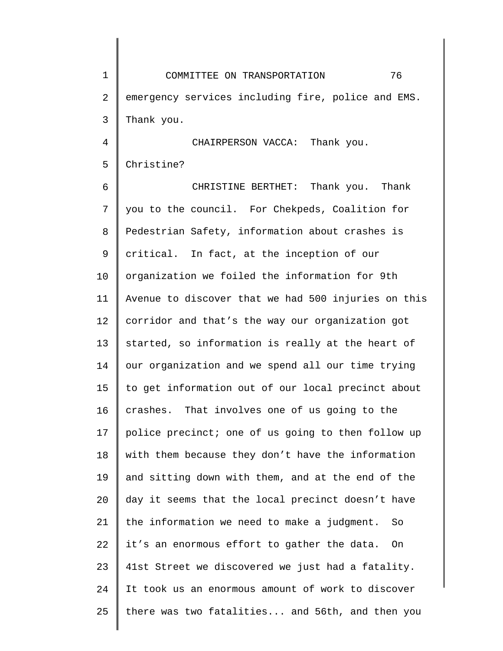1 2 3 COMMITTEE ON TRANSPORTATION 76 emergency services including fire, police and EMS. Thank you.

4 5 CHAIRPERSON VACCA: Thank you. Christine?

6 7 8 9 10 11 12 13 14 15 16 17 18 19 20 21 22 23 24 25 CHRISTINE BERTHET: Thank you. Thank you to the council. For Chekpeds, Coalition for Pedestrian Safety, information about crashes is critical. In fact, at the inception of our organization we foiled the information for 9th Avenue to discover that we had 500 injuries on this corridor and that's the way our organization got started, so information is really at the heart of our organization and we spend all our time trying to get information out of our local precinct about crashes. That involves one of us going to the police precinct; one of us going to then follow up with them because they don't have the information and sitting down with them, and at the end of the day it seems that the local precinct doesn't have the information we need to make a judgment. So it's an enormous effort to gather the data. On 41st Street we discovered we just had a fatality. It took us an enormous amount of work to discover there was two fatalities... and 56th, and then you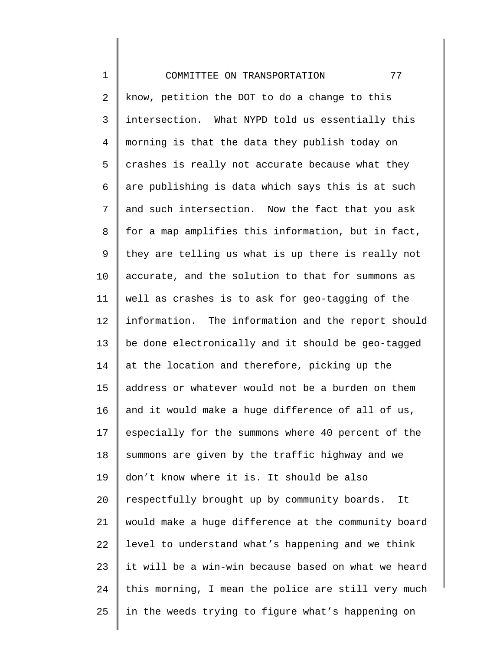1 2 3 4 5 6 7 8 9 10 11 12 13 14 15 16 17 18 19 20 21 22 23 24 25 COMMITTEE ON TRANSPORTATION 77 know, petition the DOT to do a change to this intersection. What NYPD told us essentially this morning is that the data they publish today on crashes is really not accurate because what they are publishing is data which says this is at such and such intersection. Now the fact that you ask for a map amplifies this information, but in fact, they are telling us what is up there is really not accurate, and the solution to that for summons as well as crashes is to ask for geo-tagging of the information. The information and the report should be done electronically and it should be geo-tagged at the location and therefore, picking up the address or whatever would not be a burden on them and it would make a huge difference of all of us, especially for the summons where 40 percent of the summons are given by the traffic highway and we don't know where it is. It should be also respectfully brought up by community boards. It would make a huge difference at the community board level to understand what's happening and we think it will be a win-win because based on what we heard this morning, I mean the police are still very much in the weeds trying to figure what's happening on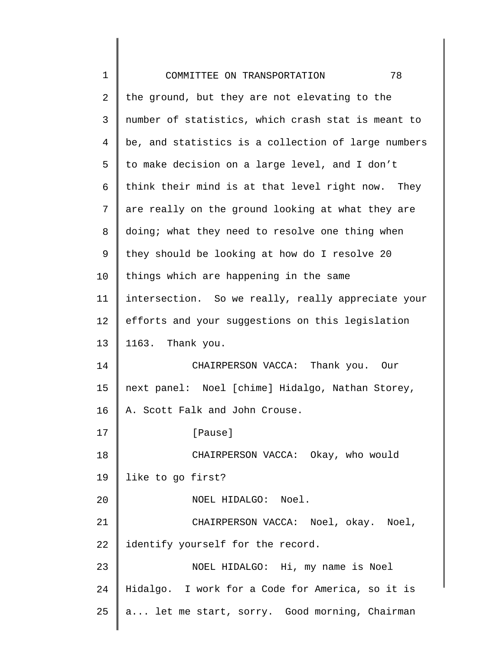| 1  | 78<br>COMMITTEE ON TRANSPORTATION                   |
|----|-----------------------------------------------------|
| 2  | the ground, but they are not elevating to the       |
| 3  | number of statistics, which crash stat is meant to  |
| 4  | be, and statistics is a collection of large numbers |
| 5  | to make decision on a large level, and I don't      |
| 6  | think their mind is at that level right now. They   |
| 7  | are really on the ground looking at what they are   |
| 8  | doing; what they need to resolve one thing when     |
| 9  | they should be looking at how do I resolve 20       |
| 10 | things which are happening in the same              |
| 11 | intersection. So we really, really appreciate your  |
| 12 | efforts and your suggestions on this legislation    |
| 13 | 1163. Thank you.                                    |
| 14 | CHAIRPERSON VACCA: Thank you. Our                   |
| 15 | next panel: Noel [chime] Hidalgo, Nathan Storey,    |
| 16 | A. Scott Falk and John Crouse.                      |
| 17 | [Pause]                                             |
| 18 | CHAIRPERSON VACCA: Okay, who would                  |
| 19 | like to go first?                                   |
| 20 | NOEL HIDALGO: Noel.                                 |
| 21 | CHAIRPERSON VACCA: Noel, okay. Noel,                |
| 22 | identify yourself for the record.                   |
| 23 | NOEL HIDALGO: Hi, my name is Noel                   |
| 24 | Hidalgo. I work for a Code for America, so it is    |
| 25 | a let me start, sorry. Good morning, Chairman       |
|    |                                                     |

║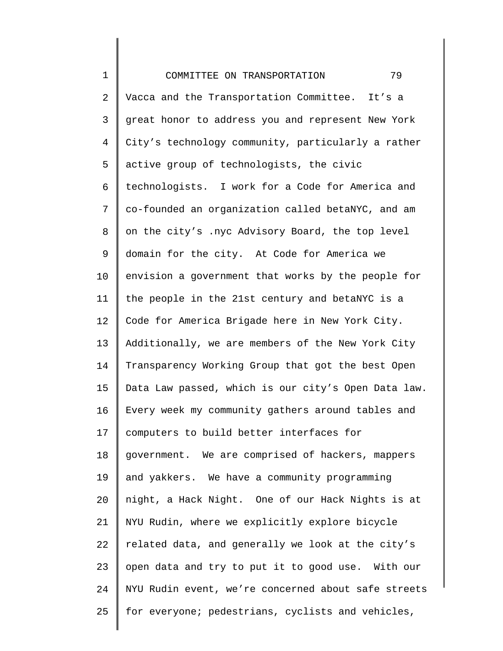1 2 3 4 5 6 7 8 9 10 11 12 13 14 15 16 17 18 19 20 21 22 23 24 25 COMMITTEE ON TRANSPORTATION 79 Vacca and the Transportation Committee. It's a great honor to address you and represent New York City's technology community, particularly a rather active group of technologists, the civic technologists. I work for a Code for America and co-founded an organization called betaNYC, and am on the city's .nyc Advisory Board, the top level domain for the city. At Code for America we envision a government that works by the people for the people in the 21st century and betaNYC is a Code for America Brigade here in New York City. Additionally, we are members of the New York City Transparency Working Group that got the best Open Data Law passed, which is our city's Open Data law. Every week my community gathers around tables and computers to build better interfaces for government. We are comprised of hackers, mappers and yakkers. We have a community programming night, a Hack Night. One of our Hack Nights is at NYU Rudin, where we explicitly explore bicycle related data, and generally we look at the city's open data and try to put it to good use. With our NYU Rudin event, we're concerned about safe streets for everyone; pedestrians, cyclists and vehicles,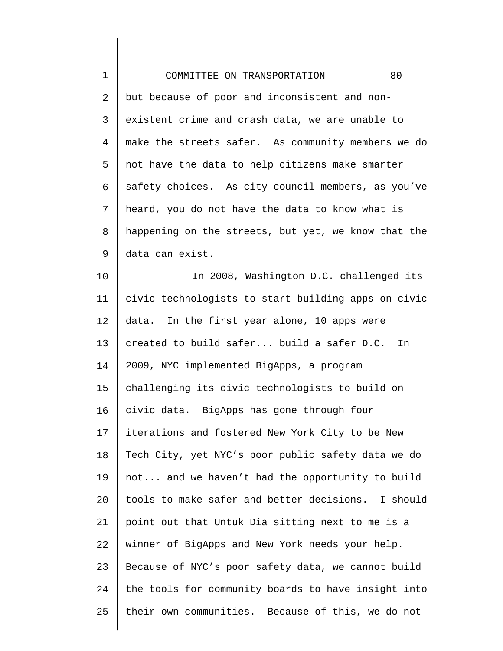| $\mathbf 1$ | 80<br>COMMITTEE ON TRANSPORTATION                   |
|-------------|-----------------------------------------------------|
| 2           | but because of poor and inconsistent and non-       |
| 3           | existent crime and crash data, we are unable to     |
| 4           | make the streets safer. As community members we do  |
| 5           | not have the data to help citizens make smarter     |
| 6           | safety choices. As city council members, as you've  |
| 7           | heard, you do not have the data to know what is     |
| 8           | happening on the streets, but yet, we know that the |
| 9           | data can exist.                                     |
| 10          | In 2008, Washington D.C. challenged its             |
| 11          | civic technologists to start building apps on civic |
| 12          | In the first year alone, 10 apps were<br>data.      |
| 13          | created to build safer build a safer D.C.<br>In     |
| 14          | 2009, NYC implemented BigApps, a program            |
| 15          | challenging its civic technologists to build on     |
| 16          | civic data. BigApps has gone through four           |
| 17          | iterations and fostered New York City to be New     |
| 18          | Tech City, yet NYC's poor public safety data we do  |
| 19          | not and we haven't had the opportunity to build     |
| 20          | tools to make safer and better decisions. I should  |
| 21          | point out that Untuk Dia sitting next to me is a    |
| 22          | winner of BigApps and New York needs your help.     |
| 23          | Because of NYC's poor safety data, we cannot build  |
| 24          | the tools for community boards to have insight into |
| 25          | their own communities. Because of this, we do not   |
|             |                                                     |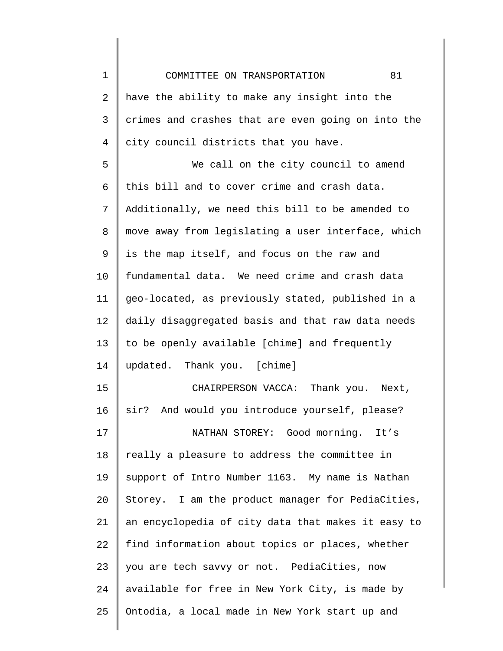| 81<br>COMMITTEE ON TRANSPORTATION                  |
|----------------------------------------------------|
| have the ability to make any insight into the      |
| crimes and crashes that are even going on into the |
| city council districts that you have.              |
| We call on the city council to amend               |
| this bill and to cover crime and crash data.       |
| Additionally, we need this bill to be amended to   |
| move away from legislating a user interface, which |
| is the map itself, and focus on the raw and        |
| fundamental data. We need crime and crash data     |
| geo-located, as previously stated, published in a  |
| daily disaggregated basis and that raw data needs  |
| to be openly available [chime] and frequently      |
| updated. Thank you. [chime]                        |
| CHAIRPERSON VACCA: Thank you. Next,                |
| sir? And would you introduce yourself, please?     |
| NATHAN STOREY: Good morning. It's                  |
| really a pleasure to address the committee in      |
| support of Intro Number 1163. My name is Nathan    |
| Storey. I am the product manager for PediaCities,  |
| an encyclopedia of city data that makes it easy to |
| find information about topics or places, whether   |
| you are tech savvy or not. PediaCities, now        |
| available for free in New York City, is made by    |
| Ontodia, a local made in New York start up and     |
|                                                    |

 $\begin{array}{c} \hline \end{array}$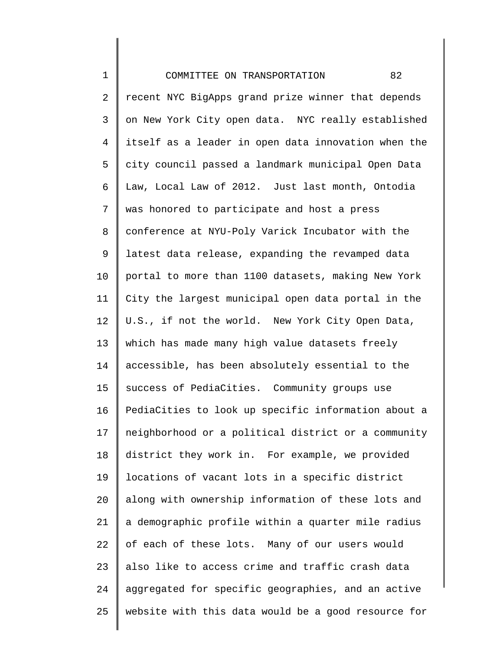1 2 3 4 5 6 7 8 9 10 11 12 13 14 15 16 17 18 19 20 21 22 23 24 25 COMMITTEE ON TRANSPORTATION 82 recent NYC BigApps grand prize winner that depends on New York City open data. NYC really established itself as a leader in open data innovation when the city council passed a landmark municipal Open Data Law, Local Law of 2012. Just last month, Ontodia was honored to participate and host a press conference at NYU-Poly Varick Incubator with the latest data release, expanding the revamped data portal to more than 1100 datasets, making New York City the largest municipal open data portal in the U.S., if not the world. New York City Open Data, which has made many high value datasets freely accessible, has been absolutely essential to the success of PediaCities. Community groups use PediaCities to look up specific information about a neighborhood or a political district or a community district they work in. For example, we provided locations of vacant lots in a specific district along with ownership information of these lots and a demographic profile within a quarter mile radius of each of these lots. Many of our users would also like to access crime and traffic crash data aggregated for specific geographies, and an active website with this data would be a good resource for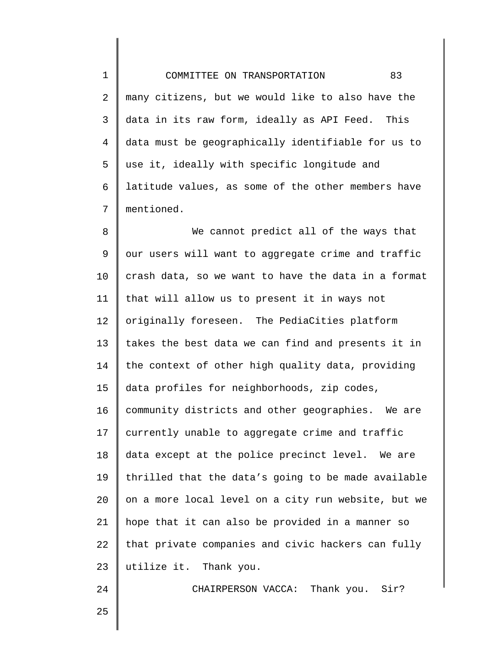1 2 3 4 5 6 7 COMMITTEE ON TRANSPORTATION 83 many citizens, but we would like to also have the data in its raw form, ideally as API Feed. This data must be geographically identifiable for us to use it, ideally with specific longitude and latitude values, as some of the other members have mentioned.

8 9 10 11 12 13 14 15 16 17 18 19 20 21 22 23 We cannot predict all of the ways that our users will want to aggregate crime and traffic crash data, so we want to have the data in a format that will allow us to present it in ways not originally foreseen. The PediaCities platform takes the best data we can find and presents it in the context of other high quality data, providing data profiles for neighborhoods, zip codes, community districts and other geographies. We are currently unable to aggregate crime and traffic data except at the police precinct level. We are thrilled that the data's going to be made available on a more local level on a city run website, but we hope that it can also be provided in a manner so that private companies and civic hackers can fully utilize it. Thank you.

CHAIRPERSON VACCA: Thank you. Sir?

25

24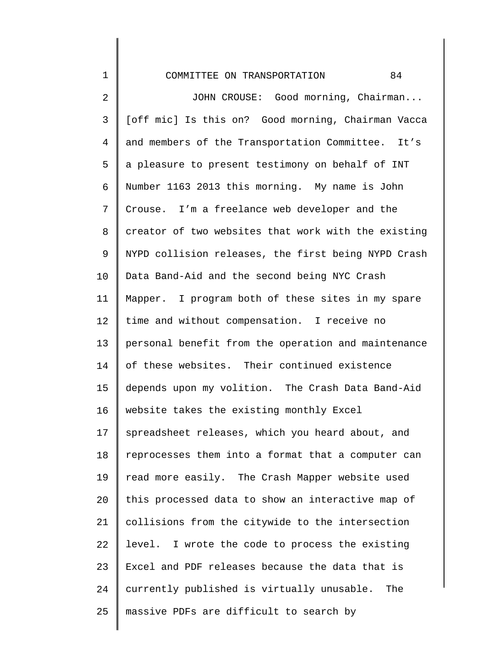| $\mathbf 1$    | 84<br>COMMITTEE ON TRANSPORTATION                   |
|----------------|-----------------------------------------------------|
| $\sqrt{2}$     | JOHN CROUSE: Good morning, Chairman                 |
| $\mathsf{3}$   | [off mic] Is this on? Good morning, Chairman Vacca  |
| $\overline{4}$ | and members of the Transportation Committee. It's   |
| 5              | a pleasure to present testimony on behalf of INT    |
| 6              | Number 1163 2013 this morning. My name is John      |
| 7              | Crouse. I'm a freelance web developer and the       |
| 8              | creator of two websites that work with the existing |
| 9              | NYPD collision releases, the first being NYPD Crash |
| 10             | Data Band-Aid and the second being NYC Crash        |
| 11             | Mapper. I program both of these sites in my spare   |
| 12             | time and without compensation. I receive no         |
| 13             | personal benefit from the operation and maintenance |
| 14             | of these websites. Their continued existence        |
| 15             | depends upon my volition. The Crash Data Band-Aid   |
| 16             | website takes the existing monthly Excel            |
| 17             | spreadsheet releases, which you heard about, and    |
| 18             | reprocesses them into a format that a computer can  |
| 19             | read more easily. The Crash Mapper website used     |
| 20             | this processed data to show an interactive map of   |
| 21             | collisions from the citywide to the intersection    |
| 22             | level. I wrote the code to process the existing     |
| 23             | Excel and PDF releases because the data that is     |
| 24             | currently published is virtually unusable. The      |
| 25             | massive PDFs are difficult to search by             |

║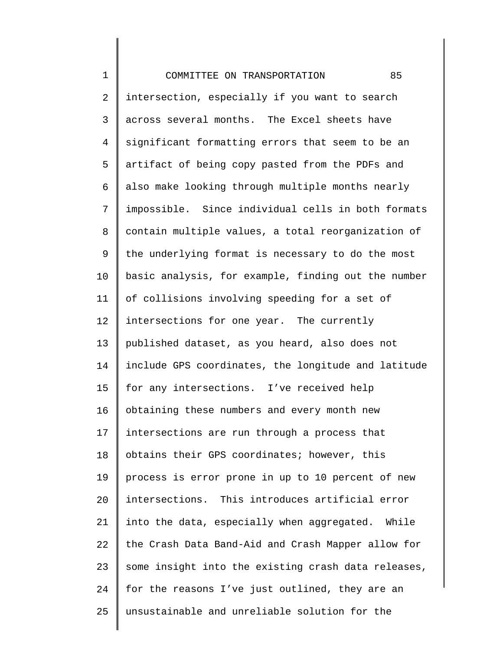1 2 3 4 5 6 7 8 9 10 11 12 13 14 15 16 17 18 19  $20^{\circ}$ 21 22 23 24 25 COMMITTEE ON TRANSPORTATION 85 intersection, especially if you want to search across several months. The Excel sheets have significant formatting errors that seem to be an artifact of being copy pasted from the PDFs and also make looking through multiple months nearly impossible. Since individual cells in both formats contain multiple values, a total reorganization of the underlying format is necessary to do the most basic analysis, for example, finding out the number of collisions involving speeding for a set of intersections for one year. The currently published dataset, as you heard, also does not include GPS coordinates, the longitude and latitude for any intersections. I've received help obtaining these numbers and every month new intersections are run through a process that obtains their GPS coordinates; however, this process is error prone in up to 10 percent of new intersections. This introduces artificial error into the data, especially when aggregated. While the Crash Data Band-Aid and Crash Mapper allow for some insight into the existing crash data releases, for the reasons I've just outlined, they are an unsustainable and unreliable solution for the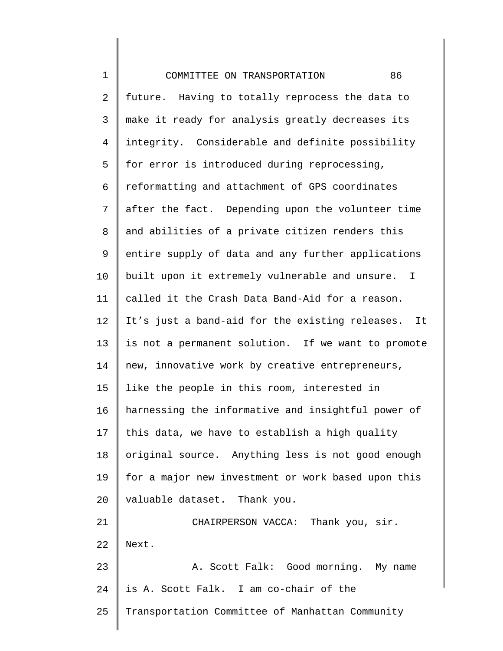1 2 3 4 5 6 7 8 9 10 11 12 13 14 15 16 17 18 19 20 21 22 23 24 25 COMMITTEE ON TRANSPORTATION 86 future. Having to totally reprocess the data to make it ready for analysis greatly decreases its integrity. Considerable and definite possibility for error is introduced during reprocessing, reformatting and attachment of GPS coordinates after the fact. Depending upon the volunteer time and abilities of a private citizen renders this entire supply of data and any further applications built upon it extremely vulnerable and unsure. I called it the Crash Data Band-Aid for a reason. It's just a band-aid for the existing releases. It is not a permanent solution. If we want to promote new, innovative work by creative entrepreneurs, like the people in this room, interested in harnessing the informative and insightful power of this data, we have to establish a high quality original source. Anything less is not good enough for a major new investment or work based upon this valuable dataset. Thank you. CHAIRPERSON VACCA: Thank you, sir. Next. A. Scott Falk: Good morning. My name is A. Scott Falk. I am co-chair of the Transportation Committee of Manhattan Community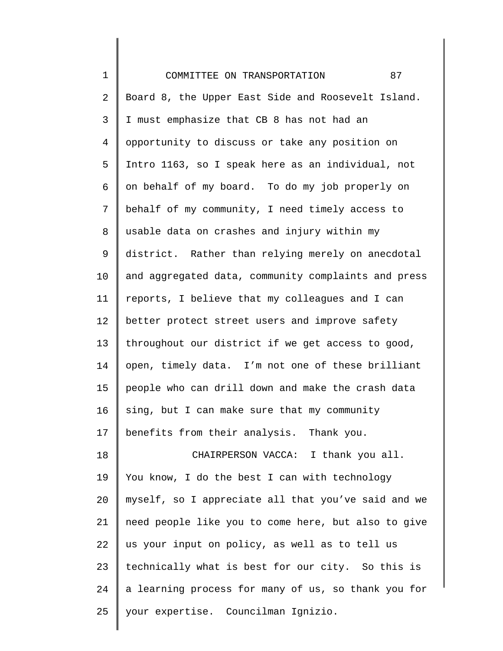| $\mathbf 1$ | 87<br>COMMITTEE ON TRANSPORTATION                   |
|-------------|-----------------------------------------------------|
| 2           | Board 8, the Upper East Side and Roosevelt Island.  |
| 3           | I must emphasize that CB 8 has not had an           |
| 4           | opportunity to discuss or take any position on      |
| 5           | Intro 1163, so I speak here as an individual, not   |
| б           | on behalf of my board. To do my job properly on     |
| 7           | behalf of my community, I need timely access to     |
| 8           | usable data on crashes and injury within my         |
| 9           | district. Rather than relying merely on anecdotal   |
| $10 \,$     | and aggregated data, community complaints and press |
| 11          | reports, I believe that my colleagues and I can     |
| 12          | better protect street users and improve safety      |
| 13          | throughout our district if we get access to good,   |
| 14          | open, timely data. I'm not one of these brilliant   |
| 15          | people who can drill down and make the crash data   |
| 16          | sing, but I can make sure that my community         |
| 17          | benefits from their analysis. Thank you.            |
| 18          | CHAIRPERSON VACCA: I thank you all.                 |
| 19          | You know, I do the best I can with technology       |
| 20          | myself, so I appreciate all that you've said and we |
| 21          | need people like you to come here, but also to give |
| 22          | us your input on policy, as well as to tell us      |
| 23          | technically what is best for our city. So this is   |
| 24          | a learning process for many of us, so thank you for |
| 25          | your expertise. Councilman Ignizio.                 |

║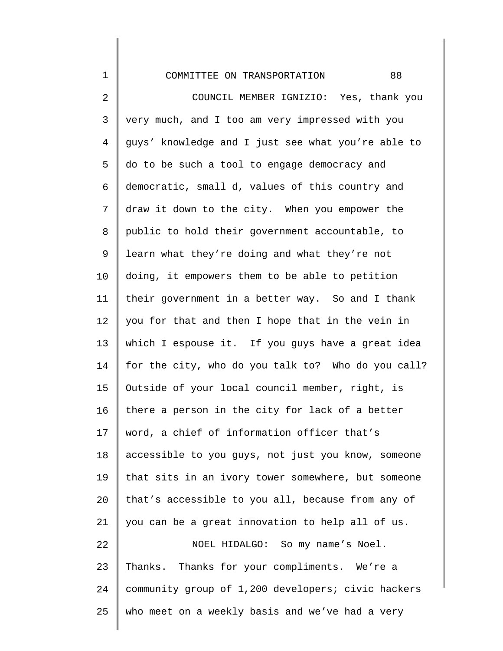1 2 3 4 5 6 7 8 9 10 11 12 13 14 15 16 17 18 19 20 21 22 23 24 25 COMMITTEE ON TRANSPORTATION 88 COUNCIL MEMBER IGNIZIO: Yes, thank you very much, and I too am very impressed with you guys' knowledge and I just see what you're able to do to be such a tool to engage democracy and democratic, small d, values of this country and draw it down to the city. When you empower the public to hold their government accountable, to learn what they're doing and what they're not doing, it empowers them to be able to petition their government in a better way. So and I thank you for that and then I hope that in the vein in which I espouse it. If you guys have a great idea for the city, who do you talk to? Who do you call? Outside of your local council member, right, is there a person in the city for lack of a better word, a chief of information officer that's accessible to you guys, not just you know, someone that sits in an ivory tower somewhere, but someone that's accessible to you all, because from any of you can be a great innovation to help all of us. NOEL HIDALGO: So my name's Noel. Thanks. Thanks for your compliments. We're a community group of 1,200 developers; civic hackers who meet on a weekly basis and we've had a very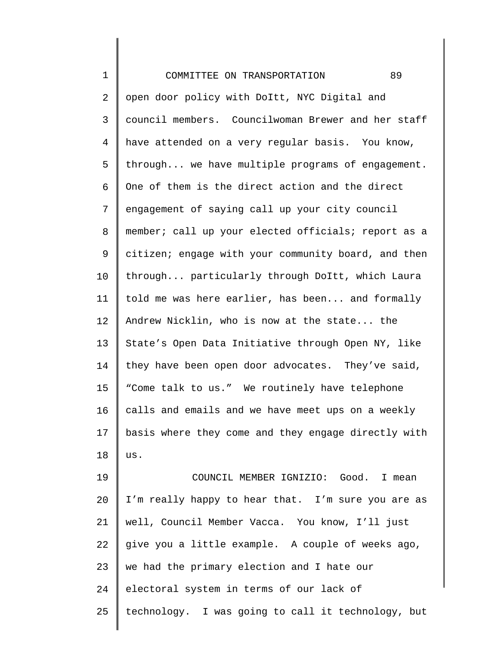| $\mathbf 1$    | 89<br>COMMITTEE ON TRANSPORTATION                   |
|----------------|-----------------------------------------------------|
| 2              | open door policy with DoItt, NYC Digital and        |
| 3              | council members. Councilwoman Brewer and her staff  |
| $\overline{4}$ | have attended on a very regular basis. You know,    |
| 5              | through we have multiple programs of engagement.    |
| 6              | One of them is the direct action and the direct     |
| 7              | engagement of saying call up your city council      |
| 8              | member; call up your elected officials; report as a |
| 9              | citizen; engage with your community board, and then |
| 10             | through particularly through DoItt, which Laura     |
| 11             | told me was here earlier, has been and formally     |
| 12             | Andrew Nicklin, who is now at the state the         |
| 13             | State's Open Data Initiative through Open NY, like  |
| 14             | they have been open door advocates. They've said,   |
| 15             | "Come talk to us." We routinely have telephone      |
| 16             | calls and emails and we have meet ups on a weekly   |
| 17             | basis where they come and they engage directly with |
| 18             | us.                                                 |
| 19             | COUNCIL MEMBER IGNIZIO: Good.<br>I mean             |
| 20             | I'm really happy to hear that. I'm sure you are as  |
| 21             | well, Council Member Vacca. You know, I'll just     |
| 22             | give you a little example. A couple of weeks ago,   |
| 23             | we had the primary election and I hate our          |
| 24             | electoral system in terms of our lack of            |
| 25             | technology. I was going to call it technology, but  |
|                |                                                     |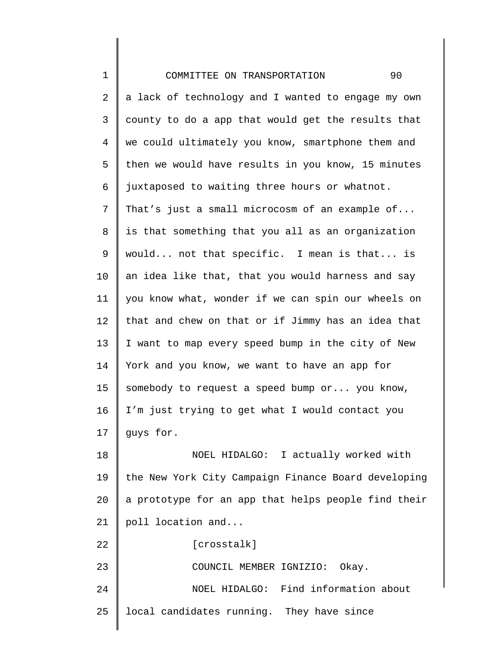1 2 3 4 5 6 7 8 9 10 11 12 13 14 15 16 17 18 19 20 21 22 23 24 25 COMMITTEE ON TRANSPORTATION 90 a lack of technology and I wanted to engage my own county to do a app that would get the results that we could ultimately you know, smartphone them and then we would have results in you know, 15 minutes juxtaposed to waiting three hours or whatnot. That's just a small microcosm of an example of... is that something that you all as an organization would... not that specific. I mean is that... is an idea like that, that you would harness and say you know what, wonder if we can spin our wheels on that and chew on that or if Jimmy has an idea that I want to map every speed bump in the city of New York and you know, we want to have an app for somebody to request a speed bump or... you know, I'm just trying to get what I would contact you guys for. NOEL HIDALGO: I actually worked with the New York City Campaign Finance Board developing a prototype for an app that helps people find their poll location and... [crosstalk] COUNCIL MEMBER IGNIZIO: Okay. NOEL HIDALGO: Find information about local candidates running. They have since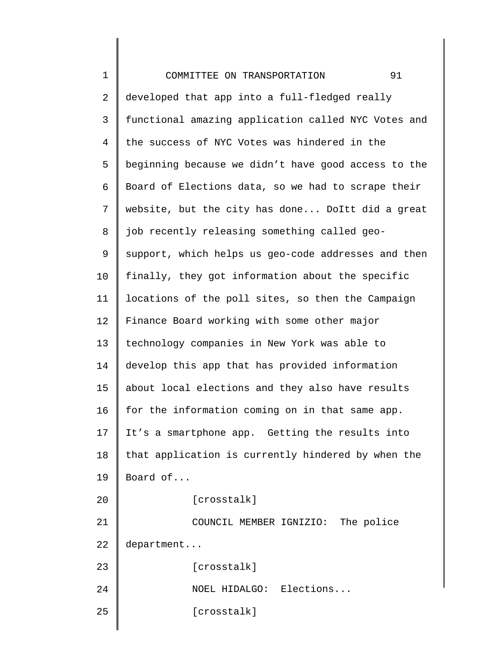| $\mathbf 1$    | 91<br>COMMITTEE ON TRANSPORTATION                   |
|----------------|-----------------------------------------------------|
| 2              | developed that app into a full-fledged really       |
| 3              | functional amazing application called NYC Votes and |
| $\overline{4}$ | the success of NYC Votes was hindered in the        |
| 5              | beginning because we didn't have good access to the |
| 6              | Board of Elections data, so we had to scrape their  |
| 7              | website, but the city has done DoItt did a great    |
| 8              | job recently releasing something called geo-        |
| 9              | support, which helps us geo-code addresses and then |
| 10             | finally, they got information about the specific    |
| 11             | locations of the poll sites, so then the Campaign   |
| 12             | Finance Board working with some other major         |
| 13             | technology companies in New York was able to        |
| 14             | develop this app that has provided information      |
| 15             | about local elections and they also have results    |
| 16             | for the information coming on in that same app.     |
| 17             | It's a smartphone app. Getting the results into     |
| 18             | that application is currently hindered by when the  |
| 19             | Board of                                            |
| 20             | [crosstalk]                                         |
| 21             | COUNCIL MEMBER IGNIZIO: The police                  |
| 22             | department                                          |
| 23             | [crosstalk]                                         |
| 24             | NOEL HIDALGO: Elections                             |
| 25             | [crosstalk]                                         |
|                |                                                     |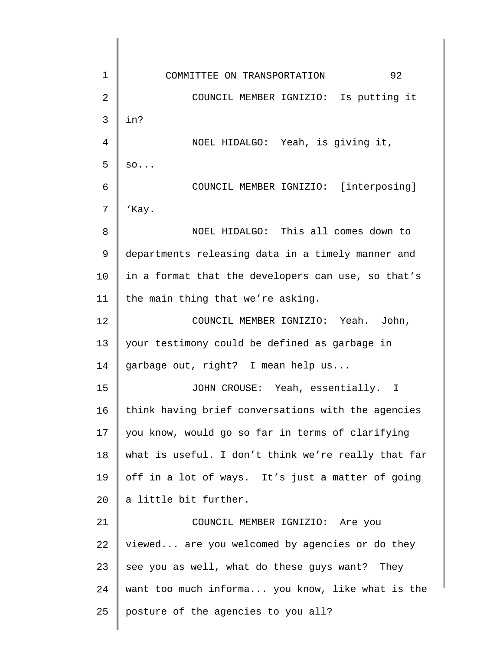1 2 3 4 5 6 7 8 9 10 11 12 13 14 15 16 17 18 19 20 21 22 23 24 25 COMMITTEE ON TRANSPORTATION 92 COUNCIL MEMBER IGNIZIO: Is putting it in? NOEL HIDALGO: Yeah, is giving it, so... COUNCIL MEMBER IGNIZIO: [interposing] 'Kay. NOEL HIDALGO: This all comes down to departments releasing data in a timely manner and in a format that the developers can use, so that's the main thing that we're asking. COUNCIL MEMBER IGNIZIO: Yeah. John, your testimony could be defined as garbage in garbage out, right? I mean help us... JOHN CROUSE: Yeah, essentially. I think having brief conversations with the agencies you know, would go so far in terms of clarifying what is useful. I don't think we're really that far off in a lot of ways. It's just a matter of going a little bit further. COUNCIL MEMBER IGNIZIO: Are you viewed... are you welcomed by agencies or do they see you as well, what do these guys want? They want too much informa... you know, like what is the posture of the agencies to you all?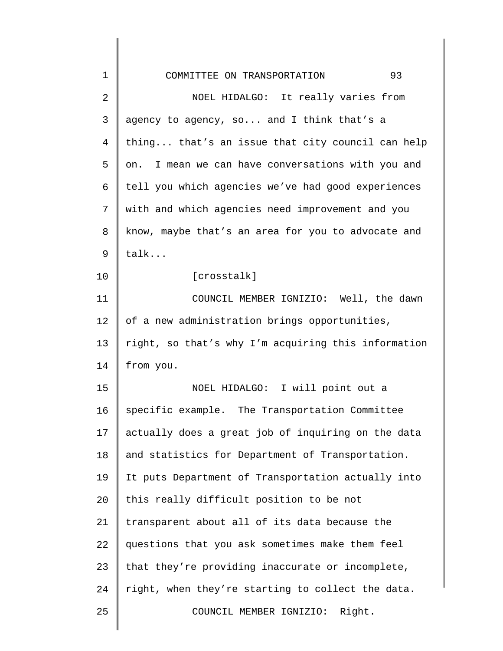| 1  | 93<br>COMMITTEE ON TRANSPORTATION                   |
|----|-----------------------------------------------------|
| 2  | NOEL HIDALGO: It really varies from                 |
| 3  | agency to agency, so and I think that's a           |
| 4  | thing that's an issue that city council can help    |
| 5  | on. I mean we can have conversations with you and   |
| 6  | tell you which agencies we've had good experiences  |
| 7  | with and which agencies need improvement and you    |
| 8  | know, maybe that's an area for you to advocate and  |
| 9  | talk                                                |
| 10 | [crosstalk]                                         |
| 11 | COUNCIL MEMBER IGNIZIO: Well, the dawn              |
| 12 | of a new administration brings opportunities,       |
| 13 | right, so that's why I'm acquiring this information |
| 14 | from you.                                           |
| 15 | NOEL HIDALGO: I will point out a                    |
| 16 | specific example. The Transportation Committee      |
| 17 | actually does a great job of inquiring on the data  |
| 18 | and statistics for Department of Transportation.    |
| 19 | It puts Department of Transportation actually into  |
| 20 | this really difficult position to be not            |
| 21 | transparent about all of its data because the       |
| 22 | questions that you ask sometimes make them feel     |
| 23 | that they're providing inaccurate or incomplete,    |
| 24 | right, when they're starting to collect the data.   |
| 25 | COUNCIL MEMBER IGNIZIO:<br>Right.                   |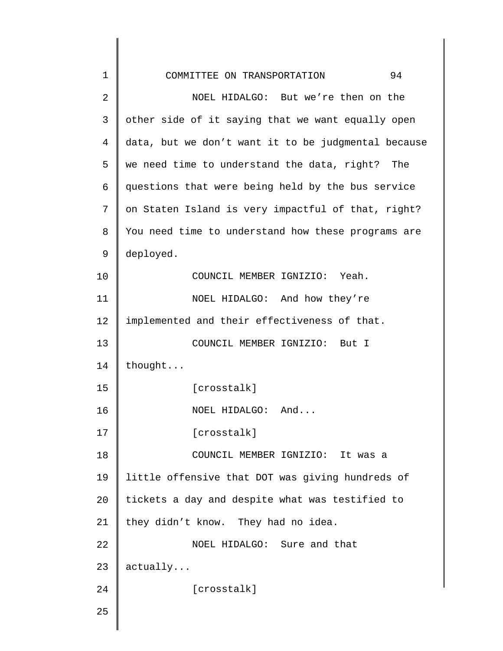| 1              | COMMITTEE ON TRANSPORTATION<br>94                   |
|----------------|-----------------------------------------------------|
| $\overline{2}$ | NOEL HIDALGO: But we're then on the                 |
| 3              | other side of it saying that we want equally open   |
| 4              | data, but we don't want it to be judgmental because |
| 5              | we need time to understand the data, right? The     |
| 6              | questions that were being held by the bus service   |
| 7              | on Staten Island is very impactful of that, right?  |
| 8              | You need time to understand how these programs are  |
| $\mathsf 9$    | deployed.                                           |
| 10             | COUNCIL MEMBER IGNIZIO: Yeah.                       |
| 11             | NOEL HIDALGO: And how they're                       |
| 12             | implemented and their effectiveness of that.        |
| 13             | COUNCIL MEMBER IGNIZIO: But I                       |
| 14             | thought                                             |
| 15             | [crosstalk]                                         |
| 16             | NOEL HIDALGO: And                                   |
| 17             | [crosstalk]                                         |
| 18             | COUNCIL MEMBER IGNIZIO: It was a                    |
| 19             | little offensive that DOT was giving hundreds of    |
| 20             | tickets a day and despite what was testified to     |
| 21             | they didn't know. They had no idea.                 |
| 22             | NOEL HIDALGO: Sure and that                         |
| 23             | actually                                            |
| 24             | [crosstalk]                                         |
| 25             |                                                     |
|                |                                                     |

 $\begin{array}{c} \hline \end{array}$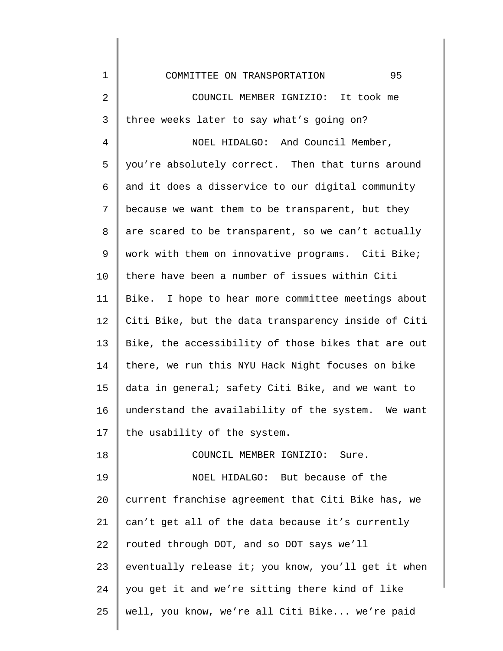COMMITTEE ON TRANSPORTATION 95

1

2 3 COUNCIL MEMBER IGNIZIO: It took me three weeks later to say what's going on?

4 5 6 7 8 9 10 11 12 13 14 15 16 17 NOEL HIDALGO: And Council Member, you're absolutely correct. Then that turns around and it does a disservice to our digital community because we want them to be transparent, but they are scared to be transparent, so we can't actually work with them on innovative programs. Citi Bike; there have been a number of issues within Citi Bike. I hope to hear more committee meetings about Citi Bike, but the data transparency inside of Citi Bike, the accessibility of those bikes that are out there, we run this NYU Hack Night focuses on bike data in general; safety Citi Bike, and we want to understand the availability of the system. We want the usability of the system.

18 19 20 21 22 23 24 25 COUNCIL MEMBER IGNIZIO: Sure. NOEL HIDALGO: But because of the current franchise agreement that Citi Bike has, we can't get all of the data because it's currently routed through DOT, and so DOT says we'll eventually release it; you know, you'll get it when you get it and we're sitting there kind of like well, you know, we're all Citi Bike... we're paid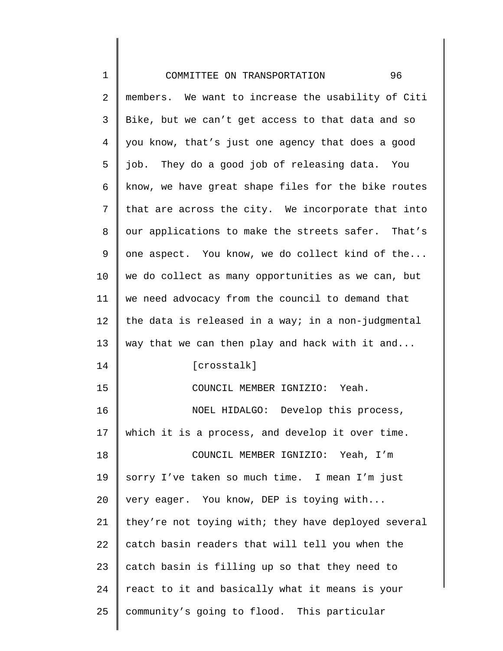| $\mathbf 1$    | 96<br>COMMITTEE ON TRANSPORTATION                   |
|----------------|-----------------------------------------------------|
| $\overline{2}$ | members. We want to increase the usability of Citi  |
| 3              | Bike, but we can't get access to that data and so   |
| 4              | you know, that's just one agency that does a good   |
| 5              | job. They do a good job of releasing data. You      |
| 6              | know, we have great shape files for the bike routes |
| 7              | that are across the city. We incorporate that into  |
| 8              | our applications to make the streets safer. That's  |
| 9              | one aspect. You know, we do collect kind of the     |
| 10             | we do collect as many opportunities as we can, but  |
| 11             | we need advocacy from the council to demand that    |
| 12             | the data is released in a way; in a non-judgmental  |
| 13             | way that we can then play and hack with it and      |
| 14             | [crosstalk]                                         |
| 15             | COUNCIL MEMBER IGNIZIO: Yeah.                       |
| 16             | NOEL HIDALGO: Develop this process,                 |
| 17             | which it is a process, and develop it over time.    |
| 18             | COUNCIL MEMBER IGNIZIO: Yeah, I'm                   |
| 19             | sorry I've taken so much time. I mean I'm just      |
| 20             | very eager. You know, DEP is toying with            |
| 21             | they're not toying with; they have deployed several |
| 22             | catch basin readers that will tell you when the     |
| 23             | catch basin is filling up so that they need to      |
| 24             | react to it and basically what it means is your     |
| 25             | community's going to flood. This particular         |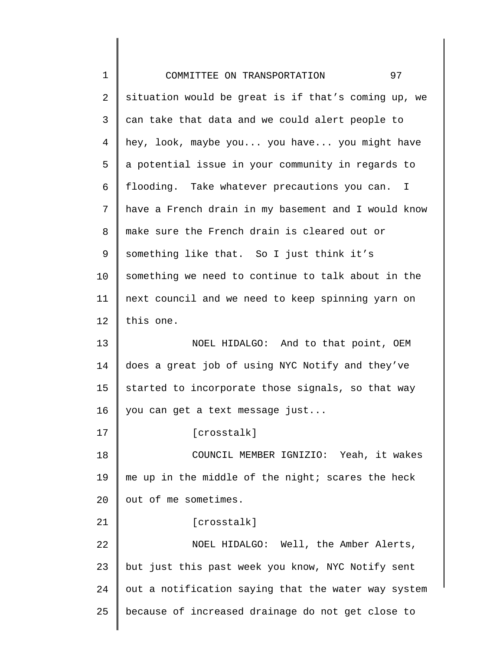| $\mathbf 1$ | 97<br>COMMITTEE ON TRANSPORTATION                            |
|-------------|--------------------------------------------------------------|
| 2           | situation would be great is if that's coming up, we          |
| 3           | can take that data and we could alert people to              |
| 4           | hey, look, maybe you you have you might have                 |
| 5           | a potential issue in your community in regards to            |
| 6           | flooding. Take whatever precautions you can.<br>$\mathbb{I}$ |
| 7           | have a French drain in my basement and I would know          |
| 8           | make sure the French drain is cleared out or                 |
| 9           | something like that. So I just think it's                    |
| 10          | something we need to continue to talk about in the           |
| 11          | next council and we need to keep spinning yarn on            |
| 12          | this one.                                                    |
| 13          | NOEL HIDALGO: And to that point, OEM                         |
| 14          | does a great job of using NYC Notify and they've             |
| 15          | started to incorporate those signals, so that way            |
| 16          | you can get a text message just                              |
| 17          | [crosstalk]                                                  |
| 18          | COUNCIL MEMBER IGNIZIO: Yeah, it wakes                       |
| 19          | me up in the middle of the night; scares the heck            |
| 20          | out of me sometimes.                                         |
| 21          | [crosstalk]                                                  |
| 22          | NOEL HIDALGO: Well, the Amber Alerts,                        |
| 23          | but just this past week you know, NYC Notify sent            |
| 24          | out a notification saying that the water way system          |
| 25          | because of increased drainage do not get close to            |
|             |                                                              |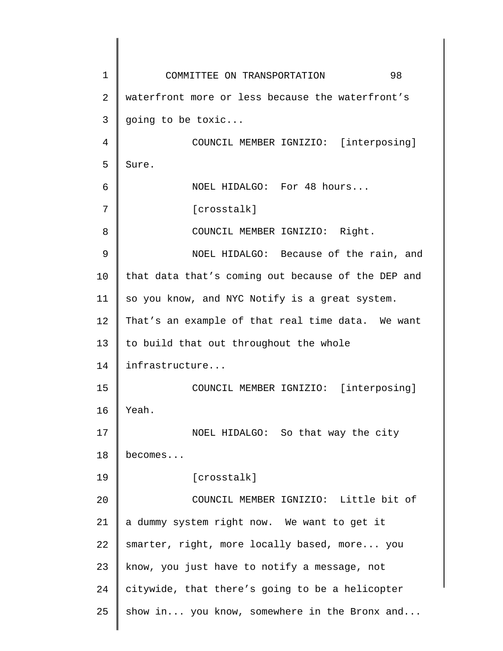1 2 3 4 5 6 7 8 9 10 11 12 13 14 15 16 17 18 19 20 21 22 23 24 25 COMMITTEE ON TRANSPORTATION 98 waterfront more or less because the waterfront's going to be toxic... COUNCIL MEMBER IGNIZIO: [interposing] Sure. NOEL HIDALGO: For 48 hours... [crosstalk] COUNCIL MEMBER IGNIZIO: Right. NOEL HIDALGO: Because of the rain, and that data that's coming out because of the DEP and so you know, and NYC Notify is a great system. That's an example of that real time data. We want to build that out throughout the whole infrastructure... COUNCIL MEMBER IGNIZIO: [interposing] Yeah. NOEL HIDALGO: So that way the city becomes... [crosstalk] COUNCIL MEMBER IGNIZIO: Little bit of a dummy system right now. We want to get it smarter, right, more locally based, more... you know, you just have to notify a message, not citywide, that there's going to be a helicopter show in... you know, somewhere in the Bronx and...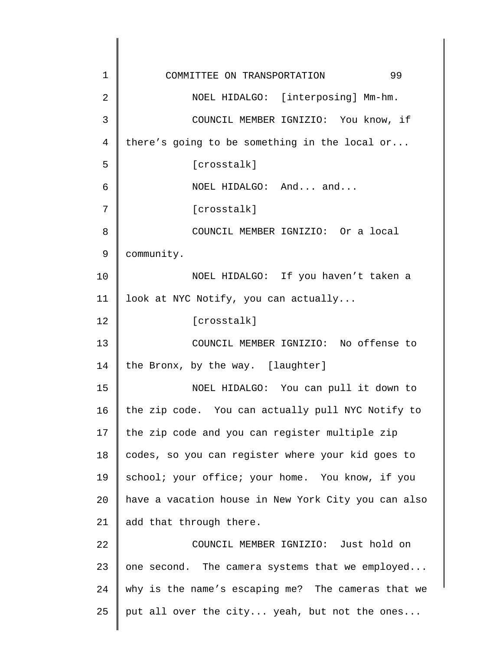1 2 3 4 5 6 7 8 9 10 11 12 13 14 15 16 17 18 19 20 21 22 23 24 25 COMMITTEE ON TRANSPORTATION 99 NOEL HIDALGO: [interposing] Mm-hm. COUNCIL MEMBER IGNIZIO: You know, if there's going to be something in the local or... [crosstalk] NOEL HIDALGO: And... and... [crosstalk] COUNCIL MEMBER IGNIZIO: Or a local community. NOEL HIDALGO: If you haven't taken a look at NYC Notify, you can actually... [crosstalk] COUNCIL MEMBER IGNIZIO: No offense to the Bronx, by the way. [laughter] NOEL HIDALGO: You can pull it down to the zip code. You can actually pull NYC Notify to the zip code and you can register multiple zip codes, so you can register where your kid goes to school; your office; your home. You know, if you have a vacation house in New York City you can also add that through there. COUNCIL MEMBER IGNIZIO: Just hold on one second. The camera systems that we employed... why is the name's escaping me? The cameras that we put all over the city... yeah, but not the ones...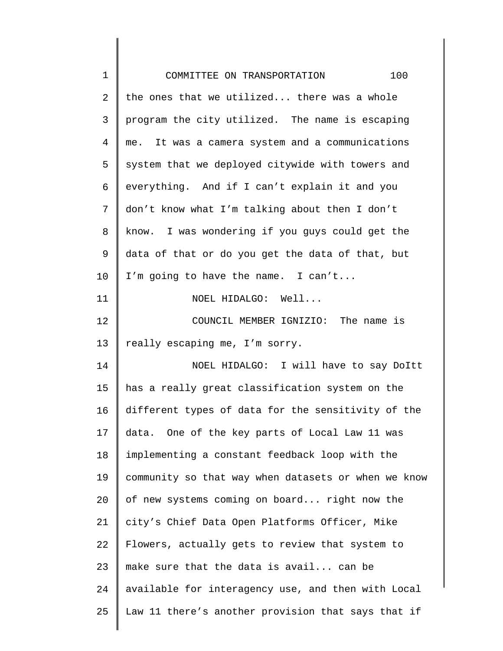| $\mathbf 1$    | 100<br>COMMITTEE ON TRANSPORTATION                  |
|----------------|-----------------------------------------------------|
| $\overline{a}$ | the ones that we utilized there was a whole         |
| 3              | program the city utilized. The name is escaping     |
| 4              | me. It was a camera system and a communications     |
| 5              | system that we deployed citywide with towers and    |
| 6              | everything. And if I can't explain it and you       |
| 7              | don't know what I'm talking about then I don't      |
| 8              | know. I was wondering if you guys could get the     |
| 9              | data of that or do you get the data of that, but    |
| 10             | I'm going to have the name. I can't                 |
| 11             | NOEL HIDALGO: Well                                  |
| 12             | COUNCIL MEMBER IGNIZIO: The name is                 |
| 13             | really escaping me, I'm sorry.                      |
| 14             | NOEL HIDALGO: I will have to say Doltt              |
| 15             | has a really great classification system on the     |
| 16             | different types of data for the sensitivity of the  |
| 17             | data. One of the key parts of Local Law 11 was      |
| 18             | implementing a constant feedback loop with the      |
| 19             | community so that way when datasets or when we know |
| 20             | of new systems coming on board right now the        |
| 21             | city's Chief Data Open Platforms Officer, Mike      |
| 22             | Flowers, actually gets to review that system to     |
| 23             | make sure that the data is avail can be             |
| 24             | available for interagency use, and then with Local  |
| 25             | Law 11 there's another provision that says that if  |
|                |                                                     |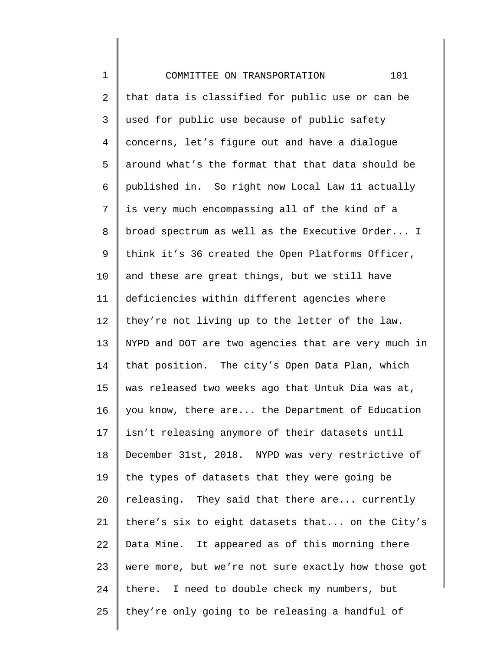| $1\,$          | 101<br>COMMITTEE ON TRANSPORTATION                  |
|----------------|-----------------------------------------------------|
| $\overline{a}$ | that data is classified for public use or can be    |
| 3              | used for public use because of public safety        |
| $\overline{4}$ | concerns, let's figure out and have a dialogue      |
| 5              | around what's the format that that data should be   |
| 6              | published in. So right now Local Law 11 actually    |
| 7              | is very much encompassing all of the kind of a      |
| 8              | broad spectrum as well as the Executive Order I     |
| 9              | think it's 36 created the Open Platforms Officer,   |
| 10             | and these are great things, but we still have       |
| 11             | deficiencies within different agencies where        |
| 12             | they're not living up to the letter of the law.     |
| 13             | NYPD and DOT are two agencies that are very much in |
| 14             | that position. The city's Open Data Plan, which     |
| 15             | was released two weeks ago that Untuk Dia was at,   |
| 16             | you know, there are the Department of Education     |
| 17             | isn't releasing anymore of their datasets until     |
| 18             | December 31st, 2018. NYPD was very restrictive of   |
| 19             | the types of datasets that they were going be       |
| 20             | releasing. They said that there are currently       |
| 21             | there's six to eight datasets that on the City's    |
| 22             | Data Mine. It appeared as of this morning there     |
| 23             | were more, but we're not sure exactly how those got |
| 24             | there. I need to double check my numbers, but       |
| 25             | they're only going to be releasing a handful of     |
|                |                                                     |

∥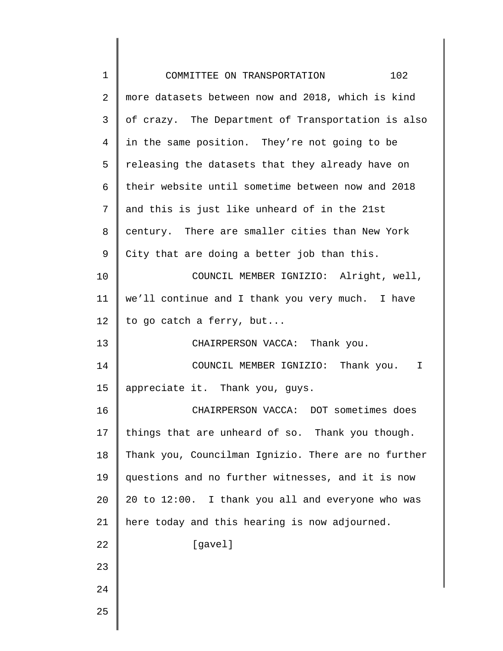| $\mathbf 1$ | COMMITTEE ON TRANSPORTATION<br>102                  |
|-------------|-----------------------------------------------------|
| 2           | more datasets between now and 2018, which is kind   |
| 3           | of crazy. The Department of Transportation is also  |
| 4           | in the same position. They're not going to be       |
| 5           | releasing the datasets that they already have on    |
| 6           | their website until sometime between now and 2018   |
| 7           | and this is just like unheard of in the 21st        |
| 8           | century. There are smaller cities than New York     |
| 9           | City that are doing a better job than this.         |
| 10          | COUNCIL MEMBER IGNIZIO: Alright, well,              |
| 11          | we'll continue and I thank you very much. I have    |
| 12          | to go catch a ferry, but                            |
| 13          | CHAIRPERSON VACCA: Thank you.                       |
| 14          | COUNCIL MEMBER IGNIZIO: Thank you. I                |
| 15          | appreciate it. Thank you, guys.                     |
| 16          | CHAIRPERSON VACCA: DOT sometimes does               |
| 17          | things that are unheard of so. Thank you though.    |
| 18          | Thank you, Councilman Ignizio. There are no further |
| 19          | questions and no further witnesses, and it is now   |
| 20          | 20 to 12:00. I thank you all and everyone who was   |
| 21          | here today and this hearing is now adjourned.       |
| 22          | [gavel]                                             |
| 23          |                                                     |
| 24          |                                                     |
| 25          |                                                     |
|             |                                                     |